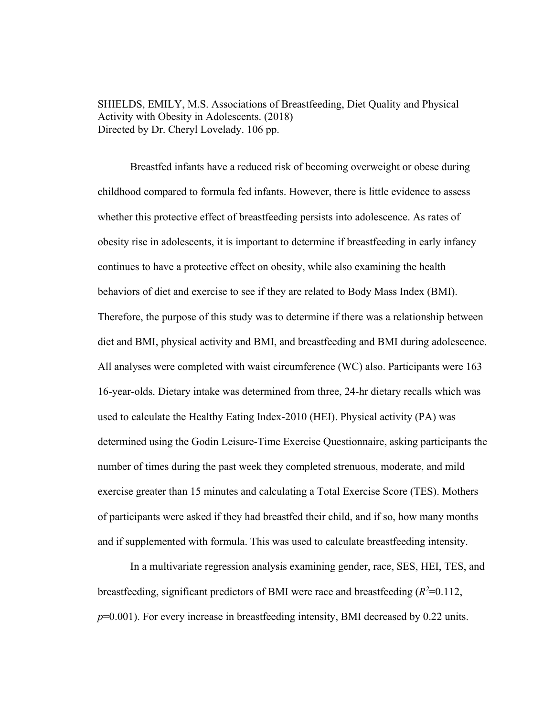SHIELDS, EMILY, M.S. Associations of Breastfeeding, Diet Quality and Physical Activity with Obesity in Adolescents. (2018) Directed by Dr. Cheryl Lovelady. 106 pp.

 Breastfed infants have a reduced risk of becoming overweight or obese during childhood compared to formula fed infants. However, there is little evidence to assess whether this protective effect of breastfeeding persists into adolescence. As rates of obesity rise in adolescents, it is important to determine if breastfeeding in early infancy continues to have a protective effect on obesity, while also examining the health behaviors of diet and exercise to see if they are related to Body Mass Index (BMI). Therefore, the purpose of this study was to determine if there was a relationship between diet and BMI, physical activity and BMI, and breastfeeding and BMI during adolescence. All analyses were completed with waist circumference (WC) also. Participants were 163 16-year-olds. Dietary intake was determined from three, 24-hr dietary recalls which was used to calculate the Healthy Eating Index-2010 (HEI). Physical activity (PA) was determined using the Godin Leisure-Time Exercise Questionnaire, asking participants the number of times during the past week they completed strenuous, moderate, and mild exercise greater than 15 minutes and calculating a Total Exercise Score (TES). Mothers of participants were asked if they had breastfed their child, and if so, how many months and if supplemented with formula. This was used to calculate breastfeeding intensity.

In a multivariate regression analysis examining gender, race, SES, HEI, TES, and breastfeeding, significant predictors of BMI were race and breastfeeding  $(R^2=0.112,$ *p*=0.001). For every increase in breastfeeding intensity, BMI decreased by 0.22 units.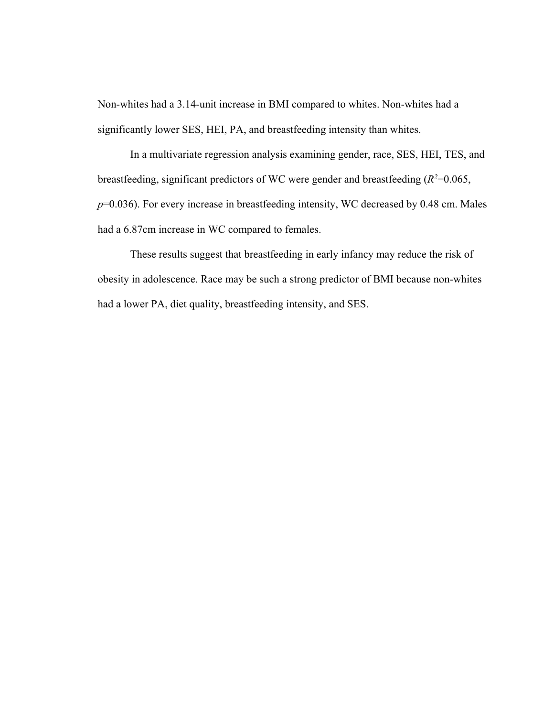Non-whites had a 3.14-unit increase in BMI compared to whites. Non-whites had a significantly lower SES, HEI, PA, and breastfeeding intensity than whites.

In a multivariate regression analysis examining gender, race, SES, HEI, TES, and breastfeeding, significant predictors of WC were gender and breastfeeding  $(R^2=0.065,$ *p*=0.036). For every increase in breastfeeding intensity, WC decreased by 0.48 cm. Males had a 6.87cm increase in WC compared to females.

These results suggest that breastfeeding in early infancy may reduce the risk of obesity in adolescence. Race may be such a strong predictor of BMI because non-whites had a lower PA, diet quality, breastfeeding intensity, and SES.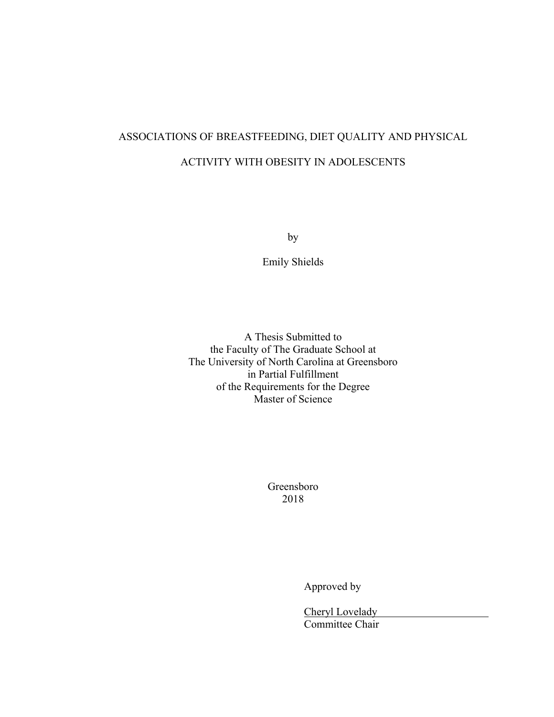# ASSOCIATIONS OF BREASTFEEDING, DIET QUALITY AND PHYSICAL ACTIVITY WITH OBESITY IN ADOLESCENTS

by

Emily Shields

A Thesis Submitted to the Faculty of The Graduate School at The University of North Carolina at Greensboro in Partial Fulfillment of the Requirements for the Degree Master of Science

> Greensboro 2018

> > Approved by

Cheryl Lovelady Committee Chair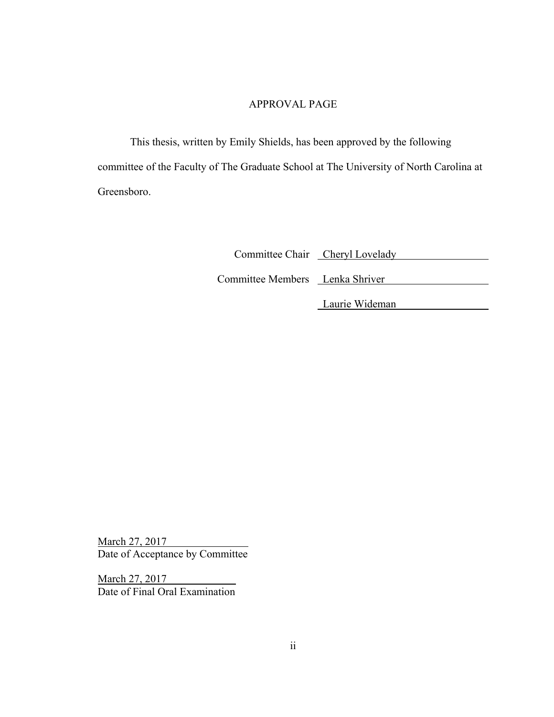## APPROVAL PAGE

This thesis, written by Emily Shields, has been approved by the following committee of the Faculty of The Graduate School at The University of North Carolina at Greensboro.

Committee Chair Cheryl Lovelady

Committee Members Lenka Shriver

Laurie Wideman

March 27, 2017 Date of Acceptance by Committee

March 27, 2017 Date of Final Oral Examination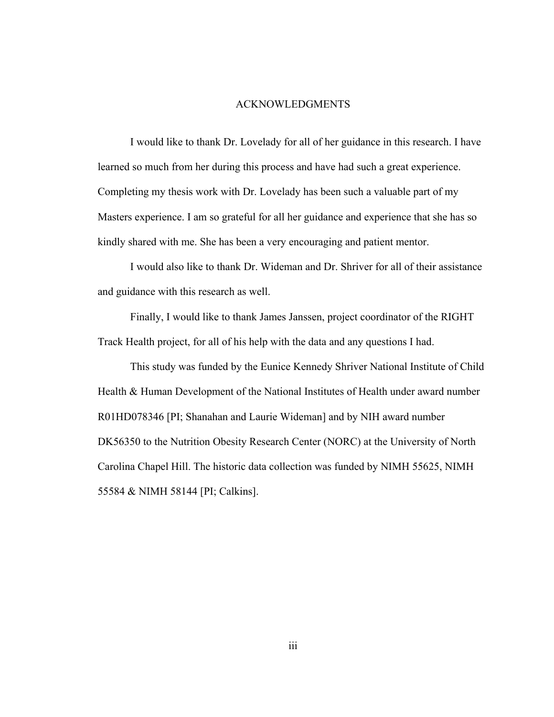#### ACKNOWLEDGMENTS

I would like to thank Dr. Lovelady for all of her guidance in this research. I have learned so much from her during this process and have had such a great experience. Completing my thesis work with Dr. Lovelady has been such a valuable part of my Masters experience. I am so grateful for all her guidance and experience that she has so kindly shared with me. She has been a very encouraging and patient mentor.

I would also like to thank Dr. Wideman and Dr. Shriver for all of their assistance and guidance with this research as well.

 Finally, I would like to thank James Janssen, project coordinator of the RIGHT Track Health project, for all of his help with the data and any questions I had.

This study was funded by the Eunice Kennedy Shriver National Institute of Child Health & Human Development of the National Institutes of Health under award number R01HD078346 [PI; Shanahan and Laurie Wideman] and by NIH award number DK56350 to the Nutrition Obesity Research Center (NORC) at the University of North Carolina Chapel Hill. The historic data collection was funded by NIMH 55625, NIMH 55584 & NIMH 58144 [PI; Calkins].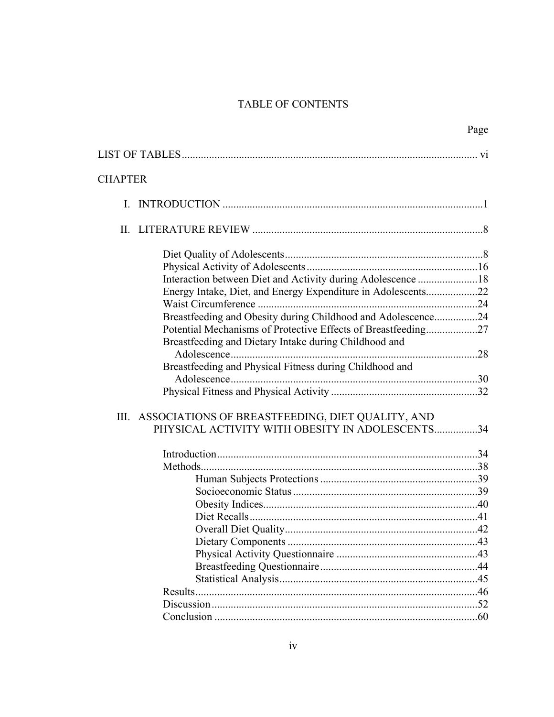# TABLE OF CONTENTS

|                |                                                               | Page |
|----------------|---------------------------------------------------------------|------|
|                |                                                               |      |
| <b>CHAPTER</b> |                                                               |      |
| L.             |                                                               |      |
|                |                                                               |      |
|                |                                                               |      |
|                |                                                               |      |
|                | Interaction between Diet and Activity during Adolescence 18   |      |
|                | Energy Intake, Diet, and Energy Expenditure in Adolescents22  |      |
|                |                                                               |      |
|                | Breastfeeding and Obesity during Childhood and Adolescence24  |      |
|                | Potential Mechanisms of Protective Effects of Breastfeeding27 |      |
|                | Breastfeeding and Dietary Intake during Childhood and         |      |
|                |                                                               |      |
|                | Breastfeeding and Physical Fitness during Childhood and       |      |
|                |                                                               |      |
|                |                                                               |      |
|                | III. ASSOCIATIONS OF BREASTFEEDING, DIET QUALITY, AND         |      |
|                | PHYSICAL ACTIVITY WITH OBESITY IN ADOLESCENTS34               |      |
|                |                                                               |      |
|                |                                                               |      |
|                |                                                               |      |
|                |                                                               |      |
|                |                                                               |      |
|                |                                                               |      |
|                |                                                               |      |
|                |                                                               |      |
|                |                                                               |      |
|                |                                                               |      |
|                |                                                               |      |
|                |                                                               |      |
|                |                                                               |      |
|                |                                                               |      |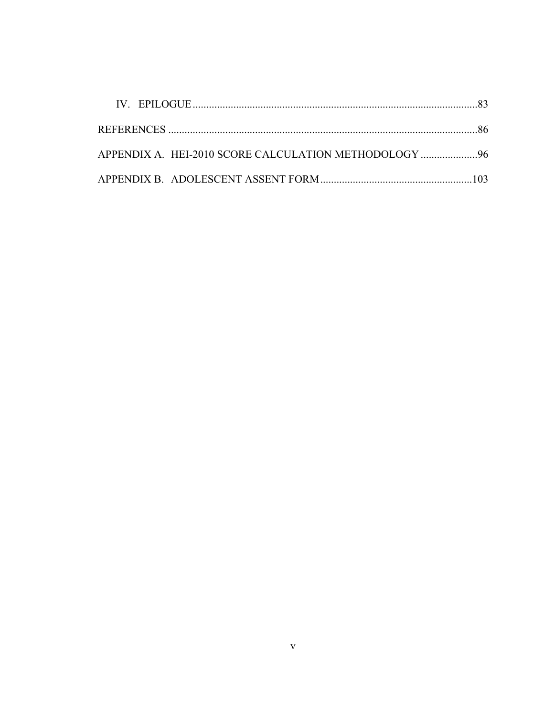| APPENDIX A. HEI-2010 SCORE CALCULATION METHODOLOGY 96 |  |
|-------------------------------------------------------|--|
|                                                       |  |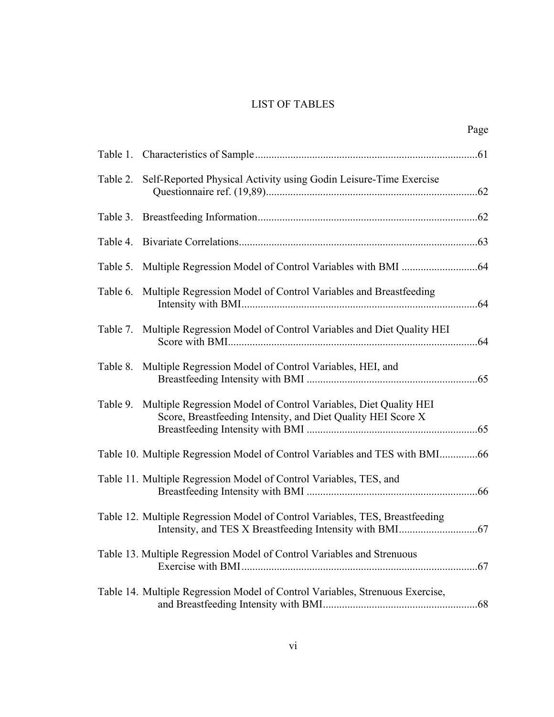# LIST OF TABLES

| Page                                                                                                                                      |
|-------------------------------------------------------------------------------------------------------------------------------------------|
|                                                                                                                                           |
| Table 2. Self-Reported Physical Activity using Godin Leisure-Time Exercise                                                                |
|                                                                                                                                           |
|                                                                                                                                           |
|                                                                                                                                           |
| Table 6. Multiple Regression Model of Control Variables and Breastfeeding                                                                 |
| Table 7. Multiple Regression Model of Control Variables and Diet Quality HEI                                                              |
| Table 8. Multiple Regression Model of Control Variables, HEI, and                                                                         |
| Table 9. Multiple Regression Model of Control Variables, Diet Quality HEI<br>Score, Breastfeeding Intensity, and Diet Quality HEI Score X |
| Table 10. Multiple Regression Model of Control Variables and TES with BMI66                                                               |
| Table 11. Multiple Regression Model of Control Variables, TES, and                                                                        |
| Table 12. Multiple Regression Model of Control Variables, TES, Breastfeeding                                                              |
| Table 13. Multiple Regression Model of Control Variables and Strenuous                                                                    |
| Table 14. Multiple Regression Model of Control Variables, Strenuous Exercise,                                                             |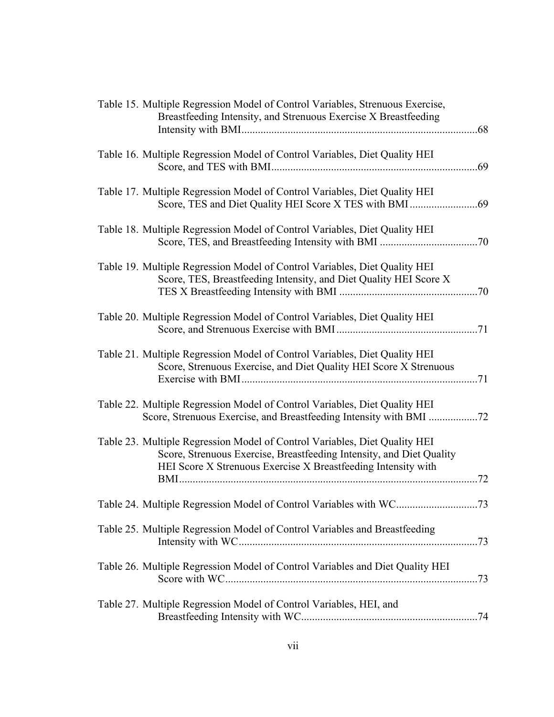| Table 15. Multiple Regression Model of Control Variables, Strenuous Exercise,<br>Breastfeeding Intensity, and Strenuous Exercise X Breastfeeding                                                                    |  |
|---------------------------------------------------------------------------------------------------------------------------------------------------------------------------------------------------------------------|--|
| Table 16. Multiple Regression Model of Control Variables, Diet Quality HEI                                                                                                                                          |  |
| Table 17. Multiple Regression Model of Control Variables, Diet Quality HEI                                                                                                                                          |  |
| Table 18. Multiple Regression Model of Control Variables, Diet Quality HEI                                                                                                                                          |  |
| Table 19. Multiple Regression Model of Control Variables, Diet Quality HEI<br>Score, TES, Breastfeeding Intensity, and Diet Quality HEI Score X                                                                     |  |
| Table 20. Multiple Regression Model of Control Variables, Diet Quality HEI                                                                                                                                          |  |
| Table 21. Multiple Regression Model of Control Variables, Diet Quality HEI<br>Score, Strenuous Exercise, and Diet Quality HEI Score X Strenuous                                                                     |  |
| Table 22. Multiple Regression Model of Control Variables, Diet Quality HEI<br>Score, Strenuous Exercise, and Breastfeeding Intensity with BMI 72                                                                    |  |
| Table 23. Multiple Regression Model of Control Variables, Diet Quality HEI<br>Score, Strenuous Exercise, Breastfeeding Intensity, and Diet Quality<br>HEI Score X Strenuous Exercise X Breastfeeding Intensity with |  |
|                                                                                                                                                                                                                     |  |
| Table 25. Multiple Regression Model of Control Variables and Breastfeeding                                                                                                                                          |  |
| Table 26. Multiple Regression Model of Control Variables and Diet Quality HEI                                                                                                                                       |  |
| Table 27. Multiple Regression Model of Control Variables, HEI, and                                                                                                                                                  |  |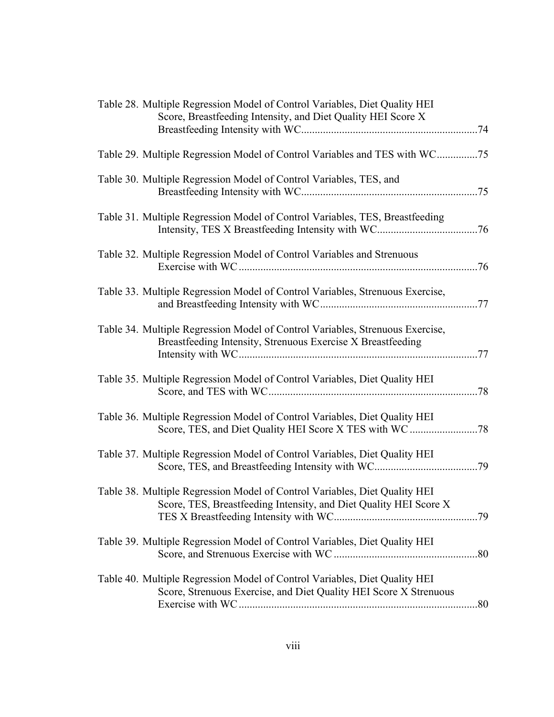| Table 28. Multiple Regression Model of Control Variables, Diet Quality HEI<br>Score, Breastfeeding Intensity, and Diet Quality HEI Score X      |
|-------------------------------------------------------------------------------------------------------------------------------------------------|
|                                                                                                                                                 |
| Table 29. Multiple Regression Model of Control Variables and TES with WC75                                                                      |
| Table 30. Multiple Regression Model of Control Variables, TES, and                                                                              |
| Table 31. Multiple Regression Model of Control Variables, TES, Breastfeeding                                                                    |
| Table 32. Multiple Regression Model of Control Variables and Strenuous                                                                          |
| Table 33. Multiple Regression Model of Control Variables, Strenuous Exercise,                                                                   |
| Table 34. Multiple Regression Model of Control Variables, Strenuous Exercise,<br>Breastfeeding Intensity, Strenuous Exercise X Breastfeeding    |
| Table 35. Multiple Regression Model of Control Variables, Diet Quality HEI                                                                      |
| Table 36. Multiple Regression Model of Control Variables, Diet Quality HEI                                                                      |
| Table 37. Multiple Regression Model of Control Variables, Diet Quality HEI                                                                      |
| Table 38. Multiple Regression Model of Control Variables, Diet Quality HEI<br>Score, TES, Breastfeeding Intensity, and Diet Quality HEI Score X |
| Table 39. Multiple Regression Model of Control Variables, Diet Quality HEI                                                                      |
| Table 40. Multiple Regression Model of Control Variables, Diet Quality HEI<br>Score, Strenuous Exercise, and Diet Quality HEI Score X Strenuous |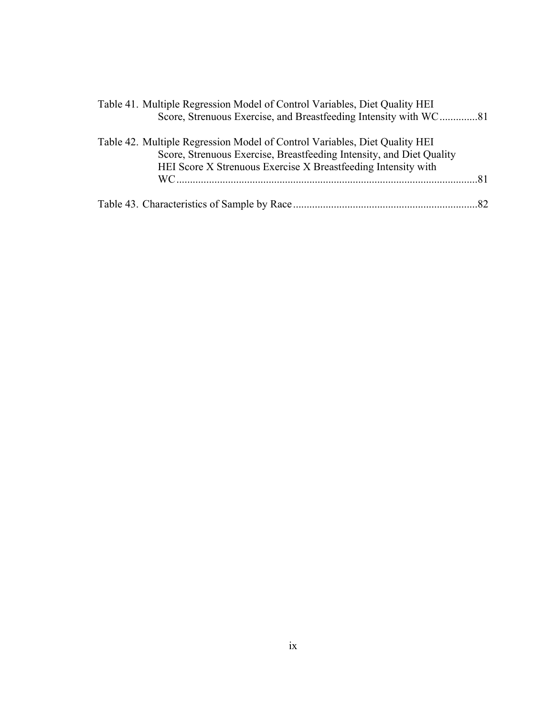| Table 41. Multiple Regression Model of Control Variables, Diet Quality HEI                                                                         |
|----------------------------------------------------------------------------------------------------------------------------------------------------|
| Score, Strenuous Exercise, and Breastfeeding Intensity with WC81                                                                                   |
| Table 42. Multiple Regression Model of Control Variables, Diet Quality HEI<br>Score, Strenuous Exercise, Breastfeeding Intensity, and Diet Quality |
| HEI Score X Strenuous Exercise X Breastfeeding Intensity with                                                                                      |
|                                                                                                                                                    |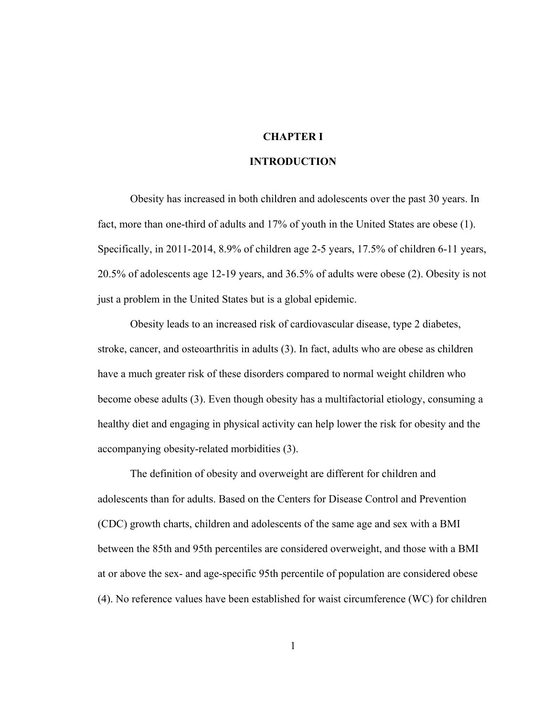# **CHAPTER I**

#### **INTRODUCTION**

Obesity has increased in both children and adolescents over the past 30 years. In fact, more than one-third of adults and 17% of youth in the United States are obese (1). Specifically, in 2011-2014, 8.9% of children age 2-5 years, 17.5% of children 6-11 years, 20.5% of adolescents age 12-19 years, and 36.5% of adults were obese (2). Obesity is not just a problem in the United States but is a global epidemic.

Obesity leads to an increased risk of cardiovascular disease, type 2 diabetes, stroke, cancer, and osteoarthritis in adults (3). In fact, adults who are obese as children have a much greater risk of these disorders compared to normal weight children who become obese adults (3). Even though obesity has a multifactorial etiology, consuming a healthy diet and engaging in physical activity can help lower the risk for obesity and the accompanying obesity-related morbidities (3).

The definition of obesity and overweight are different for children and adolescents than for adults. Based on the Centers for Disease Control and Prevention (CDC) growth charts, children and adolescents of the same age and sex with a BMI between the 85th and 95th percentiles are considered overweight, and those with a BMI at or above the sex- and age-specific 95th percentile of population are considered obese (4). No reference values have been established for waist circumference (WC) for children

1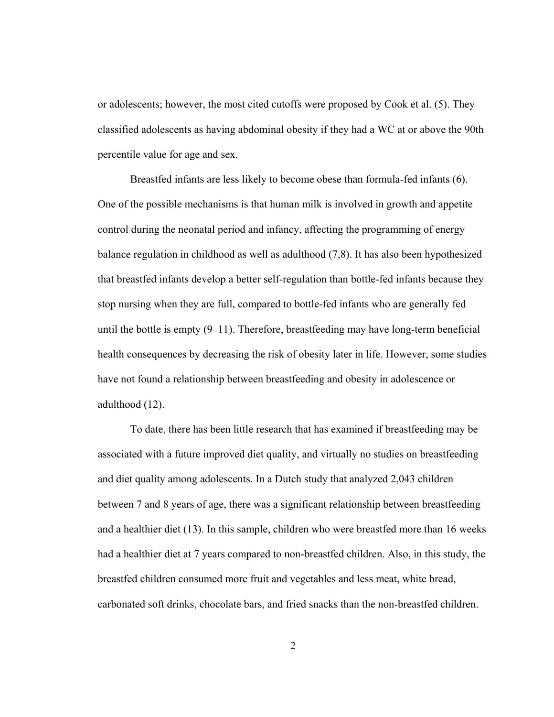or adolescents; however, the most cited cutoffs were proposed by Cook et al. (5). They classified adolescents as having abdominal obesity if they had a WC at or above the 90th percentile value for age and sex.

Breastfed infants are less likely to become obese than formula-fed infants (6). One of the possible mechanisms is that human milk is involved in growth and appetite control during the neonatal period and infancy, affecting the programming of energy balance regulation in childhood as well as adulthood (7,8). It has also been hypothesized that breastfed infants develop a better self-regulation than bottle-fed infants because they stop nursing when they are full, compared to bottle-fed infants who are generally fed until the bottle is empty  $(9-11)$ . Therefore, breastfeeding may have long-term beneficial health consequences by decreasing the risk of obesity later in life. However, some studies have not found a relationship between breastfeeding and obesity in adolescence or adulthood (12).

To date, there has been little research that has examined if breastfeeding may be associated with a future improved diet quality, and virtually no studies on breastfeeding and diet quality among adolescents. In a Dutch study that analyzed 2,043 children between 7 and 8 years of age, there was a significant relationship between breastfeeding and a healthier diet (13). In this sample, children who were breastfed more than 16 weeks had a healthier diet at 7 years compared to non-breastfed children. Also, in this study, the breastfed children consumed more fruit and vegetables and less meat, white bread, carbonated soft drinks, chocolate bars, and fried snacks than the non-breastfed children.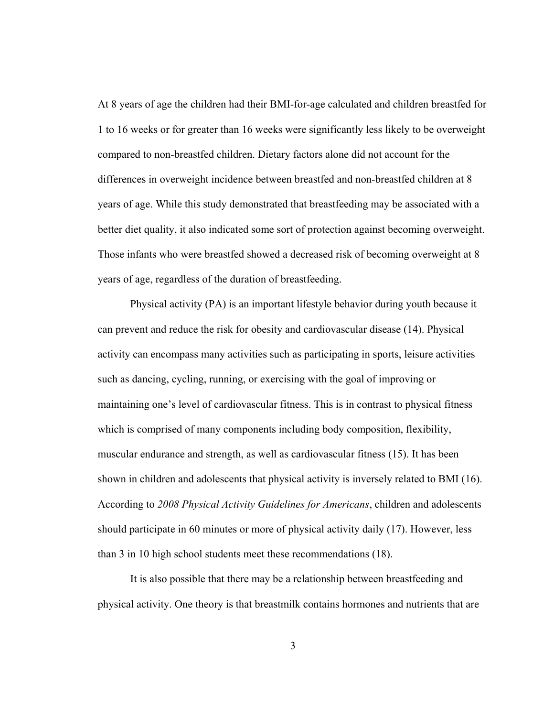At 8 years of age the children had their BMI-for-age calculated and children breastfed for 1 to 16 weeks or for greater than 16 weeks were significantly less likely to be overweight compared to non-breastfed children. Dietary factors alone did not account for the differences in overweight incidence between breastfed and non-breastfed children at 8 years of age. While this study demonstrated that breastfeeding may be associated with a better diet quality, it also indicated some sort of protection against becoming overweight. Those infants who were breastfed showed a decreased risk of becoming overweight at 8 years of age, regardless of the duration of breastfeeding.

Physical activity (PA) is an important lifestyle behavior during youth because it can prevent and reduce the risk for obesity and cardiovascular disease (14). Physical activity can encompass many activities such as participating in sports, leisure activities such as dancing, cycling, running, or exercising with the goal of improving or maintaining one's level of cardiovascular fitness. This is in contrast to physical fitness which is comprised of many components including body composition, flexibility, muscular endurance and strength, as well as cardiovascular fitness (15). It has been shown in children and adolescents that physical activity is inversely related to BMI (16). According to *2008 Physical Activity Guidelines for Americans*, children and adolescents should participate in 60 minutes or more of physical activity daily (17). However, less than 3 in 10 high school students meet these recommendations (18).

It is also possible that there may be a relationship between breastfeeding and physical activity. One theory is that breastmilk contains hormones and nutrients that are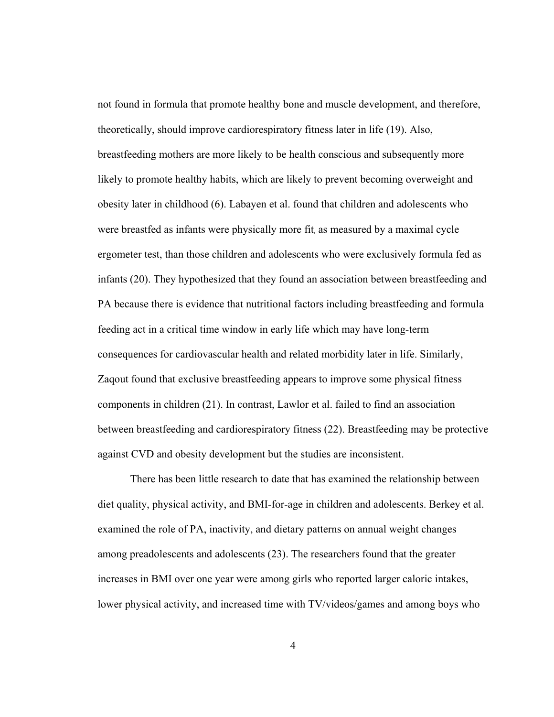not found in formula that promote healthy bone and muscle development, and therefore, theoretically, should improve cardiorespiratory fitness later in life (19). Also, breastfeeding mothers are more likely to be health conscious and subsequently more likely to promote healthy habits, which are likely to prevent becoming overweight and obesity later in childhood (6). Labayen et al. found that children and adolescents who were breastfed as infants were physically more fit, as measured by a maximal cycle ergometer test, than those children and adolescents who were exclusively formula fed as infants (20). They hypothesized that they found an association between breastfeeding and PA because there is evidence that nutritional factors including breastfeeding and formula feeding act in a critical time window in early life which may have long-term consequences for cardiovascular health and related morbidity later in life. Similarly, Zaqout found that exclusive breastfeeding appears to improve some physical fitness components in children (21). In contrast, Lawlor et al. failed to find an association between breastfeeding and cardiorespiratory fitness (22). Breastfeeding may be protective against CVD and obesity development but the studies are inconsistent.

There has been little research to date that has examined the relationship between diet quality, physical activity, and BMI-for-age in children and adolescents. Berkey et al. examined the role of PA, inactivity, and dietary patterns on annual weight changes among preadolescents and adolescents (23). The researchers found that the greater increases in BMI over one year were among girls who reported larger caloric intakes, lower physical activity, and increased time with TV/videos/games and among boys who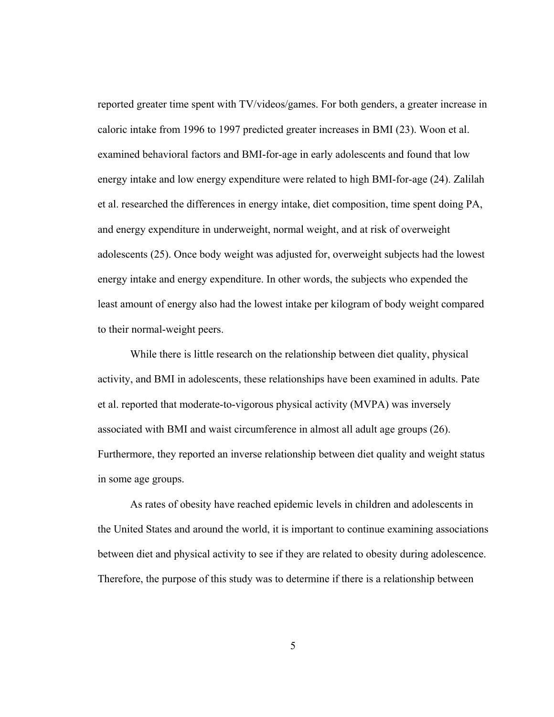reported greater time spent with TV/videos/games. For both genders, a greater increase in caloric intake from 1996 to 1997 predicted greater increases in BMI (23). Woon et al. examined behavioral factors and BMI-for-age in early adolescents and found that low energy intake and low energy expenditure were related to high BMI-for-age (24). Zalilah et al. researched the differences in energy intake, diet composition, time spent doing PA, and energy expenditure in underweight, normal weight, and at risk of overweight adolescents (25). Once body weight was adjusted for, overweight subjects had the lowest energy intake and energy expenditure. In other words, the subjects who expended the least amount of energy also had the lowest intake per kilogram of body weight compared to their normal-weight peers.

While there is little research on the relationship between diet quality, physical activity, and BMI in adolescents, these relationships have been examined in adults. Pate et al. reported that moderate-to-vigorous physical activity (MVPA) was inversely associated with BMI and waist circumference in almost all adult age groups (26). Furthermore, they reported an inverse relationship between diet quality and weight status in some age groups.

As rates of obesity have reached epidemic levels in children and adolescents in the United States and around the world, it is important to continue examining associations between diet and physical activity to see if they are related to obesity during adolescence. Therefore, the purpose of this study was to determine if there is a relationship between

5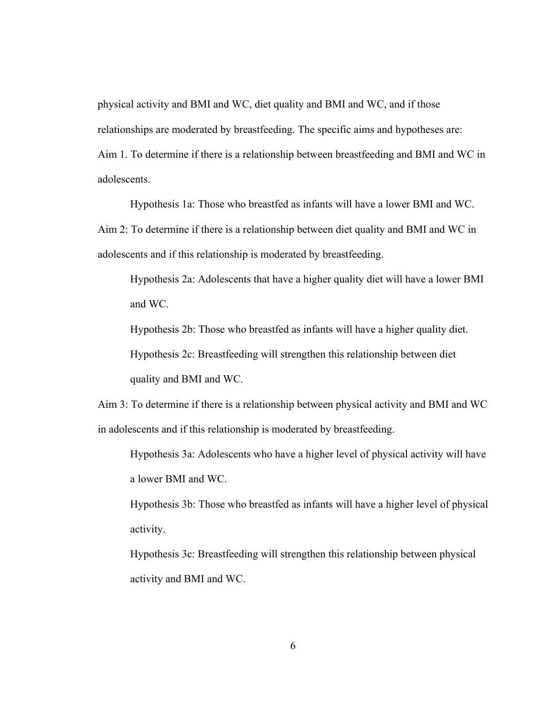physical activity and BMI and WC, diet quality and BMI and WC, and if those relationships are moderated by breastfeeding. The specific aims and hypotheses are: Aim 1. To determine if there is a relationship between breastfeeding and BMI and WC in adolescents.

 Hypothesis 1a: Those who breastfed as infants will have a lower BMI and WC. Aim 2: To determine if there is a relationship between diet quality and BMI and WC in adolescents and if this relationship is moderated by breastfeeding.

Hypothesis 2a: Adolescents that have a higher quality diet will have a lower BMI and WC.

Hypothesis 2b: Those who breastfed as infants will have a higher quality diet. Hypothesis 2c: Breastfeeding will strengthen this relationship between diet quality and BMI and WC.

Aim 3: To determine if there is a relationship between physical activity and BMI and WC in adolescents and if this relationship is moderated by breastfeeding.

Hypothesis 3a: Adolescents who have a higher level of physical activity will have a lower BMI and WC.

Hypothesis 3b: Those who breastfed as infants will have a higher level of physical activity.

Hypothesis 3c: Breastfeeding will strengthen this relationship between physical activity and BMI and WC.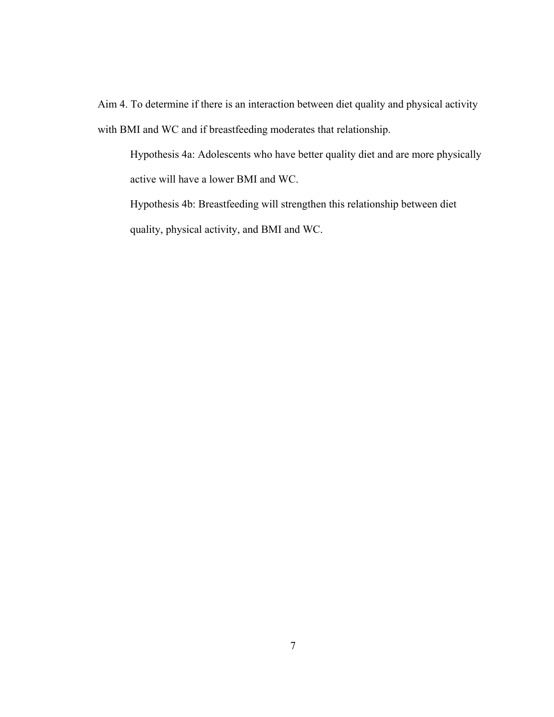Aim 4. To determine if there is an interaction between diet quality and physical activity with BMI and WC and if breastfeeding moderates that relationship.

Hypothesis 4a: Adolescents who have better quality diet and are more physically active will have a lower BMI and WC.

Hypothesis 4b: Breastfeeding will strengthen this relationship between diet quality, physical activity, and BMI and WC.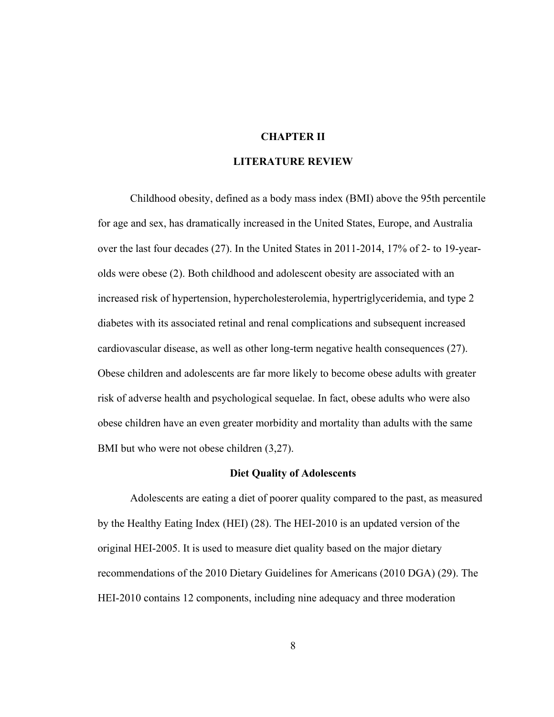# **CHAPTER II**

#### **LITERATURE REVIEW**

Childhood obesity, defined as a body mass index (BMI) above the 95th percentile for age and sex, has dramatically increased in the United States, Europe, and Australia over the last four decades (27). In the United States in 2011-2014, 17% of 2- to 19-yearolds were obese (2). Both childhood and adolescent obesity are associated with an increased risk of hypertension, hypercholesterolemia, hypertriglyceridemia, and type 2 diabetes with its associated retinal and renal complications and subsequent increased cardiovascular disease, as well as other long-term negative health consequences (27). Obese children and adolescents are far more likely to become obese adults with greater risk of adverse health and psychological sequelae. In fact, obese adults who were also obese children have an even greater morbidity and mortality than adults with the same BMI but who were not obese children (3,27).

#### **Diet Quality of Adolescents**

Adolescents are eating a diet of poorer quality compared to the past, as measured by the Healthy Eating Index (HEI) (28). The HEI-2010 is an updated version of the original HEI-2005. It is used to measure diet quality based on the major dietary recommendations of the 2010 Dietary Guidelines for Americans (2010 DGA) (29). The HEI-2010 contains 12 components, including nine adequacy and three moderation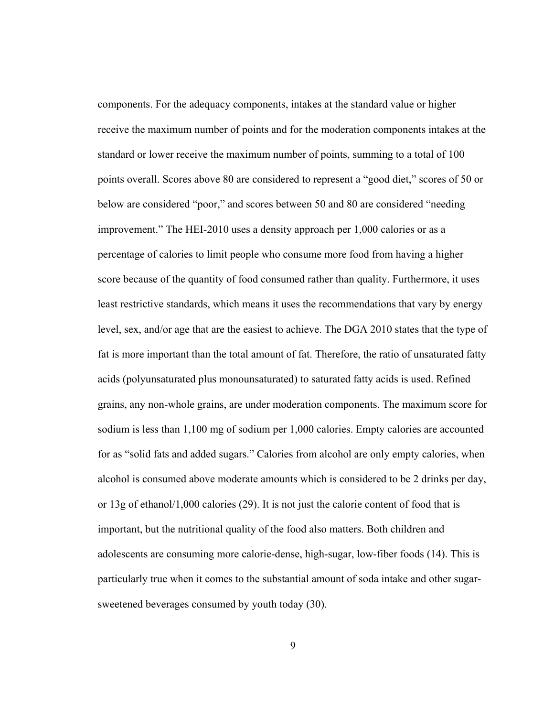components. For the adequacy components, intakes at the standard value or higher receive the maximum number of points and for the moderation components intakes at the standard or lower receive the maximum number of points, summing to a total of 100 points overall. Scores above 80 are considered to represent a "good diet," scores of 50 or below are considered "poor," and scores between 50 and 80 are considered "needing improvement." The HEI-2010 uses a density approach per 1,000 calories or as a percentage of calories to limit people who consume more food from having a higher score because of the quantity of food consumed rather than quality. Furthermore, it uses least restrictive standards, which means it uses the recommendations that vary by energy level, sex, and/or age that are the easiest to achieve. The DGA 2010 states that the type of fat is more important than the total amount of fat. Therefore, the ratio of unsaturated fatty acids (polyunsaturated plus monounsaturated) to saturated fatty acids is used. Refined grains, any non-whole grains, are under moderation components. The maximum score for sodium is less than 1,100 mg of sodium per 1,000 calories. Empty calories are accounted for as "solid fats and added sugars." Calories from alcohol are only empty calories, when alcohol is consumed above moderate amounts which is considered to be 2 drinks per day, or 13g of ethanol/1,000 calories (29). It is not just the calorie content of food that is important, but the nutritional quality of the food also matters. Both children and adolescents are consuming more calorie-dense, high-sugar, low-fiber foods (14). This is particularly true when it comes to the substantial amount of soda intake and other sugarsweetened beverages consumed by youth today (30).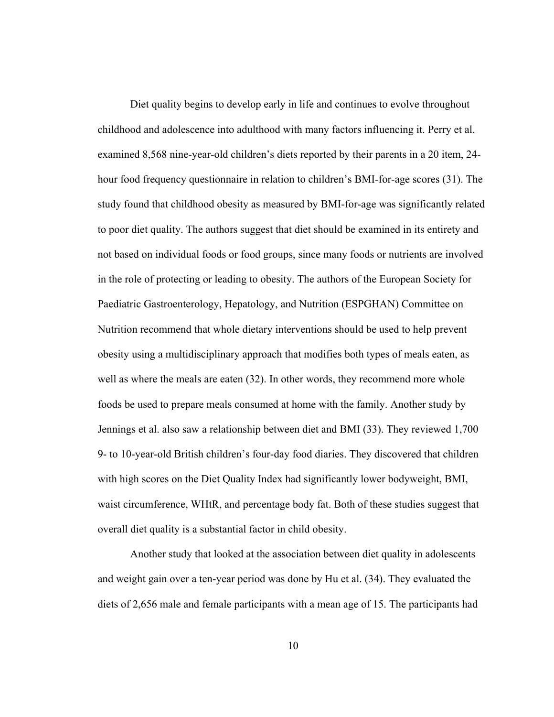Diet quality begins to develop early in life and continues to evolve throughout childhood and adolescence into adulthood with many factors influencing it. Perry et al. examined 8,568 nine-year-old children's diets reported by their parents in a 20 item, 24 hour food frequency questionnaire in relation to children's BMI-for-age scores (31). The study found that childhood obesity as measured by BMI-for-age was significantly related to poor diet quality. The authors suggest that diet should be examined in its entirety and not based on individual foods or food groups, since many foods or nutrients are involved in the role of protecting or leading to obesity. The authors of the European Society for Paediatric Gastroenterology, Hepatology, and Nutrition (ESPGHAN) Committee on Nutrition recommend that whole dietary interventions should be used to help prevent obesity using a multidisciplinary approach that modifies both types of meals eaten, as well as where the meals are eaten (32). In other words, they recommend more whole foods be used to prepare meals consumed at home with the family. Another study by Jennings et al. also saw a relationship between diet and BMI (33). They reviewed 1,700 9- to 10-year-old British children's four-day food diaries. They discovered that children with high scores on the Diet Quality Index had significantly lower bodyweight, BMI, waist circumference, WHtR, and percentage body fat. Both of these studies suggest that overall diet quality is a substantial factor in child obesity.

Another study that looked at the association between diet quality in adolescents and weight gain over a ten-year period was done by Hu et al. (34). They evaluated the diets of 2,656 male and female participants with a mean age of 15. The participants had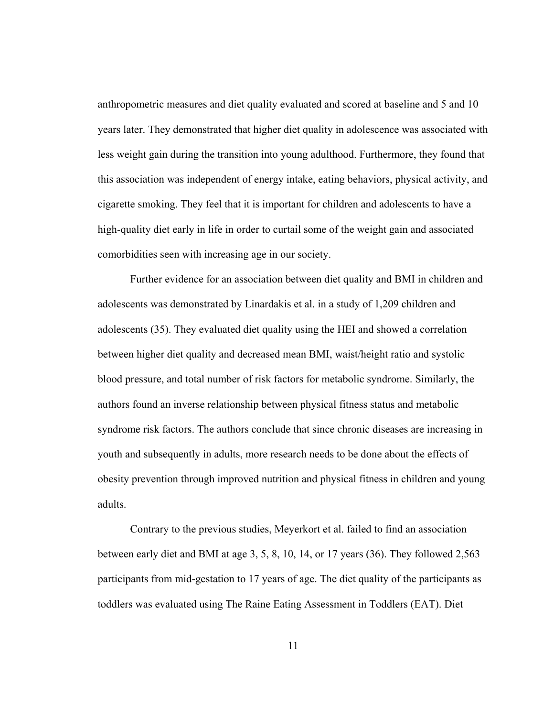anthropometric measures and diet quality evaluated and scored at baseline and 5 and 10 years later. They demonstrated that higher diet quality in adolescence was associated with less weight gain during the transition into young adulthood. Furthermore, they found that this association was independent of energy intake, eating behaviors, physical activity, and cigarette smoking. They feel that it is important for children and adolescents to have a high-quality diet early in life in order to curtail some of the weight gain and associated comorbidities seen with increasing age in our society.

Further evidence for an association between diet quality and BMI in children and adolescents was demonstrated by Linardakis et al. in a study of 1,209 children and adolescents (35). They evaluated diet quality using the HEI and showed a correlation between higher diet quality and decreased mean BMI, waist/height ratio and systolic blood pressure, and total number of risk factors for metabolic syndrome. Similarly, the authors found an inverse relationship between physical fitness status and metabolic syndrome risk factors. The authors conclude that since chronic diseases are increasing in youth and subsequently in adults, more research needs to be done about the effects of obesity prevention through improved nutrition and physical fitness in children and young adults.

Contrary to the previous studies, Meyerkort et al. failed to find an association between early diet and BMI at age  $3, 5, 8, 10, 14$ , or 17 years (36). They followed 2,563 participants from mid-gestation to 17 years of age. The diet quality of the participants as toddlers was evaluated using The Raine Eating Assessment in Toddlers (EAT). Diet

11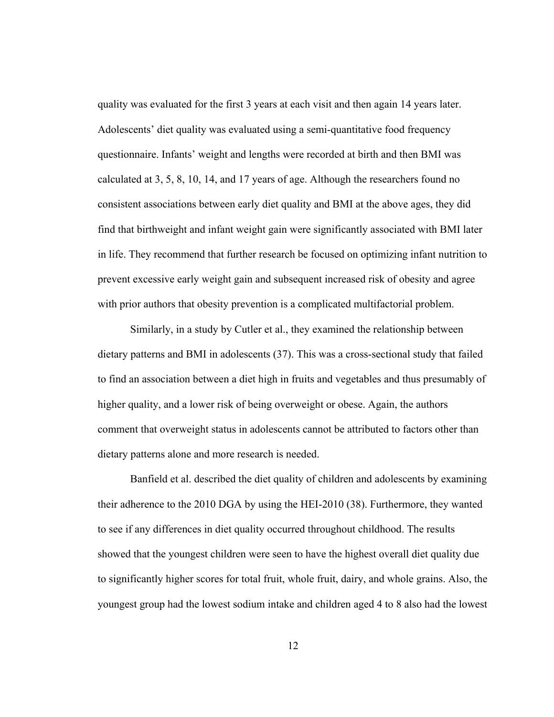quality was evaluated for the first 3 years at each visit and then again 14 years later. Adolescents' diet quality was evaluated using a semi-quantitative food frequency questionnaire. Infants' weight and lengths were recorded at birth and then BMI was calculated at 3, 5, 8, 10, 14, and 17 years of age. Although the researchers found no consistent associations between early diet quality and BMI at the above ages, they did find that birthweight and infant weight gain were significantly associated with BMI later in life. They recommend that further research be focused on optimizing infant nutrition to prevent excessive early weight gain and subsequent increased risk of obesity and agree with prior authors that obesity prevention is a complicated multifactorial problem.

Similarly, in a study by Cutler et al., they examined the relationship between dietary patterns and BMI in adolescents (37). This was a cross-sectional study that failed to find an association between a diet high in fruits and vegetables and thus presumably of higher quality, and a lower risk of being overweight or obese. Again, the authors comment that overweight status in adolescents cannot be attributed to factors other than dietary patterns alone and more research is needed.

Banfield et al. described the diet quality of children and adolescents by examining their adherence to the 2010 DGA by using the HEI-2010 (38). Furthermore, they wanted to see if any differences in diet quality occurred throughout childhood. The results showed that the youngest children were seen to have the highest overall diet quality due to significantly higher scores for total fruit, whole fruit, dairy, and whole grains. Also, the youngest group had the lowest sodium intake and children aged 4 to 8 also had the lowest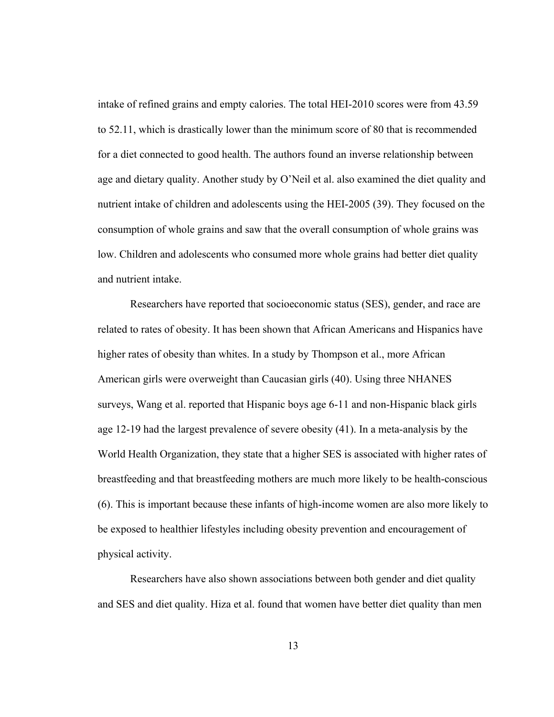intake of refined grains and empty calories. The total HEI-2010 scores were from 43.59 to 52.11, which is drastically lower than the minimum score of 80 that is recommended for a diet connected to good health. The authors found an inverse relationship between age and dietary quality. Another study by O'Neil et al. also examined the diet quality and nutrient intake of children and adolescents using the HEI-2005 (39). They focused on the consumption of whole grains and saw that the overall consumption of whole grains was low. Children and adolescents who consumed more whole grains had better diet quality and nutrient intake.

Researchers have reported that socioeconomic status (SES), gender, and race are related to rates of obesity. It has been shown that African Americans and Hispanics have higher rates of obesity than whites. In a study by Thompson et al., more African American girls were overweight than Caucasian girls (40). Using three NHANES surveys, Wang et al. reported that Hispanic boys age 6-11 and non-Hispanic black girls age 12-19 had the largest prevalence of severe obesity (41). In a meta-analysis by the World Health Organization, they state that a higher SES is associated with higher rates of breastfeeding and that breastfeeding mothers are much more likely to be health-conscious (6). This is important because these infants of high-income women are also more likely to be exposed to healthier lifestyles including obesity prevention and encouragement of physical activity.

Researchers have also shown associations between both gender and diet quality and SES and diet quality. Hiza et al. found that women have better diet quality than men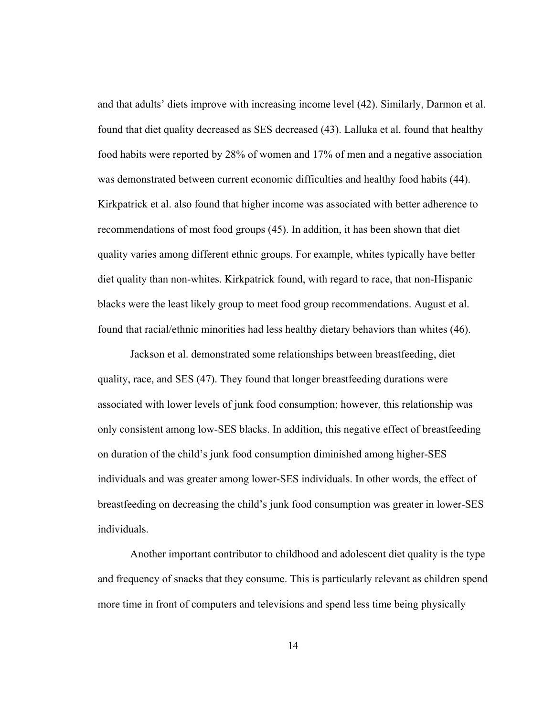and that adults' diets improve with increasing income level (42). Similarly, Darmon et al. found that diet quality decreased as SES decreased (43). Lalluka et al. found that healthy food habits were reported by 28% of women and 17% of men and a negative association was demonstrated between current economic difficulties and healthy food habits (44). Kirkpatrick et al. also found that higher income was associated with better adherence to recommendations of most food groups (45). In addition, it has been shown that diet quality varies among different ethnic groups. For example, whites typically have better diet quality than non-whites. Kirkpatrick found, with regard to race, that non-Hispanic blacks were the least likely group to meet food group recommendations. August et al. found that racial/ethnic minorities had less healthy dietary behaviors than whites (46).

Jackson et al. demonstrated some relationships between breastfeeding, diet quality, race, and SES (47). They found that longer breastfeeding durations were associated with lower levels of junk food consumption; however, this relationship was only consistent among low-SES blacks. In addition, this negative effect of breastfeeding on duration of the child's junk food consumption diminished among higher-SES individuals and was greater among lower-SES individuals. In other words, the effect of breastfeeding on decreasing the child's junk food consumption was greater in lower-SES individuals.

Another important contributor to childhood and adolescent diet quality is the type and frequency of snacks that they consume. This is particularly relevant as children spend more time in front of computers and televisions and spend less time being physically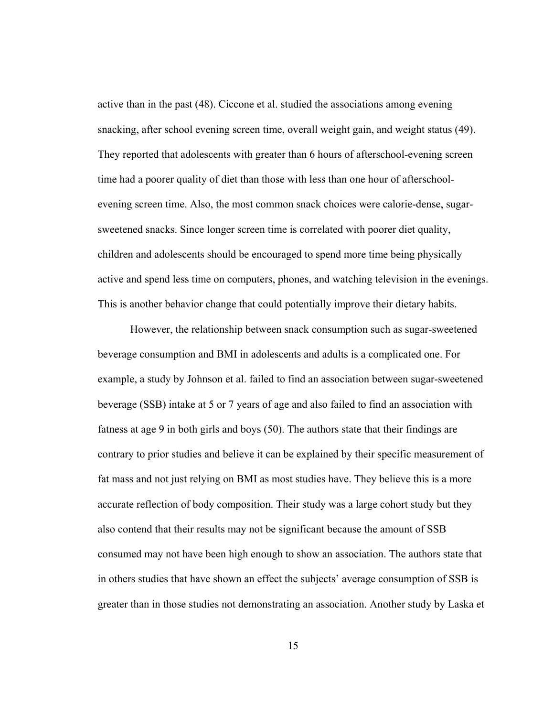active than in the past (48). Ciccone et al. studied the associations among evening snacking, after school evening screen time, overall weight gain, and weight status (49). They reported that adolescents with greater than 6 hours of afterschool-evening screen time had a poorer quality of diet than those with less than one hour of afterschoolevening screen time. Also, the most common snack choices were calorie-dense, sugarsweetened snacks. Since longer screen time is correlated with poorer diet quality, children and adolescents should be encouraged to spend more time being physically active and spend less time on computers, phones, and watching television in the evenings. This is another behavior change that could potentially improve their dietary habits.

However, the relationship between snack consumption such as sugar-sweetened beverage consumption and BMI in adolescents and adults is a complicated one. For example, a study by Johnson et al. failed to find an association between sugar-sweetened beverage (SSB) intake at 5 or 7 years of age and also failed to find an association with fatness at age 9 in both girls and boys (50). The authors state that their findings are contrary to prior studies and believe it can be explained by their specific measurement of fat mass and not just relying on BMI as most studies have. They believe this is a more accurate reflection of body composition. Their study was a large cohort study but they also contend that their results may not be significant because the amount of SSB consumed may not have been high enough to show an association. The authors state that in others studies that have shown an effect the subjects' average consumption of SSB is greater than in those studies not demonstrating an association. Another study by Laska et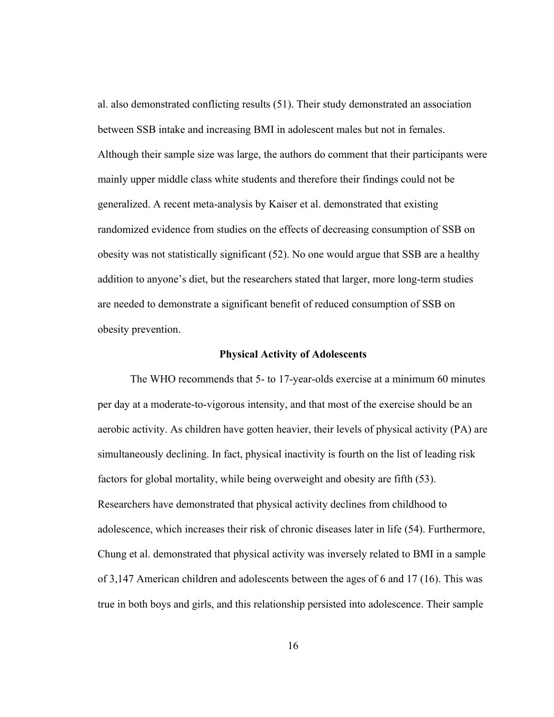al. also demonstrated conflicting results (51). Their study demonstrated an association between SSB intake and increasing BMI in adolescent males but not in females. Although their sample size was large, the authors do comment that their participants were mainly upper middle class white students and therefore their findings could not be generalized. A recent meta-analysis by Kaiser et al. demonstrated that existing randomized evidence from studies on the effects of decreasing consumption of SSB on obesity was not statistically significant (52). No one would argue that SSB are a healthy addition to anyone's diet, but the researchers stated that larger, more long-term studies are needed to demonstrate a significant benefit of reduced consumption of SSB on obesity prevention.

#### **Physical Activity of Adolescents**

The WHO recommends that 5- to 17-year-olds exercise at a minimum 60 minutes per day at a moderate-to-vigorous intensity, and that most of the exercise should be an aerobic activity. As children have gotten heavier, their levels of physical activity (PA) are simultaneously declining. In fact, physical inactivity is fourth on the list of leading risk factors for global mortality, while being overweight and obesity are fifth (53). Researchers have demonstrated that physical activity declines from childhood to adolescence, which increases their risk of chronic diseases later in life (54). Furthermore, Chung et al. demonstrated that physical activity was inversely related to BMI in a sample of 3,147 American children and adolescents between the ages of 6 and 17 (16). This was true in both boys and girls, and this relationship persisted into adolescence. Their sample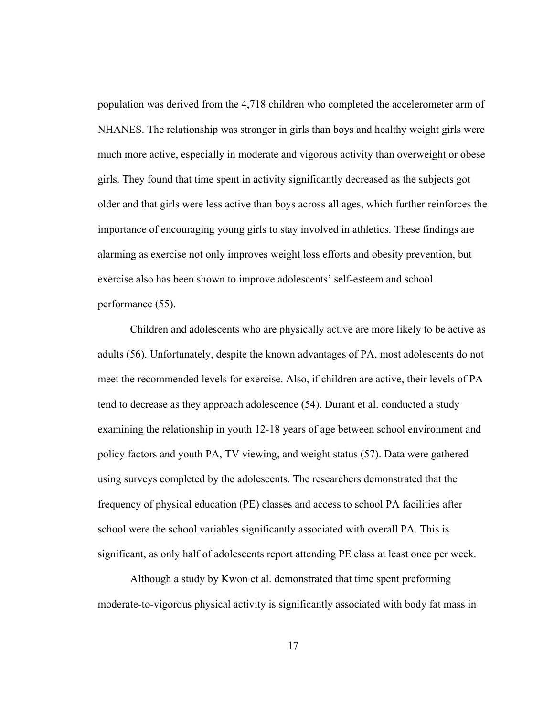population was derived from the 4,718 children who completed the accelerometer arm of NHANES. The relationship was stronger in girls than boys and healthy weight girls were much more active, especially in moderate and vigorous activity than overweight or obese girls. They found that time spent in activity significantly decreased as the subjects got older and that girls were less active than boys across all ages, which further reinforces the importance of encouraging young girls to stay involved in athletics. These findings are alarming as exercise not only improves weight loss efforts and obesity prevention, but exercise also has been shown to improve adolescents' self-esteem and school performance (55).

Children and adolescents who are physically active are more likely to be active as adults (56). Unfortunately, despite the known advantages of PA, most adolescents do not meet the recommended levels for exercise. Also, if children are active, their levels of PA tend to decrease as they approach adolescence (54). Durant et al. conducted a study examining the relationship in youth 12-18 years of age between school environment and policy factors and youth PA, TV viewing, and weight status (57). Data were gathered using surveys completed by the adolescents. The researchers demonstrated that the frequency of physical education (PE) classes and access to school PA facilities after school were the school variables significantly associated with overall PA. This is significant, as only half of adolescents report attending PE class at least once per week.

Although a study by Kwon et al. demonstrated that time spent preforming moderate-to-vigorous physical activity is significantly associated with body fat mass in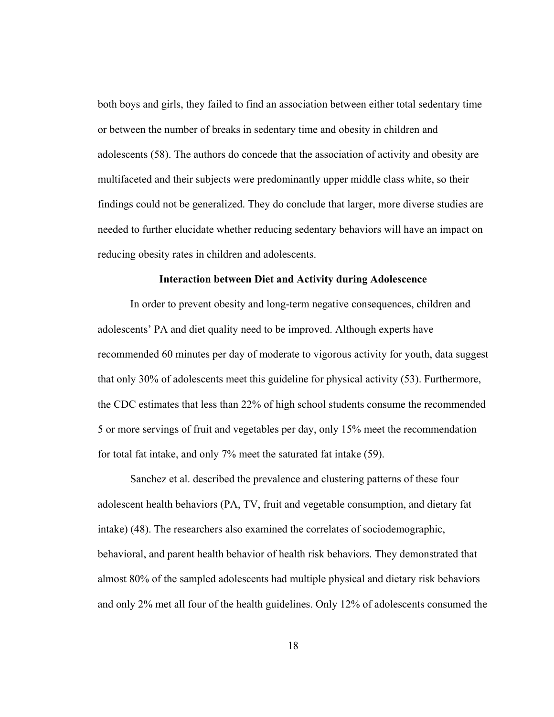both boys and girls, they failed to find an association between either total sedentary time or between the number of breaks in sedentary time and obesity in children and adolescents (58). The authors do concede that the association of activity and obesity are multifaceted and their subjects were predominantly upper middle class white, so their findings could not be generalized. They do conclude that larger, more diverse studies are needed to further elucidate whether reducing sedentary behaviors will have an impact on reducing obesity rates in children and adolescents.

#### **Interaction between Diet and Activity during Adolescence**

 In order to prevent obesity and long-term negative consequences, children and adolescents' PA and diet quality need to be improved. Although experts have recommended 60 minutes per day of moderate to vigorous activity for youth, data suggest that only 30% of adolescents meet this guideline for physical activity (53). Furthermore, the CDC estimates that less than 22% of high school students consume the recommended 5 or more servings of fruit and vegetables per day, only 15% meet the recommendation for total fat intake, and only 7% meet the saturated fat intake (59).

Sanchez et al. described the prevalence and clustering patterns of these four adolescent health behaviors (PA, TV, fruit and vegetable consumption, and dietary fat intake) (48). The researchers also examined the correlates of sociodemographic, behavioral, and parent health behavior of health risk behaviors. They demonstrated that almost 80% of the sampled adolescents had multiple physical and dietary risk behaviors and only 2% met all four of the health guidelines. Only 12% of adolescents consumed the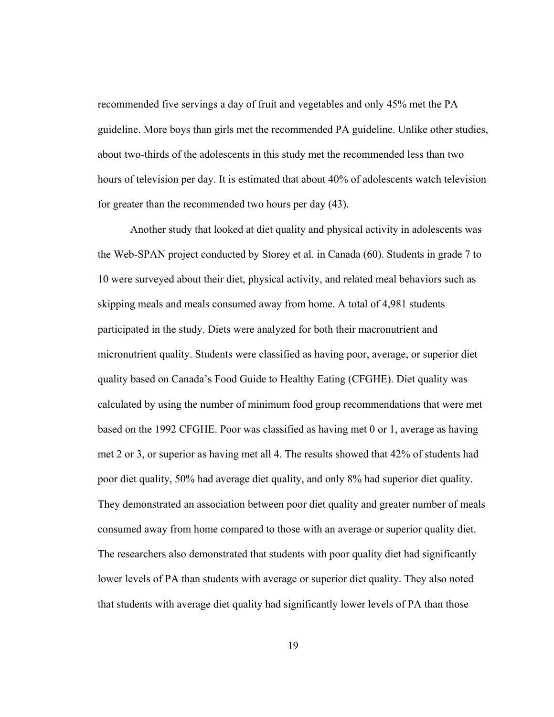recommended five servings a day of fruit and vegetables and only 45% met the PA guideline. More boys than girls met the recommended PA guideline. Unlike other studies, about two-thirds of the adolescents in this study met the recommended less than two hours of television per day. It is estimated that about 40% of adolescents watch television for greater than the recommended two hours per day (43).

 Another study that looked at diet quality and physical activity in adolescents was the Web-SPAN project conducted by Storey et al. in Canada (60). Students in grade 7 to 10 were surveyed about their diet, physical activity, and related meal behaviors such as skipping meals and meals consumed away from home. A total of 4,981 students participated in the study. Diets were analyzed for both their macronutrient and micronutrient quality. Students were classified as having poor, average, or superior diet quality based on Canada's Food Guide to Healthy Eating (CFGHE). Diet quality was calculated by using the number of minimum food group recommendations that were met based on the 1992 CFGHE. Poor was classified as having met 0 or 1, average as having met 2 or 3, or superior as having met all 4. The results showed that 42% of students had poor diet quality, 50% had average diet quality, and only 8% had superior diet quality. They demonstrated an association between poor diet quality and greater number of meals consumed away from home compared to those with an average or superior quality diet. The researchers also demonstrated that students with poor quality diet had significantly lower levels of PA than students with average or superior diet quality. They also noted that students with average diet quality had significantly lower levels of PA than those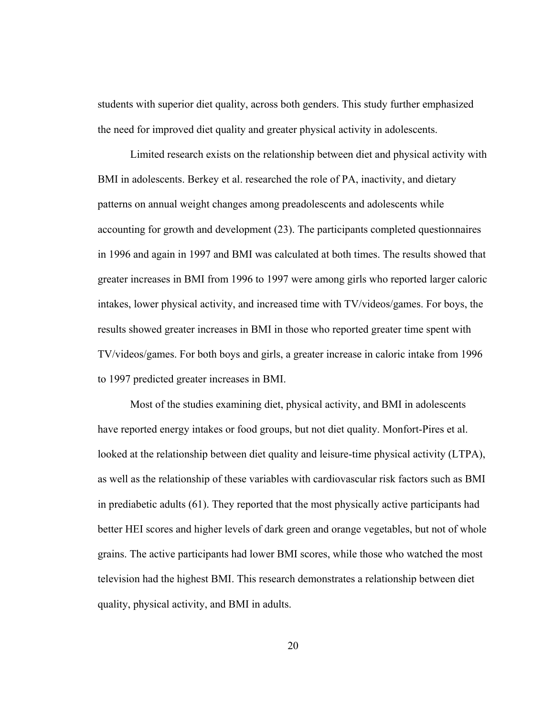students with superior diet quality, across both genders. This study further emphasized the need for improved diet quality and greater physical activity in adolescents.

 Limited research exists on the relationship between diet and physical activity with BMI in adolescents. Berkey et al. researched the role of PA, inactivity, and dietary patterns on annual weight changes among preadolescents and adolescents while accounting for growth and development (23). The participants completed questionnaires in 1996 and again in 1997 and BMI was calculated at both times. The results showed that greater increases in BMI from 1996 to 1997 were among girls who reported larger caloric intakes, lower physical activity, and increased time with TV/videos/games. For boys, the results showed greater increases in BMI in those who reported greater time spent with TV/videos/games. For both boys and girls, a greater increase in caloric intake from 1996 to 1997 predicted greater increases in BMI.

Most of the studies examining diet, physical activity, and BMI in adolescents have reported energy intakes or food groups, but not diet quality. Monfort-Pires et al. looked at the relationship between diet quality and leisure-time physical activity (LTPA), as well as the relationship of these variables with cardiovascular risk factors such as BMI in prediabetic adults (61). They reported that the most physically active participants had better HEI scores and higher levels of dark green and orange vegetables, but not of whole grains. The active participants had lower BMI scores, while those who watched the most television had the highest BMI. This research demonstrates a relationship between diet quality, physical activity, and BMI in adults.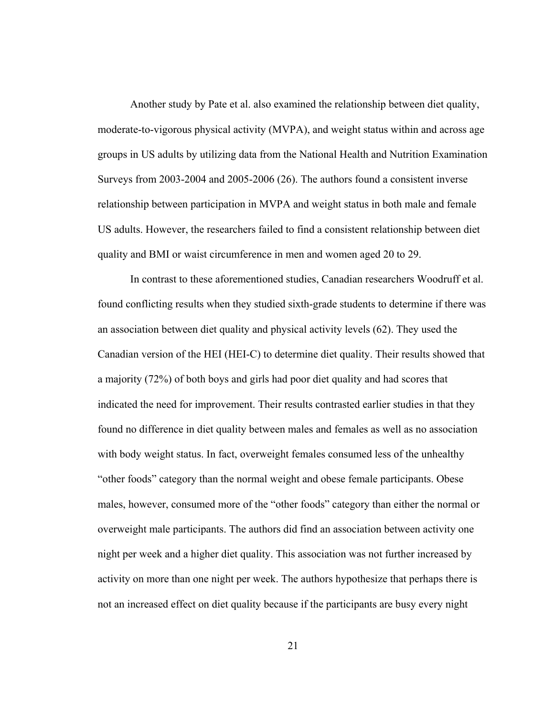Another study by Pate et al. also examined the relationship between diet quality, moderate-to-vigorous physical activity (MVPA), and weight status within and across age groups in US adults by utilizing data from the National Health and Nutrition Examination Surveys from 2003-2004 and 2005-2006 (26). The authors found a consistent inverse relationship between participation in MVPA and weight status in both male and female US adults. However, the researchers failed to find a consistent relationship between diet quality and BMI or waist circumference in men and women aged 20 to 29.

 In contrast to these aforementioned studies, Canadian researchers Woodruff et al. found conflicting results when they studied sixth-grade students to determine if there was an association between diet quality and physical activity levels (62). They used the Canadian version of the HEI (HEI-C) to determine diet quality. Their results showed that a majority (72%) of both boys and girls had poor diet quality and had scores that indicated the need for improvement. Their results contrasted earlier studies in that they found no difference in diet quality between males and females as well as no association with body weight status. In fact, overweight females consumed less of the unhealthy "other foods" category than the normal weight and obese female participants. Obese males, however, consumed more of the "other foods" category than either the normal or overweight male participants. The authors did find an association between activity one night per week and a higher diet quality. This association was not further increased by activity on more than one night per week. The authors hypothesize that perhaps there is not an increased effect on diet quality because if the participants are busy every night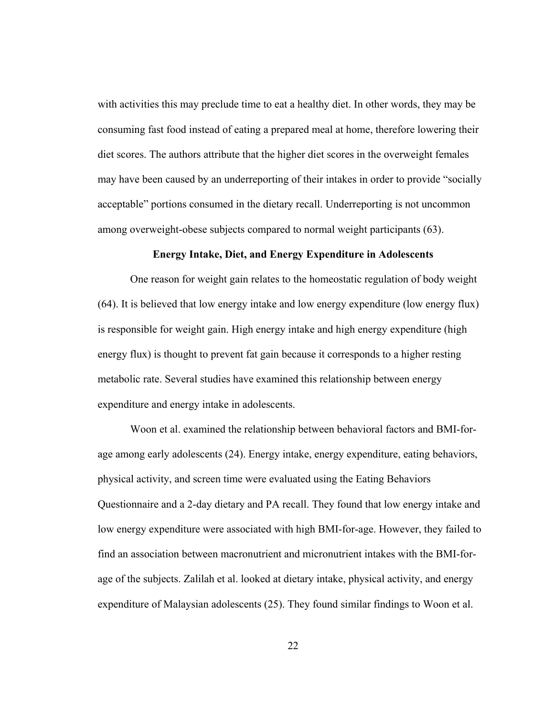with activities this may preclude time to eat a healthy diet. In other words, they may be consuming fast food instead of eating a prepared meal at home, therefore lowering their diet scores. The authors attribute that the higher diet scores in the overweight females may have been caused by an underreporting of their intakes in order to provide "socially acceptable" portions consumed in the dietary recall. Underreporting is not uncommon among overweight-obese subjects compared to normal weight participants (63).

### **Energy Intake, Diet, and Energy Expenditure in Adolescents**

 One reason for weight gain relates to the homeostatic regulation of body weight (64). It is believed that low energy intake and low energy expenditure (low energy flux) is responsible for weight gain. High energy intake and high energy expenditure (high energy flux) is thought to prevent fat gain because it corresponds to a higher resting metabolic rate. Several studies have examined this relationship between energy expenditure and energy intake in adolescents.

Woon et al. examined the relationship between behavioral factors and BMI-forage among early adolescents (24). Energy intake, energy expenditure, eating behaviors, physical activity, and screen time were evaluated using the Eating Behaviors Questionnaire and a 2-day dietary and PA recall. They found that low energy intake and low energy expenditure were associated with high BMI-for-age. However, they failed to find an association between macronutrient and micronutrient intakes with the BMI-forage of the subjects. Zalilah et al. looked at dietary intake, physical activity, and energy expenditure of Malaysian adolescents (25). They found similar findings to Woon et al.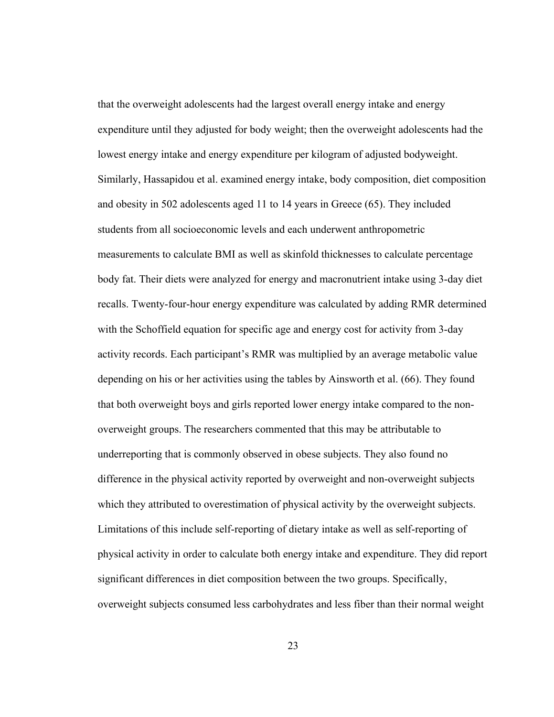that the overweight adolescents had the largest overall energy intake and energy expenditure until they adjusted for body weight; then the overweight adolescents had the lowest energy intake and energy expenditure per kilogram of adjusted bodyweight. Similarly, Hassapidou et al. examined energy intake, body composition, diet composition and obesity in 502 adolescents aged 11 to 14 years in Greece (65). They included students from all socioeconomic levels and each underwent anthropometric measurements to calculate BMI as well as skinfold thicknesses to calculate percentage body fat. Their diets were analyzed for energy and macronutrient intake using 3-day diet recalls. Twenty-four-hour energy expenditure was calculated by adding RMR determined with the Schoffield equation for specific age and energy cost for activity from 3-day activity records. Each participant's RMR was multiplied by an average metabolic value depending on his or her activities using the tables by Ainsworth et al. (66). They found that both overweight boys and girls reported lower energy intake compared to the nonoverweight groups. The researchers commented that this may be attributable to underreporting that is commonly observed in obese subjects. They also found no difference in the physical activity reported by overweight and non-overweight subjects which they attributed to overestimation of physical activity by the overweight subjects. Limitations of this include self-reporting of dietary intake as well as self-reporting of physical activity in order to calculate both energy intake and expenditure. They did report significant differences in diet composition between the two groups. Specifically, overweight subjects consumed less carbohydrates and less fiber than their normal weight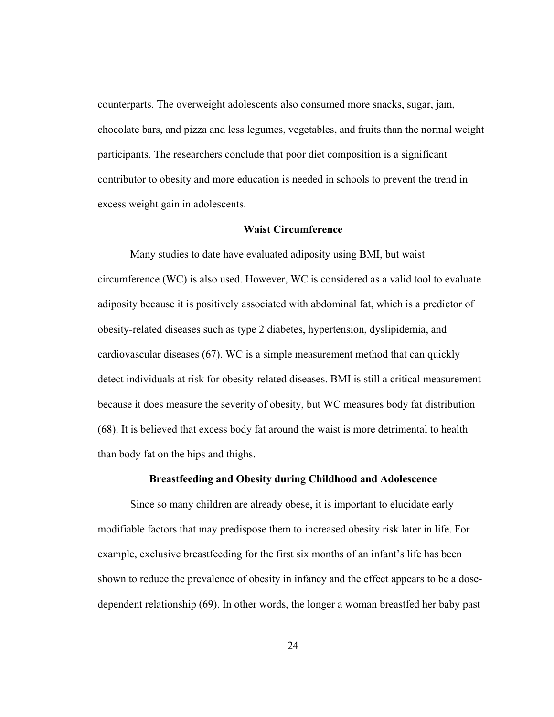counterparts. The overweight adolescents also consumed more snacks, sugar, jam, chocolate bars, and pizza and less legumes, vegetables, and fruits than the normal weight participants. The researchers conclude that poor diet composition is a significant contributor to obesity and more education is needed in schools to prevent the trend in excess weight gain in adolescents.

#### **Waist Circumference**

Many studies to date have evaluated adiposity using BMI, but waist circumference (WC) is also used. However, WC is considered as a valid tool to evaluate adiposity because it is positively associated with abdominal fat, which is a predictor of obesity-related diseases such as type 2 diabetes, hypertension, dyslipidemia, and cardiovascular diseases (67). WC is a simple measurement method that can quickly detect individuals at risk for obesity-related diseases. BMI is still a critical measurement because it does measure the severity of obesity, but WC measures body fat distribution (68). It is believed that excess body fat around the waist is more detrimental to health than body fat on the hips and thighs.

#### **Breastfeeding and Obesity during Childhood and Adolescence**

Since so many children are already obese, it is important to elucidate early modifiable factors that may predispose them to increased obesity risk later in life. For example, exclusive breastfeeding for the first six months of an infant's life has been shown to reduce the prevalence of obesity in infancy and the effect appears to be a dosedependent relationship (69). In other words, the longer a woman breastfed her baby past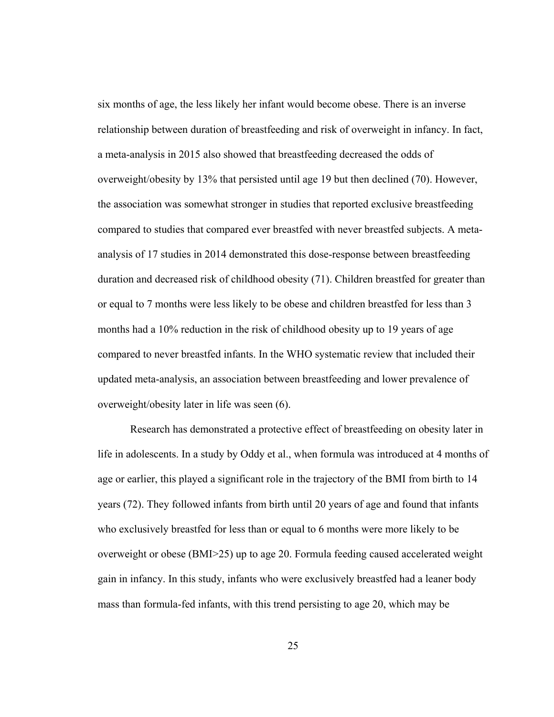six months of age, the less likely her infant would become obese. There is an inverse relationship between duration of breastfeeding and risk of overweight in infancy. In fact, a meta-analysis in 2015 also showed that breastfeeding decreased the odds of overweight/obesity by 13% that persisted until age 19 but then declined (70). However, the association was somewhat stronger in studies that reported exclusive breastfeeding compared to studies that compared ever breastfed with never breastfed subjects. A metaanalysis of 17 studies in 2014 demonstrated this dose-response between breastfeeding duration and decreased risk of childhood obesity (71). Children breastfed for greater than or equal to 7 months were less likely to be obese and children breastfed for less than 3 months had a 10% reduction in the risk of childhood obesity up to 19 years of age compared to never breastfed infants. In the WHO systematic review that included their updated meta-analysis, an association between breastfeeding and lower prevalence of overweight/obesity later in life was seen (6).

Research has demonstrated a protective effect of breastfeeding on obesity later in life in adolescents. In a study by Oddy et al., when formula was introduced at 4 months of age or earlier, this played a significant role in the trajectory of the BMI from birth to 14 years (72). They followed infants from birth until 20 years of age and found that infants who exclusively breastfed for less than or equal to 6 months were more likely to be overweight or obese (BMI>25) up to age 20. Formula feeding caused accelerated weight gain in infancy. In this study, infants who were exclusively breastfed had a leaner body mass than formula-fed infants, with this trend persisting to age 20, which may be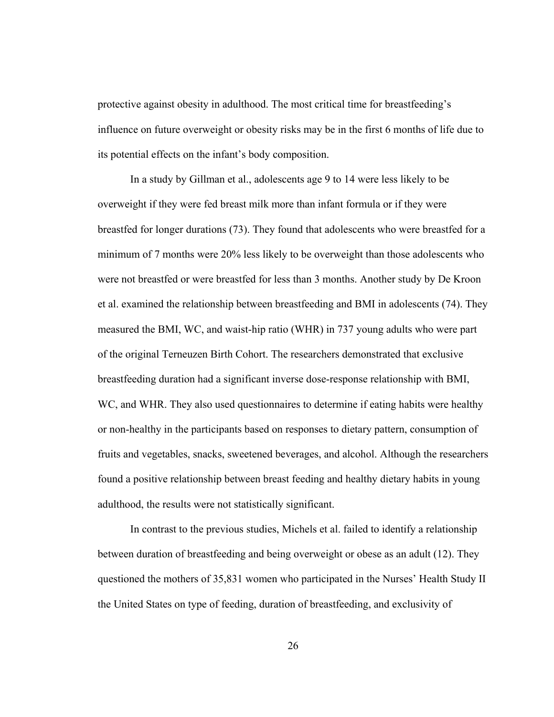protective against obesity in adulthood. The most critical time for breastfeeding's influence on future overweight or obesity risks may be in the first 6 months of life due to its potential effects on the infant's body composition.

In a study by Gillman et al., adolescents age 9 to 14 were less likely to be overweight if they were fed breast milk more than infant formula or if they were breastfed for longer durations (73). They found that adolescents who were breastfed for a minimum of 7 months were 20% less likely to be overweight than those adolescents who were not breastfed or were breastfed for less than 3 months. Another study by De Kroon et al. examined the relationship between breastfeeding and BMI in adolescents (74). They measured the BMI, WC, and waist-hip ratio (WHR) in 737 young adults who were part of the original Terneuzen Birth Cohort. The researchers demonstrated that exclusive breastfeeding duration had a significant inverse dose-response relationship with BMI, WC, and WHR. They also used questionnaires to determine if eating habits were healthy or non-healthy in the participants based on responses to dietary pattern, consumption of fruits and vegetables, snacks, sweetened beverages, and alcohol. Although the researchers found a positive relationship between breast feeding and healthy dietary habits in young adulthood, the results were not statistically significant.

In contrast to the previous studies, Michels et al. failed to identify a relationship between duration of breastfeeding and being overweight or obese as an adult (12). They questioned the mothers of 35,831 women who participated in the Nurses' Health Study II the United States on type of feeding, duration of breastfeeding, and exclusivity of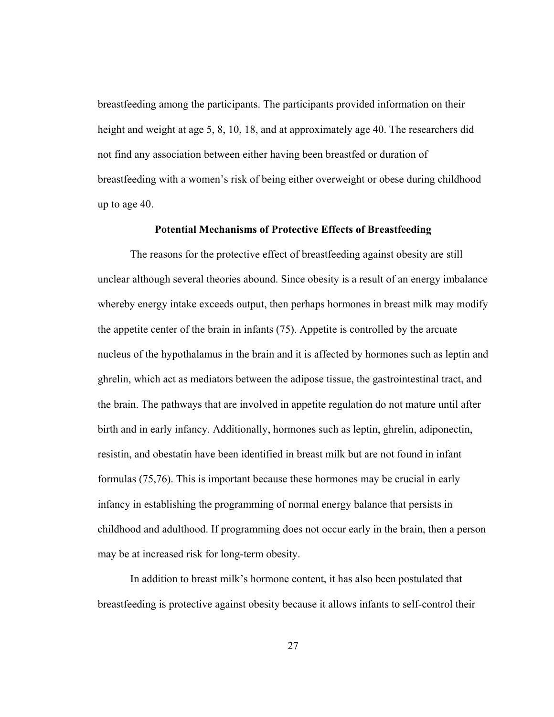breastfeeding among the participants. The participants provided information on their height and weight at age 5, 8, 10, 18, and at approximately age 40. The researchers did not find any association between either having been breastfed or duration of breastfeeding with a women's risk of being either overweight or obese during childhood up to age 40.

### **Potential Mechanisms of Protective Effects of Breastfeeding**

The reasons for the protective effect of breastfeeding against obesity are still unclear although several theories abound. Since obesity is a result of an energy imbalance whereby energy intake exceeds output, then perhaps hormones in breast milk may modify the appetite center of the brain in infants (75). Appetite is controlled by the arcuate nucleus of the hypothalamus in the brain and it is affected by hormones such as leptin and ghrelin, which act as mediators between the adipose tissue, the gastrointestinal tract, and the brain. The pathways that are involved in appetite regulation do not mature until after birth and in early infancy. Additionally, hormones such as leptin, ghrelin, adiponectin, resistin, and obestatin have been identified in breast milk but are not found in infant formulas (75,76). This is important because these hormones may be crucial in early infancy in establishing the programming of normal energy balance that persists in childhood and adulthood. If programming does not occur early in the brain, then a person may be at increased risk for long-term obesity.

In addition to breast milk's hormone content, it has also been postulated that breastfeeding is protective against obesity because it allows infants to self-control their

27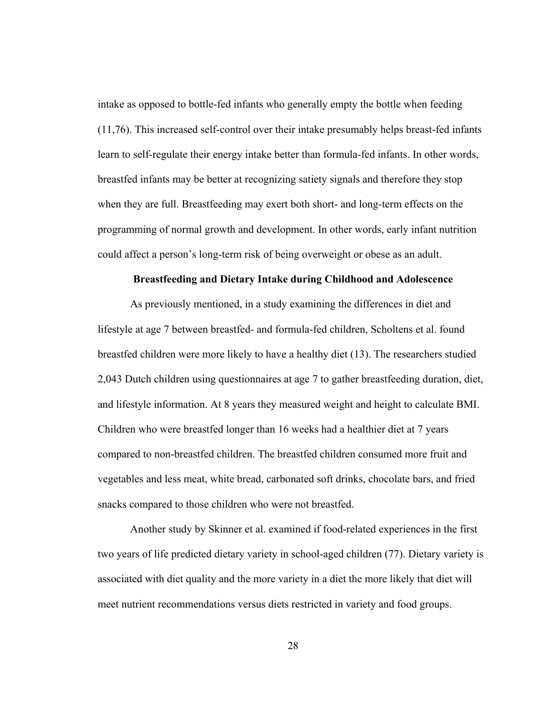intake as opposed to bottle-fed infants who generally empty the bottle when feeding (11,76). This increased self-control over their intake presumably helps breast-fed infants learn to self-regulate their energy intake better than formula-fed infants. In other words, breastfed infants may be better at recognizing satiety signals and therefore they stop when they are full. Breastfeeding may exert both short- and long-term effects on the programming of normal growth and development. In other words, early infant nutrition could affect a person's long-term risk of being overweight or obese as an adult.

### **Breastfeeding and Dietary Intake during Childhood and Adolescence**

As previously mentioned, in a study examining the differences in diet and lifestyle at age 7 between breastfed- and formula-fed children, Scholtens et al. found breastfed children were more likely to have a healthy diet (13). The researchers studied 2,043 Dutch children using questionnaires at age 7 to gather breastfeeding duration, diet, and lifestyle information. At 8 years they measured weight and height to calculate BMI. Children who were breastfed longer than 16 weeks had a healthier diet at 7 years compared to non-breastfed children. The breastfed children consumed more fruit and vegetables and less meat, white bread, carbonated soft drinks, chocolate bars, and fried snacks compared to those children who were not breastfed.

Another study by Skinner et al. examined if food-related experiences in the first two years of life predicted dietary variety in school-aged children (77). Dietary variety is associated with diet quality and the more variety in a diet the more likely that diet will meet nutrient recommendations versus diets restricted in variety and food groups.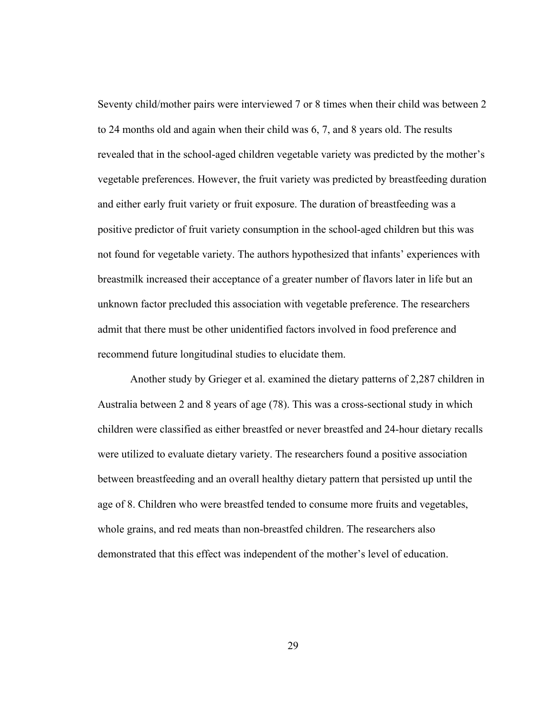Seventy child/mother pairs were interviewed 7 or 8 times when their child was between 2 to 24 months old and again when their child was 6, 7, and 8 years old. The results revealed that in the school-aged children vegetable variety was predicted by the mother's vegetable preferences. However, the fruit variety was predicted by breastfeeding duration and either early fruit variety or fruit exposure. The duration of breastfeeding was a positive predictor of fruit variety consumption in the school-aged children but this was not found for vegetable variety. The authors hypothesized that infants' experiences with breastmilk increased their acceptance of a greater number of flavors later in life but an unknown factor precluded this association with vegetable preference. The researchers admit that there must be other unidentified factors involved in food preference and recommend future longitudinal studies to elucidate them.

Another study by Grieger et al. examined the dietary patterns of 2,287 children in Australia between 2 and 8 years of age (78). This was a cross-sectional study in which children were classified as either breastfed or never breastfed and 24-hour dietary recalls were utilized to evaluate dietary variety. The researchers found a positive association between breastfeeding and an overall healthy dietary pattern that persisted up until the age of 8. Children who were breastfed tended to consume more fruits and vegetables, whole grains, and red meats than non-breastfed children. The researchers also demonstrated that this effect was independent of the mother's level of education.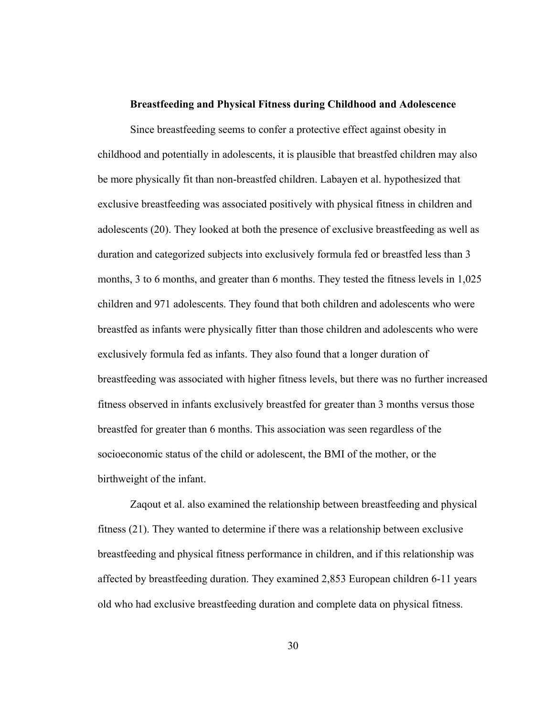#### **Breastfeeding and Physical Fitness during Childhood and Adolescence**

Since breastfeeding seems to confer a protective effect against obesity in childhood and potentially in adolescents, it is plausible that breastfed children may also be more physically fit than non-breastfed children. Labayen et al. hypothesized that exclusive breastfeeding was associated positively with physical fitness in children and adolescents (20). They looked at both the presence of exclusive breastfeeding as well as duration and categorized subjects into exclusively formula fed or breastfed less than 3 months, 3 to 6 months, and greater than 6 months. They tested the fitness levels in 1,025 children and 971 adolescents. They found that both children and adolescents who were breastfed as infants were physically fitter than those children and adolescents who were exclusively formula fed as infants. They also found that a longer duration of breastfeeding was associated with higher fitness levels, but there was no further increased fitness observed in infants exclusively breastfed for greater than 3 months versus those breastfed for greater than 6 months. This association was seen regardless of the socioeconomic status of the child or adolescent, the BMI of the mother, or the birthweight of the infant.

Zaqout et al. also examined the relationship between breastfeeding and physical fitness (21). They wanted to determine if there was a relationship between exclusive breastfeeding and physical fitness performance in children, and if this relationship was affected by breastfeeding duration. They examined 2,853 European children 6-11 years old who had exclusive breastfeeding duration and complete data on physical fitness.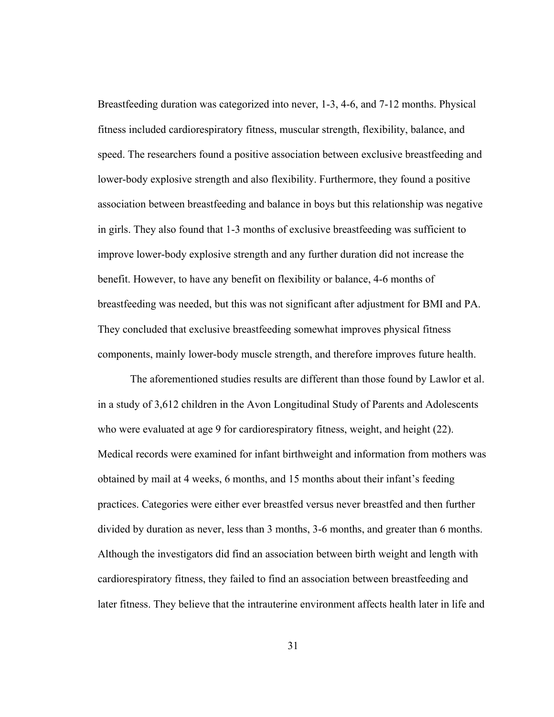Breastfeeding duration was categorized into never, 1-3, 4-6, and 7-12 months. Physical fitness included cardiorespiratory fitness, muscular strength, flexibility, balance, and speed. The researchers found a positive association between exclusive breastfeeding and lower-body explosive strength and also flexibility. Furthermore, they found a positive association between breastfeeding and balance in boys but this relationship was negative in girls. They also found that 1-3 months of exclusive breastfeeding was sufficient to improve lower-body explosive strength and any further duration did not increase the benefit. However, to have any benefit on flexibility or balance, 4-6 months of breastfeeding was needed, but this was not significant after adjustment for BMI and PA. They concluded that exclusive breastfeeding somewhat improves physical fitness components, mainly lower-body muscle strength, and therefore improves future health.

The aforementioned studies results are different than those found by Lawlor et al. in a study of 3,612 children in the Avon Longitudinal Study of Parents and Adolescents who were evaluated at age 9 for cardiorespiratory fitness, weight, and height (22). Medical records were examined for infant birthweight and information from mothers was obtained by mail at 4 weeks, 6 months, and 15 months about their infant's feeding practices. Categories were either ever breastfed versus never breastfed and then further divided by duration as never, less than 3 months, 3-6 months, and greater than 6 months. Although the investigators did find an association between birth weight and length with cardiorespiratory fitness, they failed to find an association between breastfeeding and later fitness. They believe that the intrauterine environment affects health later in life and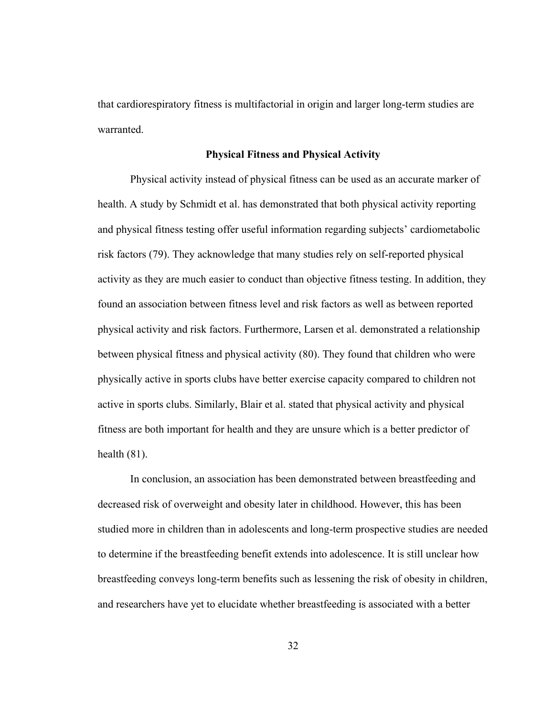that cardiorespiratory fitness is multifactorial in origin and larger long-term studies are warranted.

### **Physical Fitness and Physical Activity**

Physical activity instead of physical fitness can be used as an accurate marker of health. A study by Schmidt et al. has demonstrated that both physical activity reporting and physical fitness testing offer useful information regarding subjects' cardiometabolic risk factors (79). They acknowledge that many studies rely on self-reported physical activity as they are much easier to conduct than objective fitness testing. In addition, they found an association between fitness level and risk factors as well as between reported physical activity and risk factors. Furthermore, Larsen et al. demonstrated a relationship between physical fitness and physical activity (80). They found that children who were physically active in sports clubs have better exercise capacity compared to children not active in sports clubs. Similarly, Blair et al. stated that physical activity and physical fitness are both important for health and they are unsure which is a better predictor of health (81).

In conclusion, an association has been demonstrated between breastfeeding and decreased risk of overweight and obesity later in childhood. However, this has been studied more in children than in adolescents and long-term prospective studies are needed to determine if the breastfeeding benefit extends into adolescence. It is still unclear how breastfeeding conveys long-term benefits such as lessening the risk of obesity in children, and researchers have yet to elucidate whether breastfeeding is associated with a better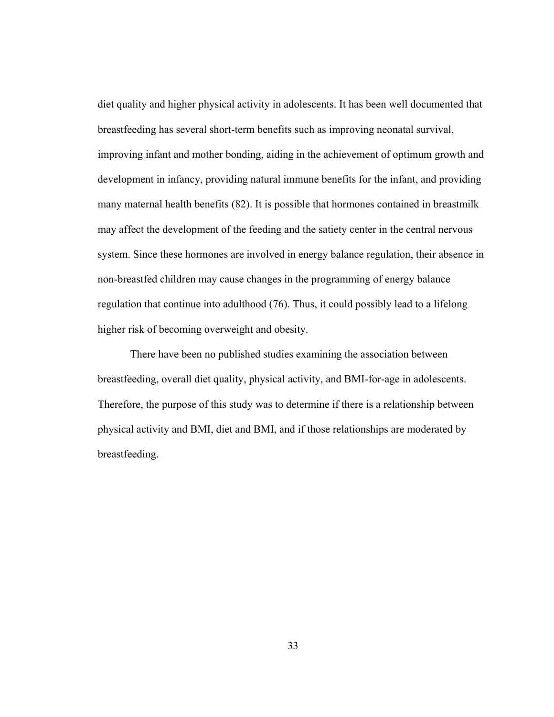diet quality and higher physical activity in adolescents. It has been well documented that breastfeeding has several short-term benefits such as improving neonatal survival, improving infant and mother bonding, aiding in the achievement of optimum growth and development in infancy, providing natural immune benefits for the infant, and providing many maternal health benefits (82). It is possible that hormones contained in breastmilk may affect the development of the feeding and the satiety center in the central nervous system. Since these hormones are involved in energy balance regulation, their absence in non-breastfed children may cause changes in the programming of energy balance regulation that continue into adulthood (76). Thus, it could possibly lead to a lifelong higher risk of becoming overweight and obesity.

There have been no published studies examining the association between breastfeeding, overall diet quality, physical activity, and BMI-for-age in adolescents. Therefore, the purpose of this study was to determine if there is a relationship between physical activity and BMI, diet and BMI, and if those relationships are moderated by breastfeeding.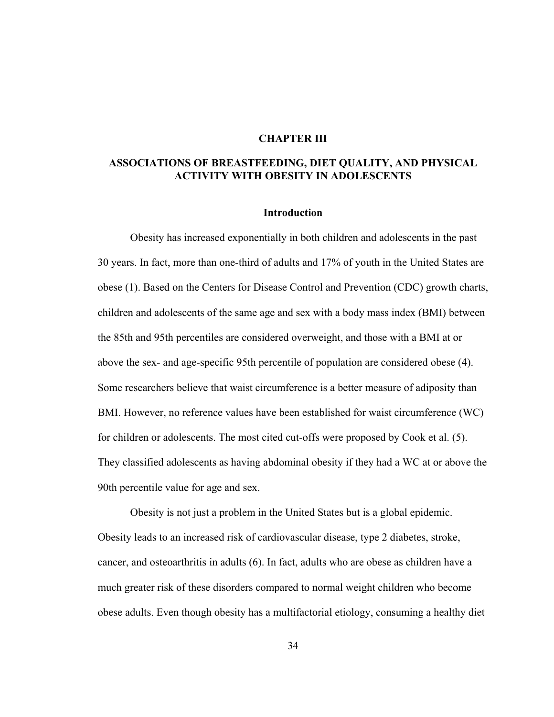### **CHAPTER III**

# **ASSOCIATIONS OF BREASTFEEDING, DIET QUALITY, AND PHYSICAL ACTIVITY WITH OBESITY IN ADOLESCENTS**

#### **Introduction**

Obesity has increased exponentially in both children and adolescents in the past 30 years. In fact, more than one-third of adults and 17% of youth in the United States are obese (1). Based on the Centers for Disease Control and Prevention (CDC) growth charts, children and adolescents of the same age and sex with a body mass index (BMI) between the 85th and 95th percentiles are considered overweight, and those with a BMI at or above the sex- and age-specific 95th percentile of population are considered obese (4). Some researchers believe that waist circumference is a better measure of adiposity than BMI. However, no reference values have been established for waist circumference (WC) for children or adolescents. The most cited cut-offs were proposed by Cook et al. (5). They classified adolescents as having abdominal obesity if they had a WC at or above the 90th percentile value for age and sex.

Obesity is not just a problem in the United States but is a global epidemic. Obesity leads to an increased risk of cardiovascular disease, type 2 diabetes, stroke, cancer, and osteoarthritis in adults (6). In fact, adults who are obese as children have a much greater risk of these disorders compared to normal weight children who become obese adults. Even though obesity has a multifactorial etiology, consuming a healthy diet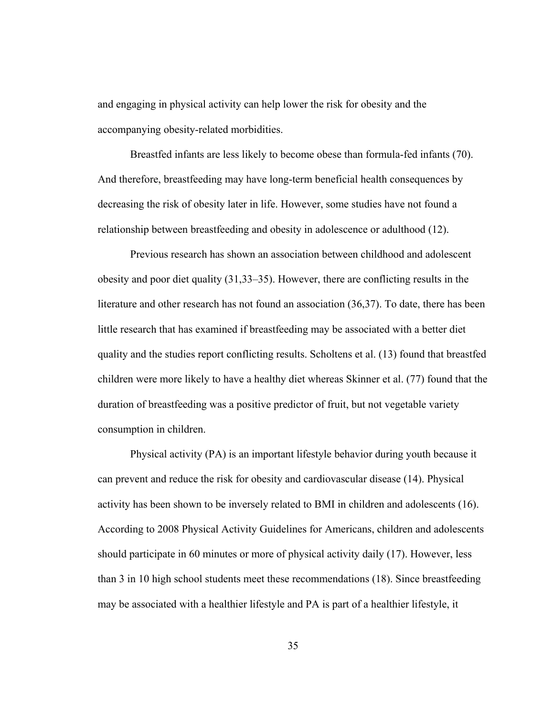and engaging in physical activity can help lower the risk for obesity and the accompanying obesity-related morbidities.

Breastfed infants are less likely to become obese than formula-fed infants (70). And therefore, breastfeeding may have long-term beneficial health consequences by decreasing the risk of obesity later in life. However, some studies have not found a relationship between breastfeeding and obesity in adolescence or adulthood (12).

Previous research has shown an association between childhood and adolescent obesity and poor diet quality (31,33–35). However, there are conflicting results in the literature and other research has not found an association (36,37). To date, there has been little research that has examined if breastfeeding may be associated with a better diet quality and the studies report conflicting results. Scholtens et al. (13) found that breastfed children were more likely to have a healthy diet whereas Skinner et al. (77) found that the duration of breastfeeding was a positive predictor of fruit, but not vegetable variety consumption in children.

Physical activity (PA) is an important lifestyle behavior during youth because it can prevent and reduce the risk for obesity and cardiovascular disease (14). Physical activity has been shown to be inversely related to BMI in children and adolescents (16). According to 2008 Physical Activity Guidelines for Americans, children and adolescents should participate in 60 minutes or more of physical activity daily (17). However, less than 3 in 10 high school students meet these recommendations (18). Since breastfeeding may be associated with a healthier lifestyle and PA is part of a healthier lifestyle, it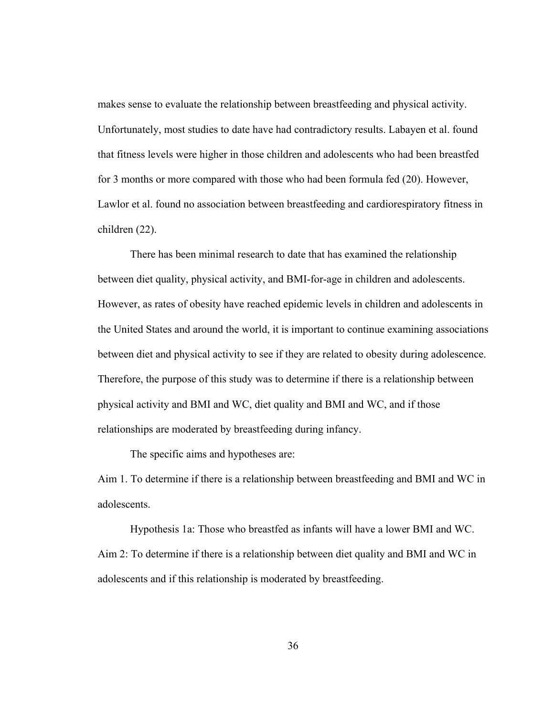makes sense to evaluate the relationship between breastfeeding and physical activity. Unfortunately, most studies to date have had contradictory results. Labayen et al. found that fitness levels were higher in those children and adolescents who had been breastfed for 3 months or more compared with those who had been formula fed (20). However, Lawlor et al. found no association between breastfeeding and cardiorespiratory fitness in children (22).

There has been minimal research to date that has examined the relationship between diet quality, physical activity, and BMI-for-age in children and adolescents. However, as rates of obesity have reached epidemic levels in children and adolescents in the United States and around the world, it is important to continue examining associations between diet and physical activity to see if they are related to obesity during adolescence. Therefore, the purpose of this study was to determine if there is a relationship between physical activity and BMI and WC, diet quality and BMI and WC, and if those relationships are moderated by breastfeeding during infancy.

The specific aims and hypotheses are:

Aim 1. To determine if there is a relationship between breastfeeding and BMI and WC in adolescents.

 Hypothesis 1a: Those who breastfed as infants will have a lower BMI and WC. Aim 2: To determine if there is a relationship between diet quality and BMI and WC in adolescents and if this relationship is moderated by breastfeeding.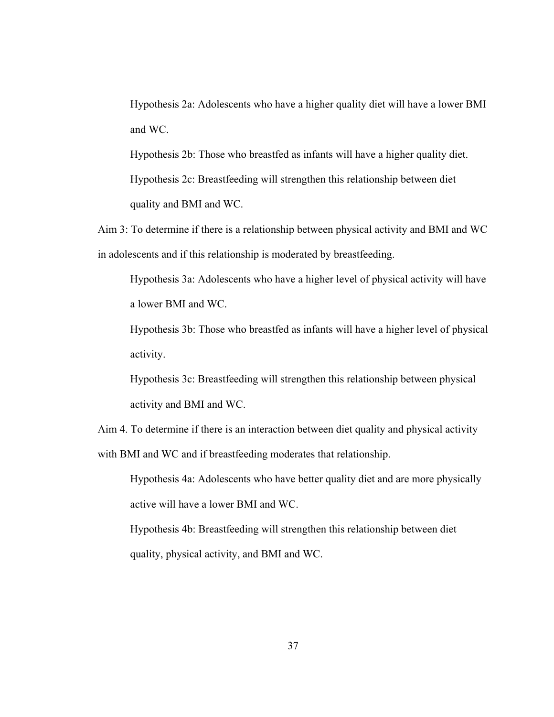Hypothesis 2a: Adolescents who have a higher quality diet will have a lower BMI and WC.

Hypothesis 2b: Those who breastfed as infants will have a higher quality diet. Hypothesis 2c: Breastfeeding will strengthen this relationship between diet quality and BMI and WC.

Aim 3: To determine if there is a relationship between physical activity and BMI and WC in adolescents and if this relationship is moderated by breastfeeding.

Hypothesis 3a: Adolescents who have a higher level of physical activity will have a lower BMI and WC.

Hypothesis 3b: Those who breastfed as infants will have a higher level of physical activity.

Hypothesis 3c: Breastfeeding will strengthen this relationship between physical activity and BMI and WC.

Aim 4. To determine if there is an interaction between diet quality and physical activity with BMI and WC and if breastfeeding moderates that relationship.

Hypothesis 4a: Adolescents who have better quality diet and are more physically active will have a lower BMI and WC.

Hypothesis 4b: Breastfeeding will strengthen this relationship between diet quality, physical activity, and BMI and WC.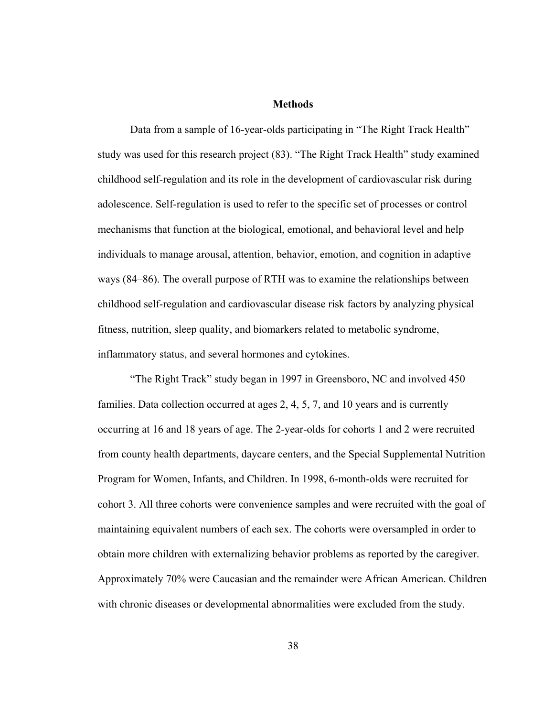## **Methods**

Data from a sample of 16-year-olds participating in "The Right Track Health" study was used for this research project (83). "The Right Track Health" study examined childhood self-regulation and its role in the development of cardiovascular risk during adolescence. Self-regulation is used to refer to the specific set of processes or control mechanisms that function at the biological, emotional, and behavioral level and help individuals to manage arousal, attention, behavior, emotion, and cognition in adaptive ways (84–86). The overall purpose of RTH was to examine the relationships between childhood self-regulation and cardiovascular disease risk factors by analyzing physical fitness, nutrition, sleep quality, and biomarkers related to metabolic syndrome, inflammatory status, and several hormones and cytokines.

"The Right Track" study began in 1997 in Greensboro, NC and involved 450 families. Data collection occurred at ages 2, 4, 5, 7, and 10 years and is currently occurring at 16 and 18 years of age. The 2-year-olds for cohorts 1 and 2 were recruited from county health departments, daycare centers, and the Special Supplemental Nutrition Program for Women, Infants, and Children. In 1998, 6-month-olds were recruited for cohort 3. All three cohorts were convenience samples and were recruited with the goal of maintaining equivalent numbers of each sex. The cohorts were oversampled in order to obtain more children with externalizing behavior problems as reported by the caregiver. Approximately 70% were Caucasian and the remainder were African American. Children with chronic diseases or developmental abnormalities were excluded from the study.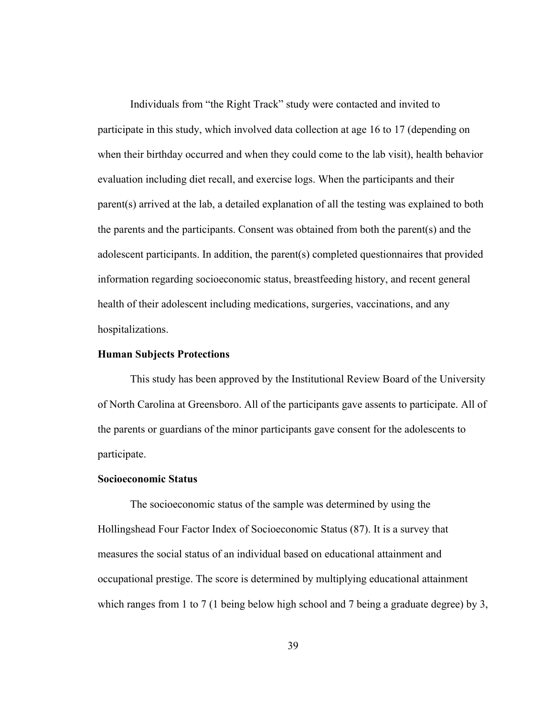Individuals from "the Right Track" study were contacted and invited to participate in this study, which involved data collection at age 16 to 17 (depending on when their birthday occurred and when they could come to the lab visit), health behavior evaluation including diet recall, and exercise logs. When the participants and their parent(s) arrived at the lab, a detailed explanation of all the testing was explained to both the parents and the participants. Consent was obtained from both the parent(s) and the adolescent participants. In addition, the parent(s) completed questionnaires that provided information regarding socioeconomic status, breastfeeding history, and recent general health of their adolescent including medications, surgeries, vaccinations, and any hospitalizations.

### **Human Subjects Protections**

This study has been approved by the Institutional Review Board of the University of North Carolina at Greensboro. All of the participants gave assents to participate. All of the parents or guardians of the minor participants gave consent for the adolescents to participate.

# **Socioeconomic Status**

The socioeconomic status of the sample was determined by using the Hollingshead Four Factor Index of Socioeconomic Status (87). It is a survey that measures the social status of an individual based on educational attainment and occupational prestige. The score is determined by multiplying educational attainment which ranges from 1 to 7 (1 being below high school and 7 being a graduate degree) by 3,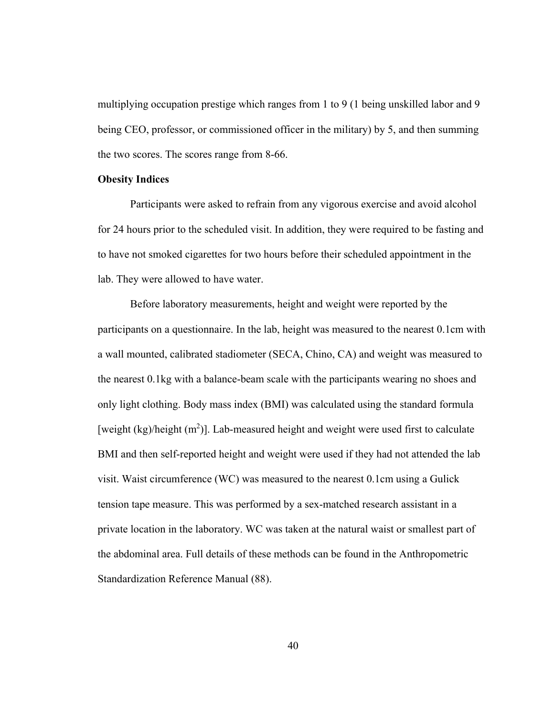multiplying occupation prestige which ranges from 1 to 9 (1 being unskilled labor and 9 being CEO, professor, or commissioned officer in the military) by 5, and then summing the two scores. The scores range from 8-66.

## **Obesity Indices**

Participants were asked to refrain from any vigorous exercise and avoid alcohol for 24 hours prior to the scheduled visit. In addition, they were required to be fasting and to have not smoked cigarettes for two hours before their scheduled appointment in the lab. They were allowed to have water.

Before laboratory measurements, height and weight were reported by the participants on a questionnaire. In the lab, height was measured to the nearest 0.1cm with a wall mounted, calibrated stadiometer (SECA, Chino, CA) and weight was measured to the nearest 0.1kg with a balance-beam scale with the participants wearing no shoes and only light clothing. Body mass index (BMI) was calculated using the standard formula [weight  $(kg)/$ height  $(m^2)$ ]. Lab-measured height and weight were used first to calculate BMI and then self-reported height and weight were used if they had not attended the lab visit. Waist circumference (WC) was measured to the nearest 0.1cm using a Gulick tension tape measure. This was performed by a sex-matched research assistant in a private location in the laboratory. WC was taken at the natural waist or smallest part of the abdominal area. Full details of these methods can be found in the Anthropometric Standardization Reference Manual (88).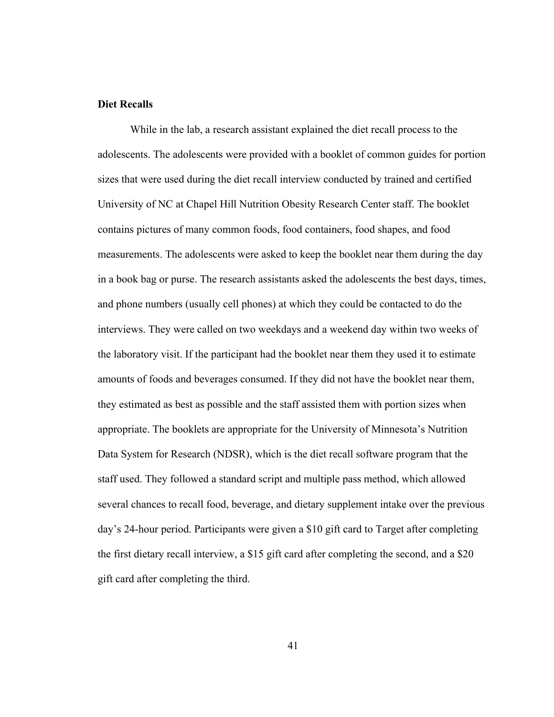# **Diet Recalls**

While in the lab, a research assistant explained the diet recall process to the adolescents. The adolescents were provided with a booklet of common guides for portion sizes that were used during the diet recall interview conducted by trained and certified University of NC at Chapel Hill Nutrition Obesity Research Center staff. The booklet contains pictures of many common foods, food containers, food shapes, and food measurements. The adolescents were asked to keep the booklet near them during the day in a book bag or purse. The research assistants asked the adolescents the best days, times, and phone numbers (usually cell phones) at which they could be contacted to do the interviews. They were called on two weekdays and a weekend day within two weeks of the laboratory visit. If the participant had the booklet near them they used it to estimate amounts of foods and beverages consumed. If they did not have the booklet near them, they estimated as best as possible and the staff assisted them with portion sizes when appropriate. The booklets are appropriate for the University of Minnesota's Nutrition Data System for Research (NDSR), which is the diet recall software program that the staff used. They followed a standard script and multiple pass method, which allowed several chances to recall food, beverage, and dietary supplement intake over the previous day's 24-hour period. Participants were given a \$10 gift card to Target after completing the first dietary recall interview, a \$15 gift card after completing the second, and a \$20 gift card after completing the third.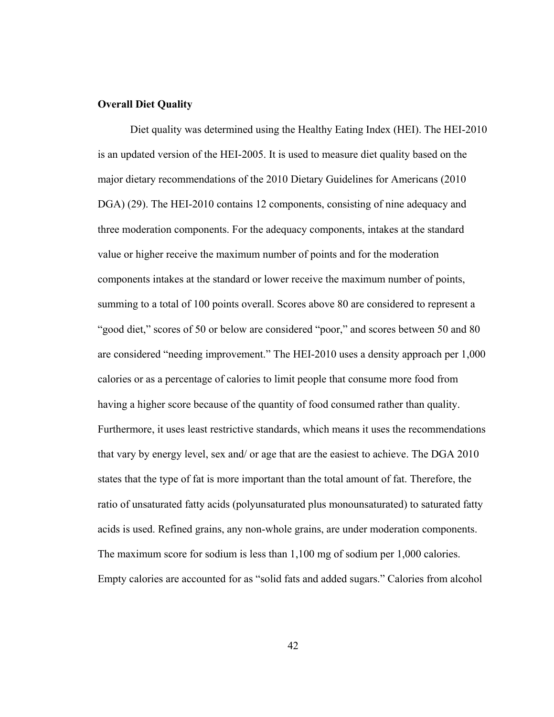### **Overall Diet Quality**

Diet quality was determined using the Healthy Eating Index (HEI). The HEI-2010 is an updated version of the HEI-2005. It is used to measure diet quality based on the major dietary recommendations of the 2010 Dietary Guidelines for Americans (2010 DGA) (29). The HEI-2010 contains 12 components, consisting of nine adequacy and three moderation components. For the adequacy components, intakes at the standard value or higher receive the maximum number of points and for the moderation components intakes at the standard or lower receive the maximum number of points, summing to a total of 100 points overall. Scores above 80 are considered to represent a "good diet," scores of 50 or below are considered "poor," and scores between 50 and 80 are considered "needing improvement." The HEI-2010 uses a density approach per 1,000 calories or as a percentage of calories to limit people that consume more food from having a higher score because of the quantity of food consumed rather than quality. Furthermore, it uses least restrictive standards, which means it uses the recommendations that vary by energy level, sex and/ or age that are the easiest to achieve. The DGA 2010 states that the type of fat is more important than the total amount of fat. Therefore, the ratio of unsaturated fatty acids (polyunsaturated plus monounsaturated) to saturated fatty acids is used. Refined grains, any non-whole grains, are under moderation components. The maximum score for sodium is less than 1,100 mg of sodium per 1,000 calories. Empty calories are accounted for as "solid fats and added sugars." Calories from alcohol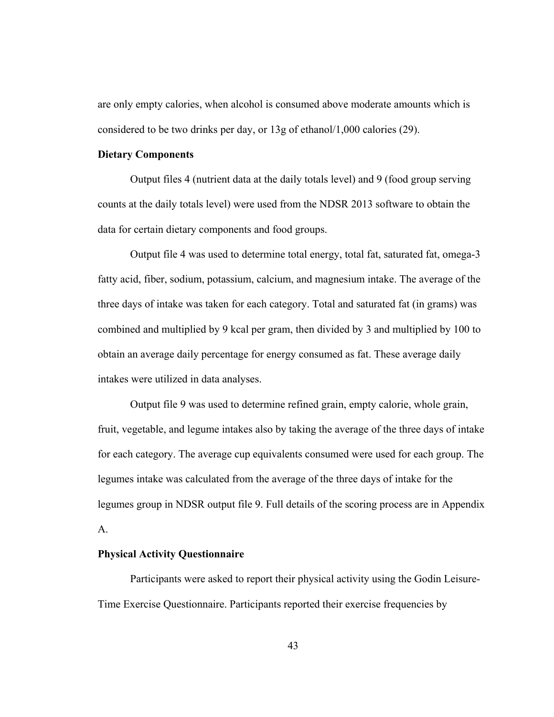are only empty calories, when alcohol is consumed above moderate amounts which is considered to be two drinks per day, or 13g of ethanol/1,000 calories (29).

### **Dietary Components**

Output files 4 (nutrient data at the daily totals level) and 9 (food group serving counts at the daily totals level) were used from the NDSR 2013 software to obtain the data for certain dietary components and food groups.

 Output file 4 was used to determine total energy, total fat, saturated fat, omega-3 fatty acid, fiber, sodium, potassium, calcium, and magnesium intake. The average of the three days of intake was taken for each category. Total and saturated fat (in grams) was combined and multiplied by 9 kcal per gram, then divided by 3 and multiplied by 100 to obtain an average daily percentage for energy consumed as fat. These average daily intakes were utilized in data analyses.

 Output file 9 was used to determine refined grain, empty calorie, whole grain, fruit, vegetable, and legume intakes also by taking the average of the three days of intake for each category. The average cup equivalents consumed were used for each group. The legumes intake was calculated from the average of the three days of intake for the legumes group in NDSR output file 9. Full details of the scoring process are in Appendix  $\mathbf{A}$ .

### **Physical Activity Questionnaire**

Participants were asked to report their physical activity using the Godin Leisure-Time Exercise Questionnaire. Participants reported their exercise frequencies by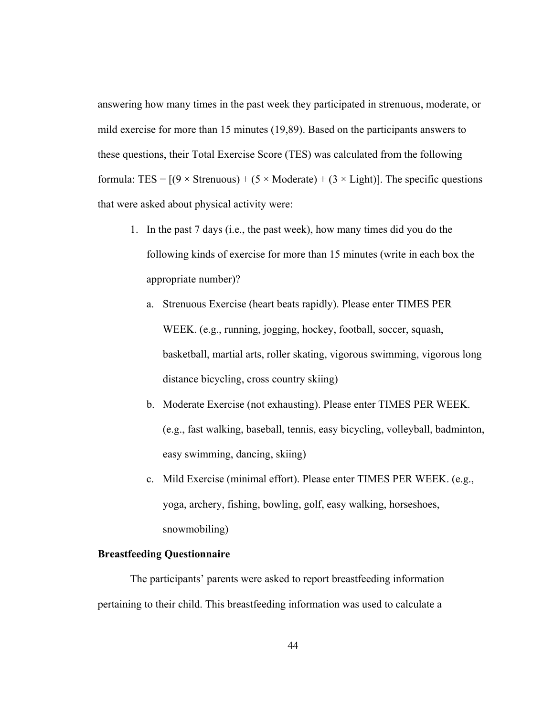answering how many times in the past week they participated in strenuous, moderate, or mild exercise for more than 15 minutes (19,89). Based on the participants answers to these questions, their Total Exercise Score (TES) was calculated from the following formula: TES =  $[(9 \times \text{Strenuous}) + (5 \times \text{Modernate}) + (3 \times \text{Light})]$ . The specific questions that were asked about physical activity were:

- 1. In the past 7 days (i.e., the past week), how many times did you do the following kinds of exercise for more than 15 minutes (write in each box the appropriate number)?
	- a. Strenuous Exercise (heart beats rapidly). Please enter TIMES PER WEEK. (e.g., running, jogging, hockey, football, soccer, squash, basketball, martial arts, roller skating, vigorous swimming, vigorous long distance bicycling, cross country skiing)
	- b. Moderate Exercise (not exhausting). Please enter TIMES PER WEEK. (e.g., fast walking, baseball, tennis, easy bicycling, volleyball, badminton, easy swimming, dancing, skiing)
	- c. Mild Exercise (minimal effort). Please enter TIMES PER WEEK. (e.g., yoga, archery, fishing, bowling, golf, easy walking, horseshoes, snowmobiling)

# **Breastfeeding Questionnaire**

The participants' parents were asked to report breastfeeding information pertaining to their child. This breastfeeding information was used to calculate a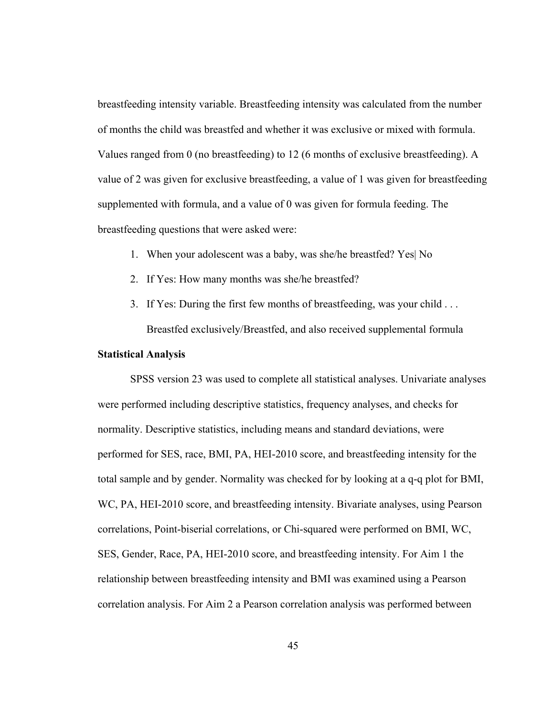breastfeeding intensity variable. Breastfeeding intensity was calculated from the number of months the child was breastfed and whether it was exclusive or mixed with formula. Values ranged from 0 (no breastfeeding) to 12 (6 months of exclusive breastfeeding). A value of 2 was given for exclusive breastfeeding, a value of 1 was given for breastfeeding supplemented with formula, and a value of 0 was given for formula feeding. The breastfeeding questions that were asked were:

- 1. When your adolescent was a baby, was she/he breastfed? Yes| No
- 2. If Yes: How many months was she/he breastfed?
- 3. If Yes: During the first few months of breastfeeding, was your child . . . Breastfed exclusively/Breastfed, and also received supplemental formula

### **Statistical Analysis**

SPSS version 23 was used to complete all statistical analyses. Univariate analyses were performed including descriptive statistics, frequency analyses, and checks for normality. Descriptive statistics, including means and standard deviations, were performed for SES, race, BMI, PA, HEI-2010 score, and breastfeeding intensity for the total sample and by gender. Normality was checked for by looking at a q-q plot for BMI, WC, PA, HEI-2010 score, and breastfeeding intensity. Bivariate analyses, using Pearson correlations, Point-biserial correlations, or Chi-squared were performed on BMI, WC, SES, Gender, Race, PA, HEI-2010 score, and breastfeeding intensity. For Aim 1 the relationship between breastfeeding intensity and BMI was examined using a Pearson correlation analysis. For Aim 2 a Pearson correlation analysis was performed between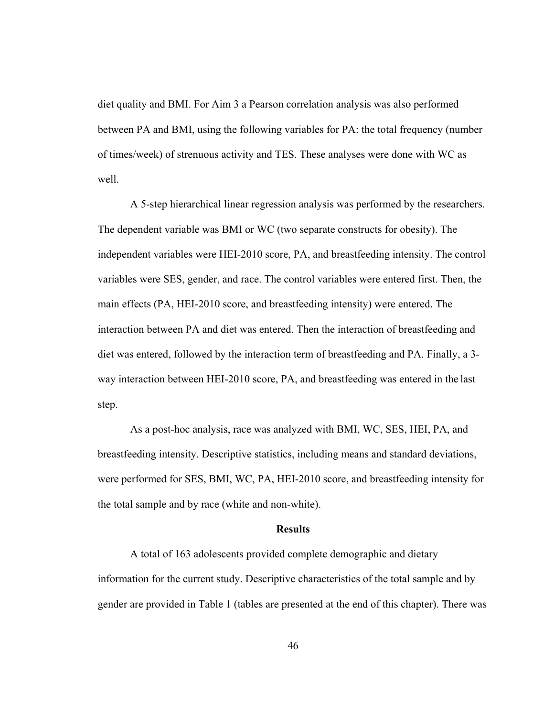diet quality and BMI. For Aim 3 a Pearson correlation analysis was also performed between PA and BMI, using the following variables for PA: the total frequency (number of times/week) of strenuous activity and TES. These analyses were done with WC as well.

 A 5-step hierarchical linear regression analysis was performed by the researchers. The dependent variable was BMI or WC (two separate constructs for obesity). The independent variables were HEI-2010 score, PA, and breastfeeding intensity. The control variables were SES, gender, and race. The control variables were entered first. Then, the main effects (PA, HEI-2010 score, and breastfeeding intensity) were entered. The interaction between PA and diet was entered. Then the interaction of breastfeeding and diet was entered, followed by the interaction term of breastfeeding and PA. Finally, a 3 way interaction between HEI-2010 score, PA, and breastfeeding was entered in the last step.

As a post-hoc analysis, race was analyzed with BMI, WC, SES, HEI, PA, and breastfeeding intensity. Descriptive statistics, including means and standard deviations, were performed for SES, BMI, WC, PA, HEI-2010 score, and breastfeeding intensity for the total sample and by race (white and non-white).

#### **Results**

A total of 163 adolescents provided complete demographic and dietary information for the current study. Descriptive characteristics of the total sample and by gender are provided in Table 1 (tables are presented at the end of this chapter). There was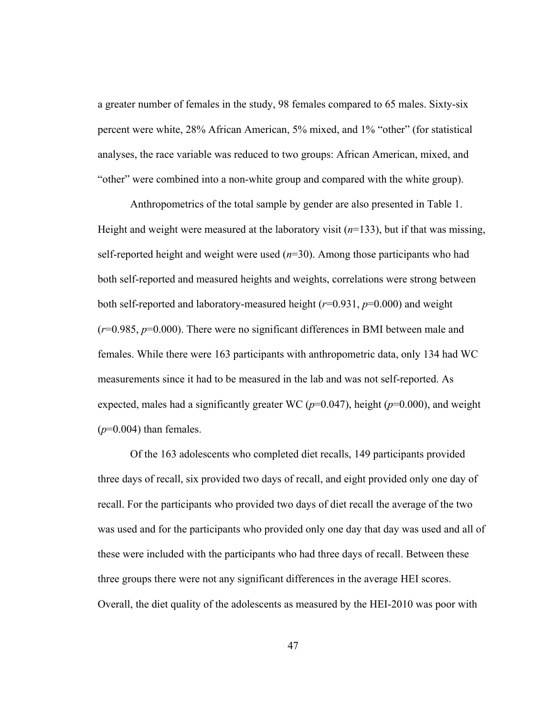a greater number of females in the study, 98 females compared to 65 males. Sixty-six percent were white, 28% African American, 5% mixed, and 1% "other" (for statistical analyses, the race variable was reduced to two groups: African American, mixed, and "other" were combined into a non-white group and compared with the white group).

 Anthropometrics of the total sample by gender are also presented in Table 1. Height and weight were measured at the laboratory visit  $(n=133)$ , but if that was missing, self-reported height and weight were used  $(n=30)$ . Among those participants who had both self-reported and measured heights and weights, correlations were strong between both self-reported and laboratory-measured height (*r*=0.931, *p*=0.000) and weight (*r*=0.985, *p*=0.000). There were no significant differences in BMI between male and females. While there were 163 participants with anthropometric data, only 134 had WC measurements since it had to be measured in the lab and was not self-reported. As expected, males had a significantly greater WC ( $p=0.047$ ), height ( $p=0.000$ ), and weight  $(p=0.004)$  than females.

 Of the 163 adolescents who completed diet recalls, 149 participants provided three days of recall, six provided two days of recall, and eight provided only one day of recall. For the participants who provided two days of diet recall the average of the two was used and for the participants who provided only one day that day was used and all of these were included with the participants who had three days of recall. Between these three groups there were not any significant differences in the average HEI scores. Overall, the diet quality of the adolescents as measured by the HEI-2010 was poor with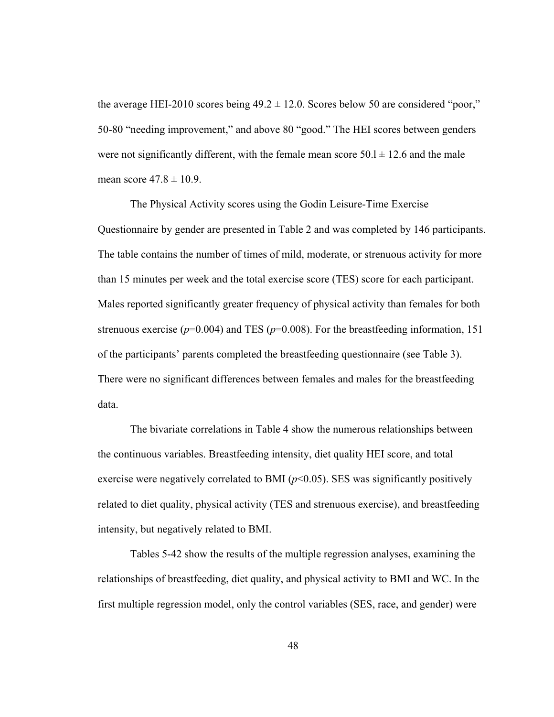the average HEI-2010 scores being  $49.2 \pm 12.0$ . Scores below 50 are considered "poor," 50-80 "needing improvement," and above 80 "good." The HEI scores between genders were not significantly different, with the female mean score  $50.1 \pm 12.6$  and the male mean score  $47.8 \pm 10.9$ .

The Physical Activity scores using the Godin Leisure-Time Exercise Questionnaire by gender are presented in Table 2 and was completed by 146 participants. The table contains the number of times of mild, moderate, or strenuous activity for more than 15 minutes per week and the total exercise score (TES) score for each participant. Males reported significantly greater frequency of physical activity than females for both strenuous exercise ( $p=0.004$ ) and TES ( $p=0.008$ ). For the breastfeeding information, 151 of the participants' parents completed the breastfeeding questionnaire (see Table 3). There were no significant differences between females and males for the breastfeeding data.

The bivariate correlations in Table 4 show the numerous relationships between the continuous variables. Breastfeeding intensity, diet quality HEI score, and total exercise were negatively correlated to BMI  $(p<0.05)$ . SES was significantly positively related to diet quality, physical activity (TES and strenuous exercise), and breastfeeding intensity, but negatively related to BMI.

Tables 5-42 show the results of the multiple regression analyses, examining the relationships of breastfeeding, diet quality, and physical activity to BMI and WC. In the first multiple regression model, only the control variables (SES, race, and gender) were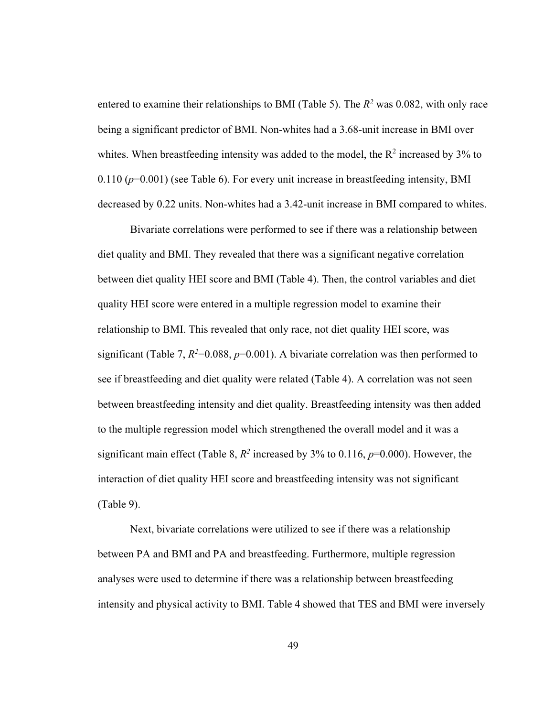entered to examine their relationships to BMI (Table 5). The  $R^2$  was 0.082, with only race being a significant predictor of BMI. Non-whites had a 3.68-unit increase in BMI over whites. When breastfeeding intensity was added to the model, the  $R^2$  increased by 3% to  $0.110$  ( $p=0.001$ ) (see Table 6). For every unit increase in breastfeeding intensity, BMI decreased by 0.22 units. Non-whites had a 3.42-unit increase in BMI compared to whites.

Bivariate correlations were performed to see if there was a relationship between diet quality and BMI. They revealed that there was a significant negative correlation between diet quality HEI score and BMI (Table 4). Then, the control variables and diet quality HEI score were entered in a multiple regression model to examine their relationship to BMI. This revealed that only race, not diet quality HEI score, was significant (Table 7,  $R^2=0.088$ ,  $p=0.001$ ). A bivariate correlation was then performed to see if breastfeeding and diet quality were related (Table 4). A correlation was not seen between breastfeeding intensity and diet quality. Breastfeeding intensity was then added to the multiple regression model which strengthened the overall model and it was a significant main effect (Table 8,  $R^2$  increased by 3% to 0.116,  $p=0.000$ ). However, the interaction of diet quality HEI score and breastfeeding intensity was not significant (Table 9).

 Next, bivariate correlations were utilized to see if there was a relationship between PA and BMI and PA and breastfeeding. Furthermore, multiple regression analyses were used to determine if there was a relationship between breastfeeding intensity and physical activity to BMI. Table 4 showed that TES and BMI were inversely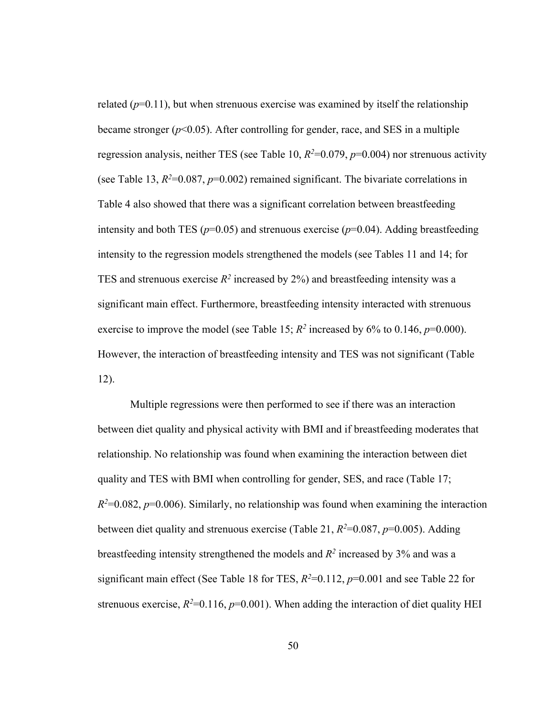related  $(p=0.11)$ , but when strenuous exercise was examined by itself the relationship became stronger  $(p<0.05)$ . After controlling for gender, race, and SES in a multiple regression analysis, neither TES (see Table 10,  $R^2=0.079$ ,  $p=0.004$ ) nor strenuous activity (see Table 13,  $R^2=0.087$ ,  $p=0.002$ ) remained significant. The bivariate correlations in Table 4 also showed that there was a significant correlation between breastfeeding intensity and both TES ( $p=0.05$ ) and strenuous exercise ( $p=0.04$ ). Adding breastfeeding intensity to the regression models strengthened the models (see Tables 11 and 14; for TES and strenuous exercise  $R^2$  increased by 2%) and breastfeeding intensity was a significant main effect. Furthermore, breastfeeding intensity interacted with strenuous exercise to improve the model (see Table 15;  $R^2$  increased by 6% to 0.146,  $p=0.000$ ). However, the interaction of breastfeeding intensity and TES was not significant (Table 12).

 Multiple regressions were then performed to see if there was an interaction between diet quality and physical activity with BMI and if breastfeeding moderates that relationship. No relationship was found when examining the interaction between diet quality and TES with BMI when controlling for gender, SES, and race (Table 17;  $R^2=0.082$ ,  $p=0.006$ ). Similarly, no relationship was found when examining the interaction between diet quality and strenuous exercise (Table 21,  $R^2=0.087$ ,  $p=0.005$ ). Adding breastfeeding intensity strengthened the models and  $R^2$  increased by 3% and was a significant main effect (See Table 18 for TES,  $R^2=0.112$ ,  $p=0.001$  and see Table 22 for strenuous exercise,  $R^2=0.116$ ,  $p=0.001$ ). When adding the interaction of diet quality HEI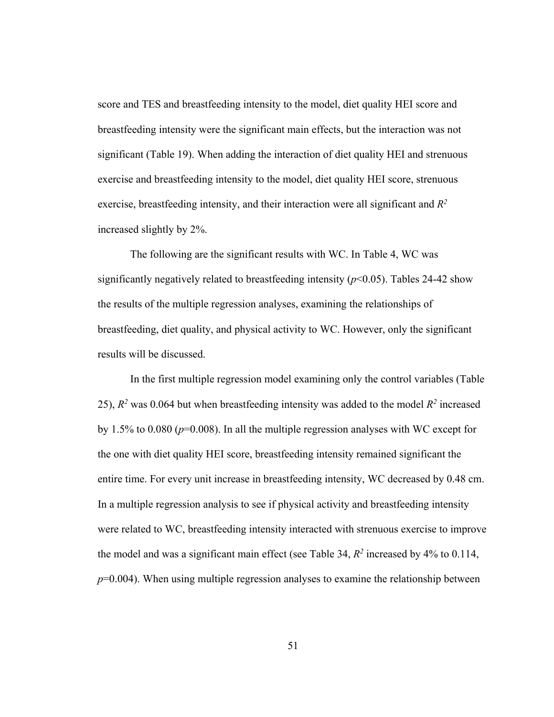score and TES and breastfeeding intensity to the model, diet quality HEI score and breastfeeding intensity were the significant main effects, but the interaction was not significant (Table 19). When adding the interaction of diet quality HEI and strenuous exercise and breastfeeding intensity to the model, diet quality HEI score, strenuous exercise, breastfeeding intensity, and their interaction were all significant and *R2* increased slightly by 2%.

 The following are the significant results with WC. In Table 4, WC was significantly negatively related to breastfeeding intensity  $(p<0.05)$ . Tables 24-42 show the results of the multiple regression analyses, examining the relationships of breastfeeding, diet quality, and physical activity to WC. However, only the significant results will be discussed.

In the first multiple regression model examining only the control variables (Table 25),  $R^2$  was 0.064 but when breastfeeding intensity was added to the model  $R^2$  increased by 1.5% to 0.080 (*p*=0.008). In all the multiple regression analyses with WC except for the one with diet quality HEI score, breastfeeding intensity remained significant the entire time. For every unit increase in breastfeeding intensity, WC decreased by 0.48 cm. In a multiple regression analysis to see if physical activity and breastfeeding intensity were related to WC, breastfeeding intensity interacted with strenuous exercise to improve the model and was a significant main effect (see Table 34,  $R^2$  increased by 4% to 0.114, *p*=0.004). When using multiple regression analyses to examine the relationship between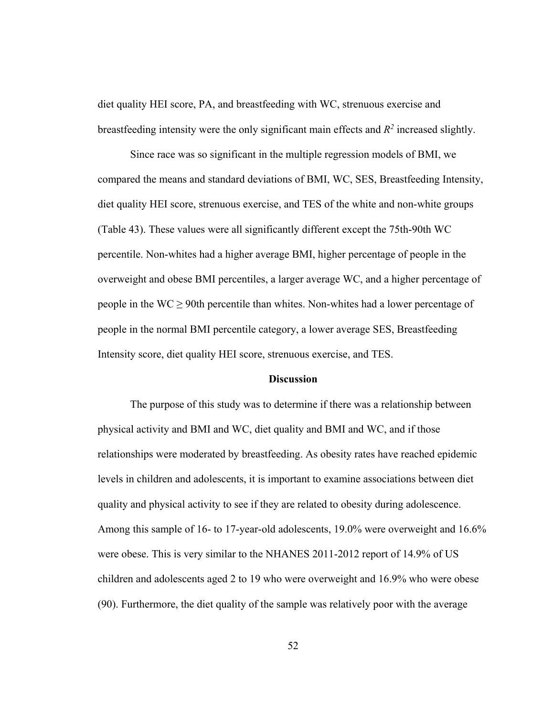diet quality HEI score, PA, and breastfeeding with WC, strenuous exercise and breastfeeding intensity were the only significant main effects and  $R^2$  increased slightly.

 Since race was so significant in the multiple regression models of BMI, we compared the means and standard deviations of BMI, WC, SES, Breastfeeding Intensity, diet quality HEI score, strenuous exercise, and TES of the white and non-white groups (Table 43). These values were all significantly different except the 75th-90th WC percentile. Non-whites had a higher average BMI, higher percentage of people in the overweight and obese BMI percentiles, a larger average WC, and a higher percentage of people in the  $WC \ge 90$ th percentile than whites. Non-whites had a lower percentage of people in the normal BMI percentile category, a lower average SES, Breastfeeding Intensity score, diet quality HEI score, strenuous exercise, and TES.

#### **Discussion**

 The purpose of this study was to determine if there was a relationship between physical activity and BMI and WC, diet quality and BMI and WC, and if those relationships were moderated by breastfeeding. As obesity rates have reached epidemic levels in children and adolescents, it is important to examine associations between diet quality and physical activity to see if they are related to obesity during adolescence. Among this sample of 16- to 17-year-old adolescents, 19.0% were overweight and 16.6% were obese. This is very similar to the NHANES 2011-2012 report of 14.9% of US children and adolescents aged 2 to 19 who were overweight and 16.9% who were obese (90). Furthermore, the diet quality of the sample was relatively poor with the average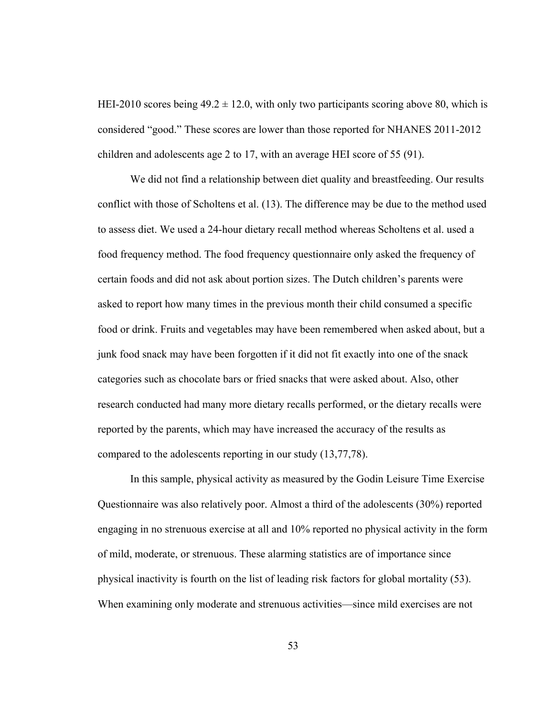HEI-2010 scores being  $49.2 \pm 12.0$ , with only two participants scoring above 80, which is considered "good." These scores are lower than those reported for NHANES 2011-2012 children and adolescents age 2 to 17, with an average HEI score of 55 (91).

We did not find a relationship between diet quality and breastfeeding. Our results conflict with those of Scholtens et al. (13). The difference may be due to the method used to assess diet. We used a 24-hour dietary recall method whereas Scholtens et al. used a food frequency method. The food frequency questionnaire only asked the frequency of certain foods and did not ask about portion sizes. The Dutch children's parents were asked to report how many times in the previous month their child consumed a specific food or drink. Fruits and vegetables may have been remembered when asked about, but a junk food snack may have been forgotten if it did not fit exactly into one of the snack categories such as chocolate bars or fried snacks that were asked about. Also, other research conducted had many more dietary recalls performed, or the dietary recalls were reported by the parents, which may have increased the accuracy of the results as compared to the adolescents reporting in our study (13,77,78).

 In this sample, physical activity as measured by the Godin Leisure Time Exercise Questionnaire was also relatively poor. Almost a third of the adolescents (30%) reported engaging in no strenuous exercise at all and 10% reported no physical activity in the form of mild, moderate, or strenuous. These alarming statistics are of importance since physical inactivity is fourth on the list of leading risk factors for global mortality (53). When examining only moderate and strenuous activities—since mild exercises are not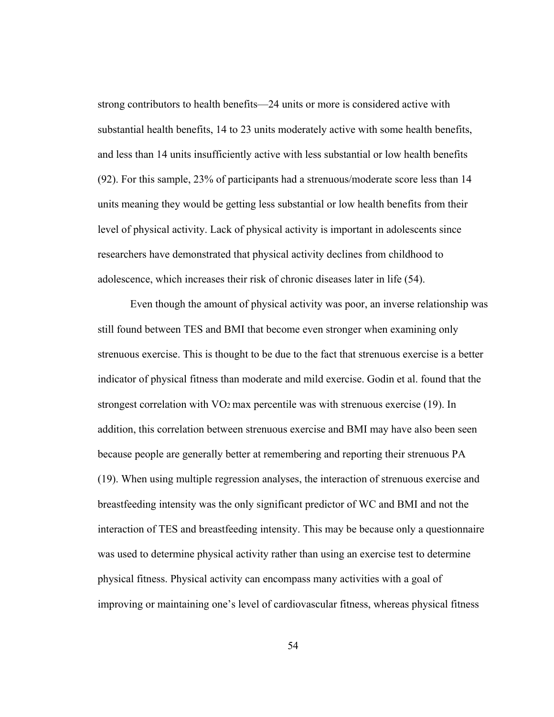strong contributors to health benefits—24 units or more is considered active with substantial health benefits, 14 to 23 units moderately active with some health benefits, and less than 14 units insufficiently active with less substantial or low health benefits (92). For this sample, 23% of participants had a strenuous/moderate score less than 14 units meaning they would be getting less substantial or low health benefits from their level of physical activity. Lack of physical activity is important in adolescents since researchers have demonstrated that physical activity declines from childhood to adolescence, which increases their risk of chronic diseases later in life (54).

 Even though the amount of physical activity was poor, an inverse relationship was still found between TES and BMI that become even stronger when examining only strenuous exercise. This is thought to be due to the fact that strenuous exercise is a better indicator of physical fitness than moderate and mild exercise. Godin et al. found that the strongest correlation with  $VO<sub>2</sub>$  max percentile was with strenuous exercise (19). In addition, this correlation between strenuous exercise and BMI may have also been seen because people are generally better at remembering and reporting their strenuous PA (19). When using multiple regression analyses, the interaction of strenuous exercise and breastfeeding intensity was the only significant predictor of WC and BMI and not the interaction of TES and breastfeeding intensity. This may be because only a questionnaire was used to determine physical activity rather than using an exercise test to determine physical fitness. Physical activity can encompass many activities with a goal of improving or maintaining one's level of cardiovascular fitness, whereas physical fitness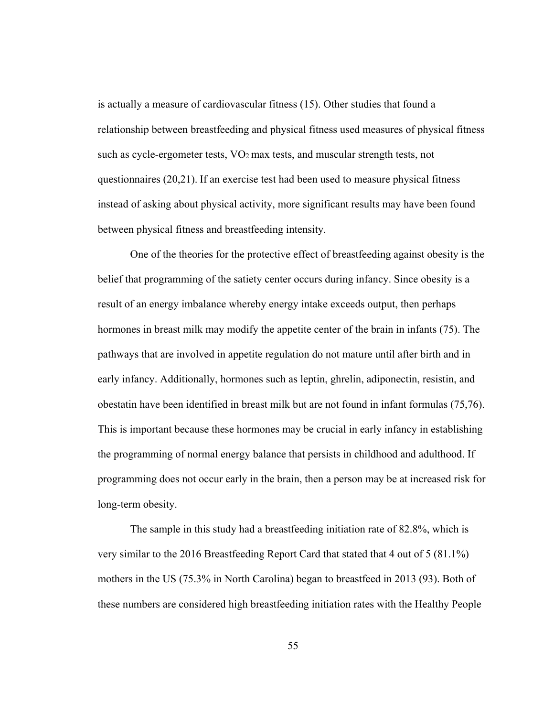is actually a measure of cardiovascular fitness (15). Other studies that found a relationship between breastfeeding and physical fitness used measures of physical fitness such as cycle-ergometer tests, VO2 max tests, and muscular strength tests, not questionnaires (20,21). If an exercise test had been used to measure physical fitness instead of asking about physical activity, more significant results may have been found between physical fitness and breastfeeding intensity.

One of the theories for the protective effect of breastfeeding against obesity is the belief that programming of the satiety center occurs during infancy. Since obesity is a result of an energy imbalance whereby energy intake exceeds output, then perhaps hormones in breast milk may modify the appetite center of the brain in infants (75). The pathways that are involved in appetite regulation do not mature until after birth and in early infancy. Additionally, hormones such as leptin, ghrelin, adiponectin, resistin, and obestatin have been identified in breast milk but are not found in infant formulas (75,76). This is important because these hormones may be crucial in early infancy in establishing the programming of normal energy balance that persists in childhood and adulthood. If programming does not occur early in the brain, then a person may be at increased risk for long-term obesity.

The sample in this study had a breastfeeding initiation rate of 82.8%, which is very similar to the 2016 Breastfeeding Report Card that stated that 4 out of 5 (81.1%) mothers in the US (75.3% in North Carolina) began to breastfeed in 2013 (93). Both of these numbers are considered high breastfeeding initiation rates with the Healthy People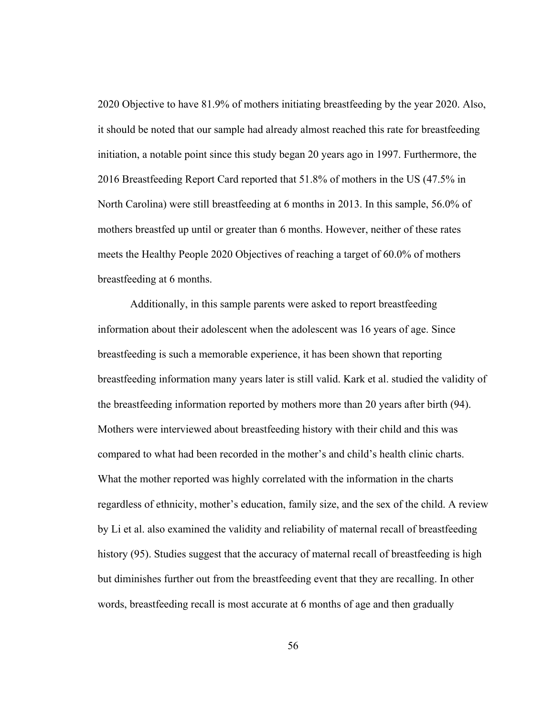2020 Objective to have 81.9% of mothers initiating breastfeeding by the year 2020. Also, it should be noted that our sample had already almost reached this rate for breastfeeding initiation, a notable point since this study began 20 years ago in 1997. Furthermore, the 2016 Breastfeeding Report Card reported that 51.8% of mothers in the US (47.5% in North Carolina) were still breastfeeding at 6 months in 2013. In this sample, 56.0% of mothers breastfed up until or greater than 6 months. However, neither of these rates meets the Healthy People 2020 Objectives of reaching a target of 60.0% of mothers breastfeeding at 6 months.

Additionally, in this sample parents were asked to report breastfeeding information about their adolescent when the adolescent was 16 years of age. Since breastfeeding is such a memorable experience, it has been shown that reporting breastfeeding information many years later is still valid. Kark et al. studied the validity of the breastfeeding information reported by mothers more than 20 years after birth (94). Mothers were interviewed about breastfeeding history with their child and this was compared to what had been recorded in the mother's and child's health clinic charts. What the mother reported was highly correlated with the information in the charts regardless of ethnicity, mother's education, family size, and the sex of the child. A review by Li et al. also examined the validity and reliability of maternal recall of breastfeeding history (95). Studies suggest that the accuracy of maternal recall of breastfeeding is high but diminishes further out from the breastfeeding event that they are recalling. In other words, breastfeeding recall is most accurate at 6 months of age and then gradually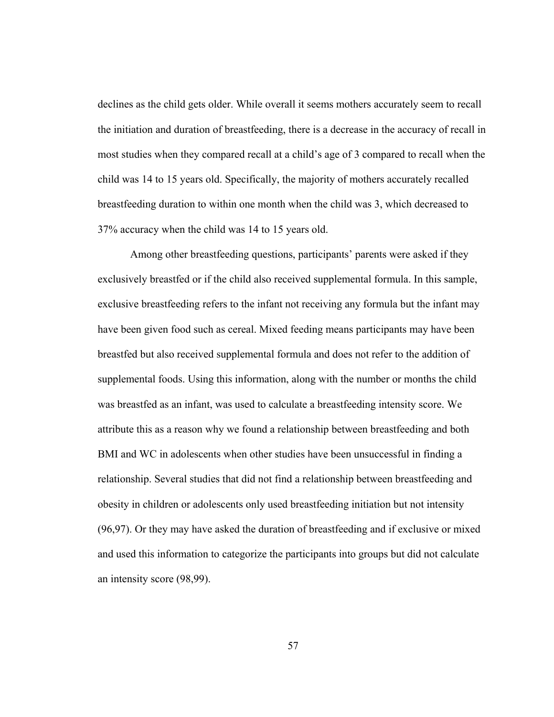declines as the child gets older. While overall it seems mothers accurately seem to recall the initiation and duration of breastfeeding, there is a decrease in the accuracy of recall in most studies when they compared recall at a child's age of 3 compared to recall when the child was 14 to 15 years old. Specifically, the majority of mothers accurately recalled breastfeeding duration to within one month when the child was 3, which decreased to 37% accuracy when the child was 14 to 15 years old.

Among other breastfeeding questions, participants' parents were asked if they exclusively breastfed or if the child also received supplemental formula. In this sample, exclusive breastfeeding refers to the infant not receiving any formula but the infant may have been given food such as cereal. Mixed feeding means participants may have been breastfed but also received supplemental formula and does not refer to the addition of supplemental foods. Using this information, along with the number or months the child was breastfed as an infant, was used to calculate a breastfeeding intensity score. We attribute this as a reason why we found a relationship between breastfeeding and both BMI and WC in adolescents when other studies have been unsuccessful in finding a relationship. Several studies that did not find a relationship between breastfeeding and obesity in children or adolescents only used breastfeeding initiation but not intensity (96,97). Or they may have asked the duration of breastfeeding and if exclusive or mixed and used this information to categorize the participants into groups but did not calculate an intensity score (98,99).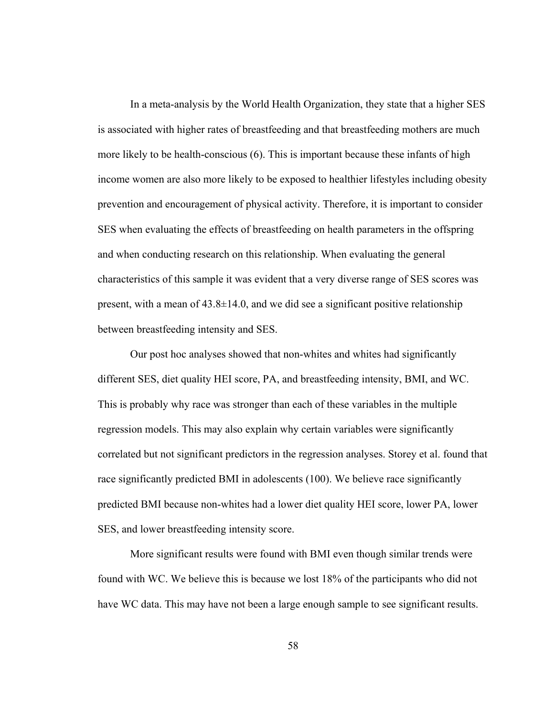In a meta-analysis by the World Health Organization, they state that a higher SES is associated with higher rates of breastfeeding and that breastfeeding mothers are much more likely to be health-conscious (6). This is important because these infants of high income women are also more likely to be exposed to healthier lifestyles including obesity prevention and encouragement of physical activity. Therefore, it is important to consider SES when evaluating the effects of breastfeeding on health parameters in the offspring and when conducting research on this relationship. When evaluating the general characteristics of this sample it was evident that a very diverse range of SES scores was present, with a mean of  $43.8 \pm 14.0$ , and we did see a significant positive relationship between breastfeeding intensity and SES.

Our post hoc analyses showed that non-whites and whites had significantly different SES, diet quality HEI score, PA, and breastfeeding intensity, BMI, and WC. This is probably why race was stronger than each of these variables in the multiple regression models. This may also explain why certain variables were significantly correlated but not significant predictors in the regression analyses. Storey et al. found that race significantly predicted BMI in adolescents (100). We believe race significantly predicted BMI because non-whites had a lower diet quality HEI score, lower PA, lower SES, and lower breastfeeding intensity score.

More significant results were found with BMI even though similar trends were found with WC. We believe this is because we lost 18% of the participants who did not have WC data. This may have not been a large enough sample to see significant results.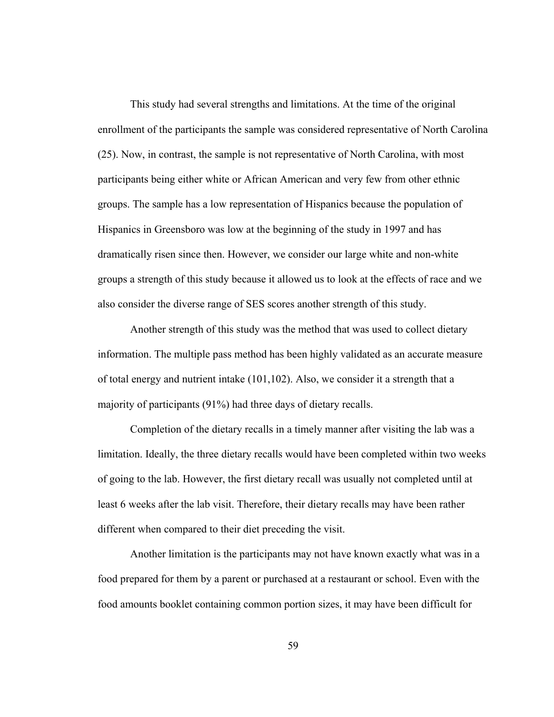This study had several strengths and limitations. At the time of the original enrollment of the participants the sample was considered representative of North Carolina (25). Now, in contrast, the sample is not representative of North Carolina, with most participants being either white or African American and very few from other ethnic groups. The sample has a low representation of Hispanics because the population of Hispanics in Greensboro was low at the beginning of the study in 1997 and has dramatically risen since then. However, we consider our large white and non-white groups a strength of this study because it allowed us to look at the effects of race and we also consider the diverse range of SES scores another strength of this study.

Another strength of this study was the method that was used to collect dietary information. The multiple pass method has been highly validated as an accurate measure of total energy and nutrient intake (101,102). Also, we consider it a strength that a majority of participants (91%) had three days of dietary recalls.

Completion of the dietary recalls in a timely manner after visiting the lab was a limitation. Ideally, the three dietary recalls would have been completed within two weeks of going to the lab. However, the first dietary recall was usually not completed until at least 6 weeks after the lab visit. Therefore, their dietary recalls may have been rather different when compared to their diet preceding the visit.

Another limitation is the participants may not have known exactly what was in a food prepared for them by a parent or purchased at a restaurant or school. Even with the food amounts booklet containing common portion sizes, it may have been difficult for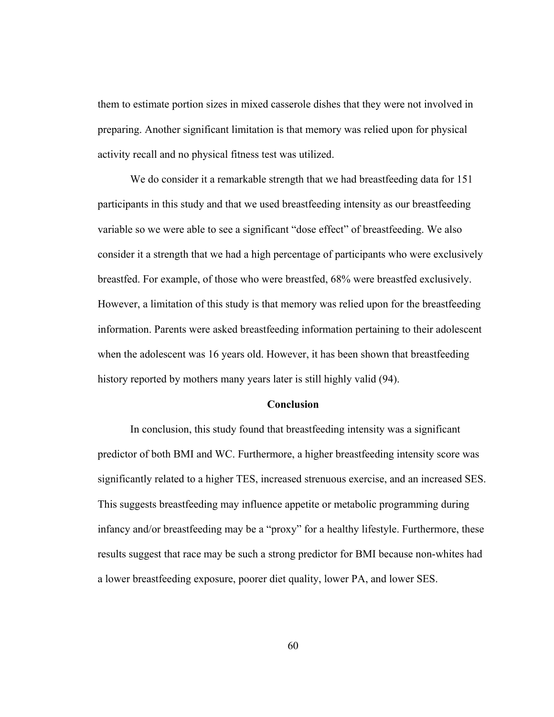them to estimate portion sizes in mixed casserole dishes that they were not involved in preparing. Another significant limitation is that memory was relied upon for physical activity recall and no physical fitness test was utilized.

We do consider it a remarkable strength that we had breastfeeding data for 151 participants in this study and that we used breastfeeding intensity as our breastfeeding variable so we were able to see a significant "dose effect" of breastfeeding. We also consider it a strength that we had a high percentage of participants who were exclusively breastfed. For example, of those who were breastfed, 68% were breastfed exclusively. However, a limitation of this study is that memory was relied upon for the breastfeeding information. Parents were asked breastfeeding information pertaining to their adolescent when the adolescent was 16 years old. However, it has been shown that breastfeeding history reported by mothers many years later is still highly valid (94).

#### **Conclusion**

In conclusion, this study found that breastfeeding intensity was a significant predictor of both BMI and WC. Furthermore, a higher breastfeeding intensity score was significantly related to a higher TES, increased strenuous exercise, and an increased SES. This suggests breastfeeding may influence appetite or metabolic programming during infancy and/or breastfeeding may be a "proxy" for a healthy lifestyle. Furthermore, these results suggest that race may be such a strong predictor for BMI because non-whites had a lower breastfeeding exposure, poorer diet quality, lower PA, and lower SES.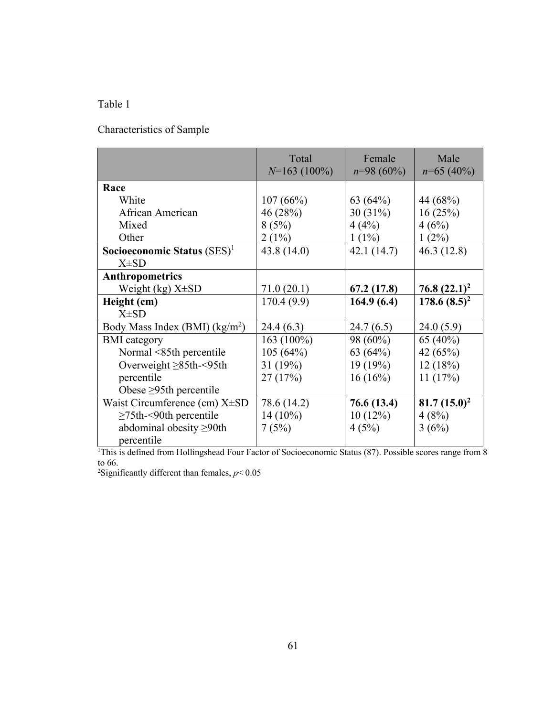# Table 1

Characteristics of Sample

|                                                                                                                       | Total<br>$N=163(100\%)$ | Female<br>$n=98(60\%)$ | Male<br>$n=65(40\%)$ |
|-----------------------------------------------------------------------------------------------------------------------|-------------------------|------------------------|----------------------|
| Race                                                                                                                  |                         |                        |                      |
| White                                                                                                                 | 107(66%)                | 63 $(64%)$             | 44 (68%)             |
| African American                                                                                                      | 46 (28%)                | 30(31%)                | 16(25%)              |
| Mixed                                                                                                                 | 8(5%)                   | 4(4%)                  | 4(6%)                |
| Other                                                                                                                 | $2(1\%)$                | $1(1\%)$               | $1(2\%)$             |
| Socioeconomic Status $(SES)^1$                                                                                        | 43.8(14.0)              | 42.1(14.7)             | 46.3(12.8)           |
| $X\pm SD$                                                                                                             |                         |                        |                      |
| <b>Anthropometrics</b>                                                                                                |                         |                        |                      |
| Weight (kg) $X\pm SD$                                                                                                 | 71.0(20.1)              | 67.2(17.8)             | $76.8~(22.1)^2$      |
| Height (cm)                                                                                                           | 170.4(9.9)              | 164.9(6.4)             | $178.6(8.5)^2$       |
| $X\pm SD$                                                                                                             |                         |                        |                      |
| Body Mass Index (BMI) $(kg/m^2)$                                                                                      | 24.4 (6.3)              | 24.7(6.5)              | 24.0(5.9)            |
| <b>BMI</b> category                                                                                                   | 163 (100%)              | 98 (60%)               | 65 (40%)             |
| Normal <85th percentile                                                                                               | 105 (64%)               | 63 $(64%)$             | 42 (65%)             |
| Overweight $\geq 85$ th-<95th                                                                                         | 31 (19%)                | 19(19%)                | 12(18%)              |
| percentile                                                                                                            | 27(17%)                 | 16(16%)                | 11(17%)              |
| Obese $\geq$ 95th percentile                                                                                          |                         |                        |                      |
| Waist Circumference (cm) $X\pm SD$                                                                                    | 78.6 (14.2)             | 76.6 (13.4)            | 81.7 $(15.0)^2$      |
| $\geq$ 75th-<90th percentile                                                                                          | $14(10\%)$              | 10(12%)                | 4(8%)                |
| abdominal obesity $\geq 90$ th                                                                                        | 7(5%)                   | 4(5%)                  | 3(6%)                |
| percentile                                                                                                            |                         |                        |                      |
| <sup>1</sup> This is defined from Hollingshead Four Factor of Socioeconomic Status (87). Possible scores range from 8 |                         |                        |                      |

to 66. 2 Significantly different than females, *p*< 0.05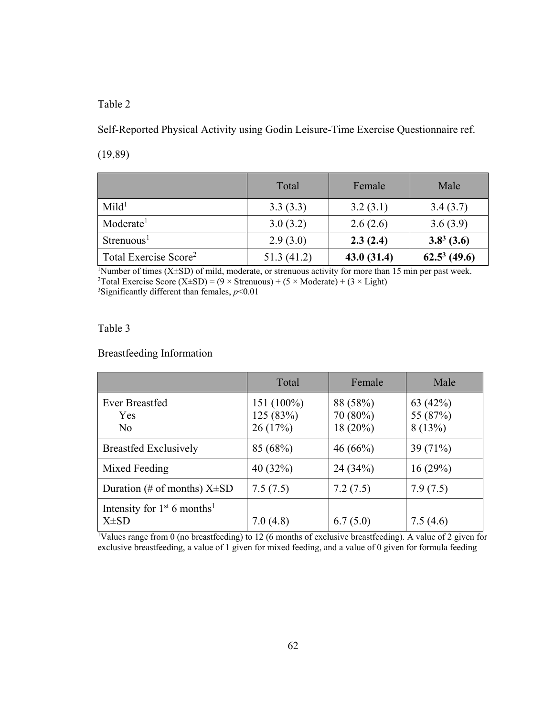Self-Reported Physical Activity using Godin Leisure-Time Exercise Questionnaire ref.

(19,89)

|                                   | Total      | Female     | Male           |
|-----------------------------------|------------|------------|----------------|
| Mid <sup>1</sup>                  | 3.3(3.3)   | 3.2(3.1)   | 3.4(3.7)       |
| Moderate <sup>1</sup>             | 3.0(3.2)   | 2.6(2.6)   | 3.6(3.9)       |
| Strenuous <sup>1</sup>            | 2.9(3.0)   | 2.3(2.4)   | $3.8^3$ (3.6)  |
| Total Exercise Score <sup>2</sup> | 51.3(41.2) | 43.0(31.4) | $62.5^3(49.6)$ |

<sup>1</sup>Number of times (X $\pm$ SD) of mild, moderate, or strenuous activity for more than 15 min per past week.<br><sup>2</sup>Total Exercise Score (X+SD) = (9 × Strenuous) + (5 × Moderate) + (3 × Light) <sup>2</sup>Total Exercise Score (X±SD) = (9 × Strenuous) + (5 × Moderate) + (3 × Light) <sup>3</sup>Significantly different than females, *p*<0.01

Table 3

Breastfeeding Information

|                                                        | Total                               | Female                          | Male                             |
|--------------------------------------------------------|-------------------------------------|---------------------------------|----------------------------------|
| <b>Ever Breastfed</b><br><b>Yes</b><br>No              | $151(100\%)$<br>125(83%)<br>26(17%) | 88 (58%)<br>70 (80%)<br>18(20%) | 63 $(42%)$<br>55 (87%)<br>8(13%) |
| <b>Breastfed Exclusively</b>                           | 85 (68%)                            | 46(66%)                         | 39 $(71%)$                       |
| Mixed Feeding                                          | 40 $(32%)$                          | 24 (34%)                        | 16(29%)                          |
| Duration (# of months) $X\pm SD$                       | 7.5(7.5)                            | 7.2(7.5)                        | 7.9(7.5)                         |
| Intensity for $1st 6$ months <sup>1</sup><br>$X\pm SD$ | 7.0(4.8)                            | 6.7(5.0)                        | 7.5(4.6)                         |

1 Values range from 0 (no breastfeeding) to 12 (6 months of exclusive breastfeeding). A value of 2 given for exclusive breastfeeding, a value of 1 given for mixed feeding, and a value of 0 given for formula feeding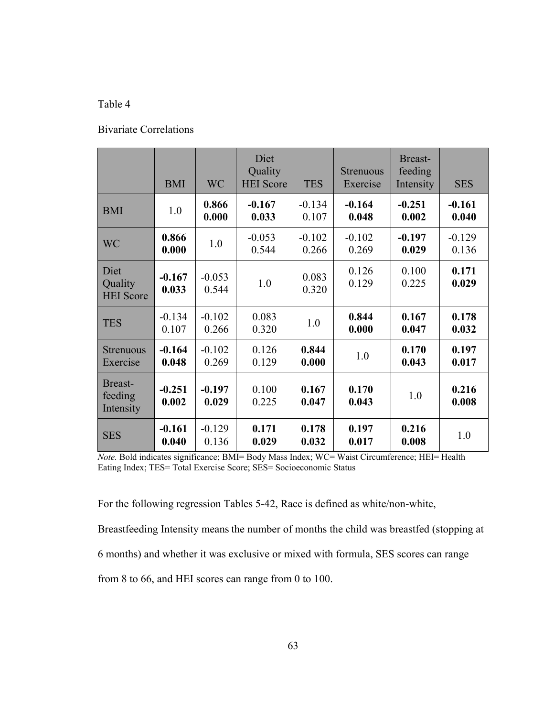#### Bivariate Correlations

|                                     | <b>BMI</b>        | <b>WC</b>         | Diet<br>Quality<br><b>HEI</b> Score | <b>TES</b>        | <b>Strenuous</b><br>Exercise | <b>Breast-</b><br>feeding<br>Intensity | <b>SES</b>        |
|-------------------------------------|-------------------|-------------------|-------------------------------------|-------------------|------------------------------|----------------------------------------|-------------------|
| <b>BMI</b>                          | 1.0               | 0.866<br>0.000    | $-0.167$<br>0.033                   | $-0.134$<br>0.107 | $-0.164$<br>0.048            | $-0.251$<br>0.002                      | $-0.161$<br>0.040 |
| <b>WC</b>                           | 0.866<br>0.000    | 1.0               | $-0.053$<br>0.544                   | $-0.102$<br>0.266 | $-0.102$<br>0.269            | $-0.197$<br>0.029                      | $-0.129$<br>0.136 |
| Diet<br>Quality<br><b>HEI</b> Score | $-0.167$<br>0.033 | $-0.053$<br>0.544 | 1.0                                 | 0.083<br>0.320    | 0.126<br>0.129               | 0.100<br>0.225                         | 0.171<br>0.029    |
| <b>TES</b>                          | $-0.134$<br>0.107 | $-0.102$<br>0.266 | 0.083<br>0.320                      | 1.0               | 0.844<br>0.000               | 0.167<br>0.047                         | 0.178<br>0.032    |
| <b>Strenuous</b><br>Exercise        | $-0.164$<br>0.048 | $-0.102$<br>0.269 | 0.126<br>0.129                      | 0.844<br>0.000    | 1.0                          | 0.170<br>0.043                         | 0.197<br>0.017    |
| Breast-<br>feeding<br>Intensity     | $-0.251$<br>0.002 | $-0.197$<br>0.029 | 0.100<br>0.225                      | 0.167<br>0.047    | 0.170<br>0.043               | 1.0                                    | 0.216<br>0.008    |
| <b>SES</b>                          | $-0.161$<br>0.040 | $-0.129$<br>0.136 | 0.171<br>0.029                      | 0.178<br>0.032    | 0.197<br>0.017               | 0.216<br>0.008                         | 1.0               |

*Note.* Bold indicates significance; BMI= Body Mass Index; WC= Waist Circumference; HEI= Health Eating Index; TES= Total Exercise Score; SES= Socioeconomic Status

For the following regression Tables 5-42, Race is defined as white/non-white,

Breastfeeding Intensity means the number of months the child was breastfed (stopping at 6 months) and whether it was exclusive or mixed with formula, SES scores can range from 8 to 66, and HEI scores can range from 0 to 100.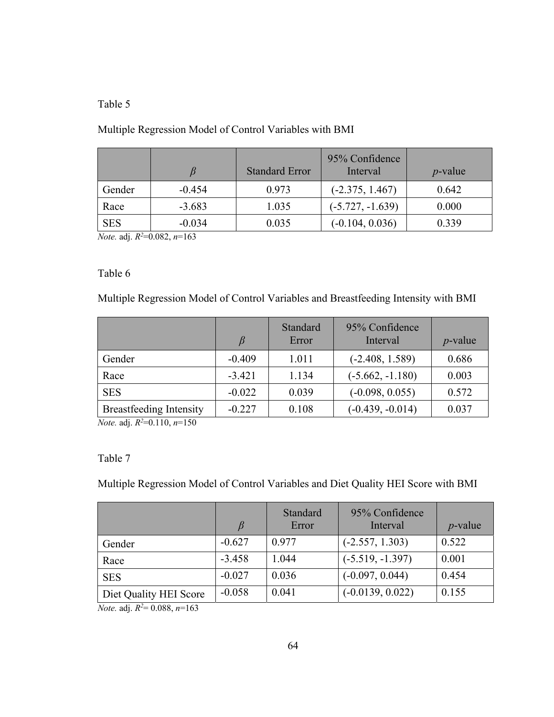# Multiple Regression Model of Control Variables with BMI

|            |          | <b>Standard Error</b> | 95% Confidence<br>Interval | $p$ -value |
|------------|----------|-----------------------|----------------------------|------------|
| Gender     | $-0.454$ | 0.973                 | $(-2.375, 1.467)$          | 0.642      |
| Race       | $-3.683$ | 1.035                 | $(-5.727, -1.639)$         | 0.000      |
| <b>SES</b> | $-0.034$ | 0.035                 | $(-0.104, 0.036)$          | 0.339      |

*Note.* adj. *R2* =0.082, *n*=163

## Table 6

Multiple Regression Model of Control Variables and Breastfeeding Intensity with BMI

|                                |          | Standard<br>Error | 95% Confidence<br>Interval | $p$ -value |
|--------------------------------|----------|-------------------|----------------------------|------------|
| Gender                         | $-0.409$ | 1.011             | $(-2.408, 1.589)$          | 0.686      |
| Race                           | $-3.421$ | 1.134             | $(-5.662, -1.180)$         | 0.003      |
| <b>SES</b>                     | $-0.022$ | 0.039             | $(-0.098, 0.055)$          | 0.572      |
| <b>Breastfeeding Intensity</b> | $-0.227$ | 0.108             | $(-0.439, -0.014)$         | 0.037      |

*Note.* adj. *R2* =0.110, *n*=150

## Table 7

Multiple Regression Model of Control Variables and Diet Quality HEI Score with BMI

|                        |          | Standard<br>Error | 95% Confidence<br>Interval | $p$ -value |
|------------------------|----------|-------------------|----------------------------|------------|
| Gender                 | $-0.627$ | 0.977             | $(-2.557, 1.303)$          | 0.522      |
| Race                   | $-3.458$ | 1.044             | $(-5.519, -1.397)$         | 0.001      |
| <b>SES</b>             | $-0.027$ | 0.036             | $(-0.097, 0.044)$          | 0.454      |
| Diet Quality HEI Score | $-0.058$ | 0.041             | $(-0.0139, 0.022)$         | 0.155      |

*Note.* adj. *R2* = 0.088, *n*=163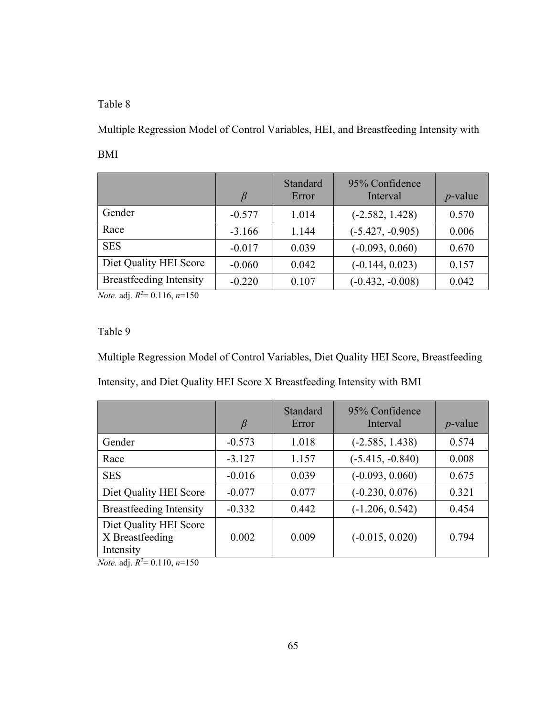Multiple Regression Model of Control Variables, HEI, and Breastfeeding Intensity with BMI

|                                | $\beta$  | Standard<br>Error | 95% Confidence<br>Interval | $p$ -value |
|--------------------------------|----------|-------------------|----------------------------|------------|
| Gender                         | $-0.577$ | 1.014             | $(-2.582, 1.428)$          | 0.570      |
| Race                           | $-3.166$ | 1.144             | $(-5.427, -0.905)$         | 0.006      |
| <b>SES</b>                     | $-0.017$ | 0.039             | $(-0.093, 0.060)$          | 0.670      |
| Diet Quality HEI Score         | $-0.060$ | 0.042             | $(-0.144, 0.023)$          | 0.157      |
| <b>Breastfeeding Intensity</b> | $-0.220$ | 0.107             | $(-0.432, -0.008)$         | 0.042      |

*Note.* adj. *R2* = 0.116, *n*=150

# Table 9

Multiple Regression Model of Control Variables, Diet Quality HEI Score, Breastfeeding Intensity, and Diet Quality HEI Score X Breastfeeding Intensity with BMI

|                                                        | $\beta$  | Standard<br>Error | 95% Confidence<br>Interval | $p$ -value |
|--------------------------------------------------------|----------|-------------------|----------------------------|------------|
| Gender                                                 | $-0.573$ | 1.018             | $(-2.585, 1.438)$          | 0.574      |
| Race                                                   | $-3.127$ | 1.157             | $(-5.415, -0.840)$         | 0.008      |
| <b>SES</b>                                             | $-0.016$ | 0.039             | $(-0.093, 0.060)$          | 0.675      |
| Diet Quality HEI Score                                 | $-0.077$ | 0.077             | $(-0.230, 0.076)$          | 0.321      |
| <b>Breastfeeding Intensity</b>                         | $-0.332$ | 0.442             | $(-1.206, 0.542)$          | 0.454      |
| Diet Quality HEI Score<br>X Breastfeeding<br>Intensity | 0.002    | 0.009             | $(-0.015, 0.020)$          | 0.794      |

*Note.* adj. *R2* = 0.110, *n*=150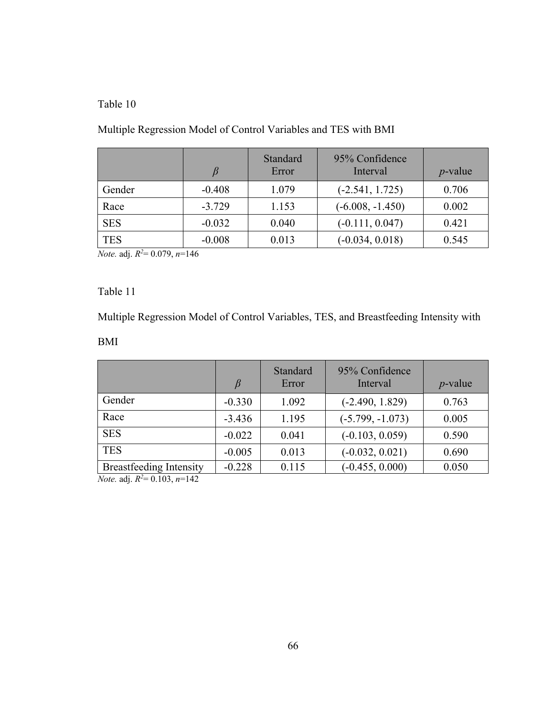# Multiple Regression Model of Control Variables and TES with BMI

|            | $\beta$  | Standard<br>Error | 95% Confidence<br>Interval | $p$ -value |
|------------|----------|-------------------|----------------------------|------------|
| Gender     | $-0.408$ | 1.079             | $(-2.541, 1.725)$          | 0.706      |
| Race       | $-3.729$ | 1.153             | $(-6.008, -1.450)$         | 0.002      |
| <b>SES</b> | $-0.032$ | 0.040             | $(-0.111, 0.047)$          | 0.421      |
| <b>TES</b> | $-0.008$ | 0.013             | $(-0.034, 0.018)$          | 0.545      |

*Note.* adj. *R2* = 0.079, *n*=146

# Table 11

Multiple Regression Model of Control Variables, TES, and Breastfeeding Intensity with

# BMI

|                                                                                                                                                                                                                                                                                                                                                                                                                                | β        | Standard<br>Error | 95% Confidence<br>Interval | $p$ -value |
|--------------------------------------------------------------------------------------------------------------------------------------------------------------------------------------------------------------------------------------------------------------------------------------------------------------------------------------------------------------------------------------------------------------------------------|----------|-------------------|----------------------------|------------|
| Gender                                                                                                                                                                                                                                                                                                                                                                                                                         | $-0.330$ | 1.092             | $(-2.490, 1.829)$          | 0.763      |
| Race                                                                                                                                                                                                                                                                                                                                                                                                                           | $-3.436$ | 1.195             | $(-5.799, -1.073)$         | 0.005      |
| <b>SES</b>                                                                                                                                                                                                                                                                                                                                                                                                                     | $-0.022$ | 0.041             | $(-0.103, 0.059)$          | 0.590      |
| <b>TES</b>                                                                                                                                                                                                                                                                                                                                                                                                                     | $-0.005$ | 0.013             | $(-0.032, 0.021)$          | 0.690      |
| <b>Breastfeeding Intensity</b><br>$\overline{M}$ $\overline{M}$ $\overline{M}$ $\overline{M}$ $\overline{M}$ $\overline{M}$ $\overline{M}$ $\overline{M}$ $\overline{M}$ $\overline{M}$ $\overline{M}$ $\overline{M}$ $\overline{M}$ $\overline{M}$ $\overline{M}$ $\overline{M}$ $\overline{M}$ $\overline{M}$ $\overline{M}$ $\overline{M}$ $\overline{M}$ $\overline{M}$ $\overline{M}$ $\overline{M}$ $\overline{$<br>1.40 | $-0.228$ | 0.115             | $(-0.455, 0.000)$          | 0.050      |

*Note.* adj. *R2* = 0.103, *n*=142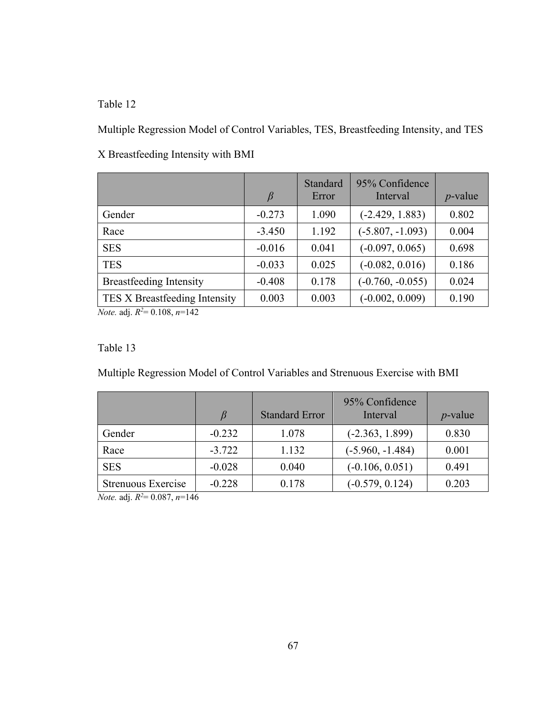Multiple Regression Model of Control Variables, TES, Breastfeeding Intensity, and TES

|                                                                                                                                                                                                                                                                    | $\beta$  | Standard<br>Error | 95% Confidence<br>Interval | $p$ -value |
|--------------------------------------------------------------------------------------------------------------------------------------------------------------------------------------------------------------------------------------------------------------------|----------|-------------------|----------------------------|------------|
| Gender                                                                                                                                                                                                                                                             | $-0.273$ | 1.090             | $(-2.429, 1.883)$          | 0.802      |
| Race                                                                                                                                                                                                                                                               | $-3.450$ | 1.192             | $(-5.807, -1.093)$         | 0.004      |
| <b>SES</b>                                                                                                                                                                                                                                                         | $-0.016$ | 0.041             | $(-0.097, 0.065)$          | 0.698      |
| <b>TES</b>                                                                                                                                                                                                                                                         | $-0.033$ | 0.025             | $(-0.082, 0.016)$          | 0.186      |
| <b>Breastfeeding Intensity</b>                                                                                                                                                                                                                                     | $-0.408$ | 0.178             | $(-0.760, -0.055)$         | 0.024      |
| TES X Breastfeeding Intensity<br>$\mathbf{a}$ . The contract of the contract of the contract of the contract of the contract of the contract of the contract of the contract of the contract of the contract of the contract of the contract of the contract of th | 0.003    | 0.003             | $(-0.002, 0.009)$          | 0.190      |

X Breastfeeding Intensity with BMI

*Note.* adj. *R2* = 0.108, *n*=142

#### Table 13

Multiple Regression Model of Control Variables and Strenuous Exercise with BMI

|                    | $\beta$  | <b>Standard Error</b> | 95% Confidence<br>Interval | $p$ -value |
|--------------------|----------|-----------------------|----------------------------|------------|
| Gender             | $-0.232$ | 1.078                 | $(-2.363, 1.899)$          | 0.830      |
| Race               | $-3.722$ | 1.132                 | $(-5.960, -1.484)$         | 0.001      |
| <b>SES</b>         | $-0.028$ | 0.040                 | $(-0.106, 0.051)$          | 0.491      |
| Strenuous Exercise | $-0.228$ | 0.178                 | $(-0.579, 0.124)$          | 0.203      |

*Note.* adj. *R2* = 0.087, *n*=146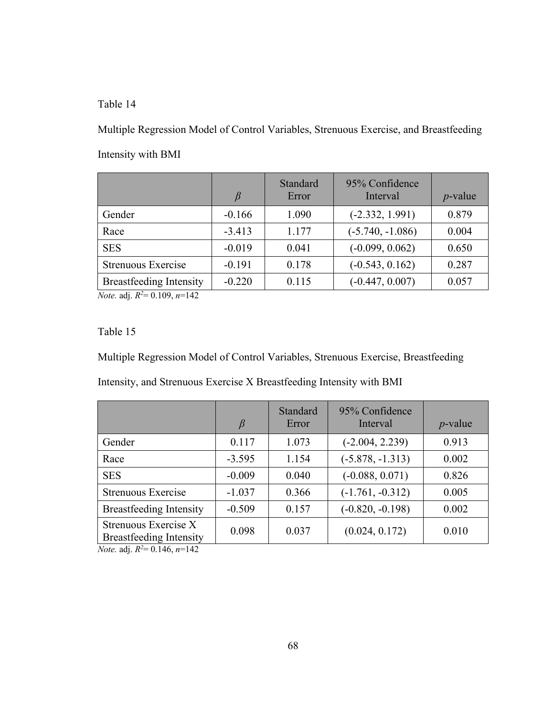Multiple Regression Model of Control Variables, Strenuous Exercise, and Breastfeeding Intensity with BMI

|                                | β        | Standard<br>Error | 95% Confidence<br>Interval | $p$ -value |
|--------------------------------|----------|-------------------|----------------------------|------------|
| Gender                         | $-0.166$ | 1.090             | $(-2.332, 1.991)$          | 0.879      |
| Race                           | $-3.413$ | 1.177             | $(-5.740, -1.086)$         | 0.004      |
| <b>SES</b>                     | $-0.019$ | 0.041             | $(-0.099, 0.062)$          | 0.650      |
| Strenuous Exercise             | $-0.191$ | 0.178             | $(-0.543, 0.162)$          | 0.287      |
| <b>Breastfeeding Intensity</b> | $-0.220$ | 0.115             | $(-0.447, 0.007)$          | 0.057      |

*Note.* adj. *R2* = 0.109, *n*=142

Table 15

Multiple Regression Model of Control Variables, Strenuous Exercise, Breastfeeding

Intensity, and Strenuous Exercise X Breastfeeding Intensity with BMI

|                                                        | B        | Standard<br>Error | 95% Confidence<br>Interval | $p$ -value |
|--------------------------------------------------------|----------|-------------------|----------------------------|------------|
| Gender                                                 | 0.117    | 1.073             | $(-2.004, 2.239)$          | 0.913      |
| Race                                                   | $-3.595$ | 1.154             | $(-5.878, -1.313)$         | 0.002      |
| <b>SES</b>                                             | $-0.009$ | 0.040             | $(-0.088, 0.071)$          | 0.826      |
| <b>Strenuous Exercise</b>                              | $-1.037$ | 0.366             | $(-1.761, -0.312)$         | 0.005      |
| <b>Breastfeeding Intensity</b>                         | $-0.509$ | 0.157             | $(-0.820, -0.198)$         | 0.002      |
| Strenuous Exercise X<br><b>Breastfeeding Intensity</b> | 0.098    | 0.037             | (0.024, 0.172)             | 0.010      |

*Note.* adj. *R2* = 0.146, *n*=142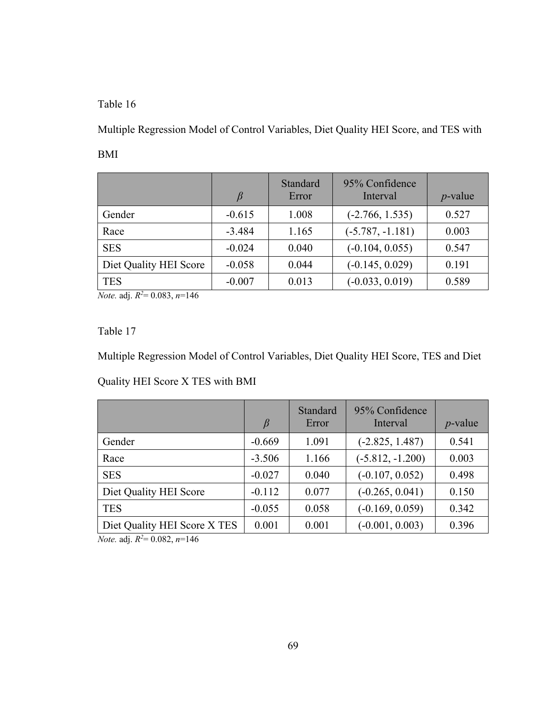Multiple Regression Model of Control Variables, Diet Quality HEI Score, and TES with BMI

|                        |          | Standard<br>Error | 95% Confidence<br>Interval | $p$ -value |
|------------------------|----------|-------------------|----------------------------|------------|
| Gender                 | $-0.615$ | 1.008             | $(-2.766, 1.535)$          | 0.527      |
| Race                   | $-3.484$ | 1.165             | $(-5.787, -1.181)$         | 0.003      |
| <b>SES</b>             | $-0.024$ | 0.040             | $(-0.104, 0.055)$          | 0.547      |
| Diet Quality HEI Score | $-0.058$ | 0.044             | $(-0.145, 0.029)$          | 0.191      |
| <b>TES</b>             | $-0.007$ | 0.013             | $(-0.033, 0.019)$          | 0.589      |

*Note.* adj. *R2* = 0.083, *n*=146

Table 17

Multiple Regression Model of Control Variables, Diet Quality HEI Score, TES and Diet

Quality HEI Score X TES with BMI

|                              | $\beta$  | Standard<br>Error | 95% Confidence<br>Interval | $p$ -value |
|------------------------------|----------|-------------------|----------------------------|------------|
| Gender                       | $-0.669$ | 1.091             | $(-2.825, 1.487)$          | 0.541      |
| Race                         | $-3.506$ | 1.166             | $(-5.812, -1.200)$         | 0.003      |
| <b>SES</b>                   | $-0.027$ | 0.040             | $(-0.107, 0.052)$          | 0.498      |
| Diet Quality HEI Score       | $-0.112$ | 0.077             | $(-0.265, 0.041)$          | 0.150      |
| <b>TES</b>                   | $-0.055$ | 0.058             | $(-0.169, 0.059)$          | 0.342      |
| Diet Quality HEI Score X TES | 0.001    | 0.001             | $(-0.001, 0.003)$          | 0.396      |

*Note.* adj. *R2* = 0.082, *n*=146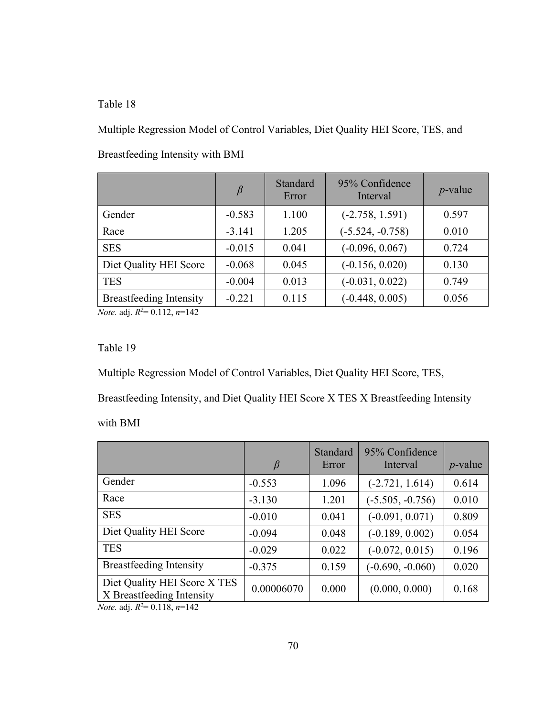Multiple Regression Model of Control Variables, Diet Quality HEI Score, TES, and

|                                | $\beta$  | Standard<br>Error | 95% Confidence<br>Interval | $p$ -value |
|--------------------------------|----------|-------------------|----------------------------|------------|
| Gender                         | $-0.583$ | 1.100             | $(-2.758, 1.591)$          | 0.597      |
| Race                           | $-3.141$ | 1.205             | $(-5.524, -0.758)$         | 0.010      |
| <b>SES</b>                     | $-0.015$ | 0.041             | $(-0.096, 0.067)$          | 0.724      |
| Diet Quality HEI Score         | $-0.068$ | 0.045             | $(-0.156, 0.020)$          | 0.130      |
| <b>TES</b>                     | $-0.004$ | 0.013             | $(-0.031, 0.022)$          | 0.749      |
| <b>Breastfeeding Intensity</b> | $-0.221$ | 0.115             | $(-0.448, 0.005)$          | 0.056      |

Breastfeeding Intensity with BMI

*Note.* adj. *R2* = 0.112, *n*=142

#### Table 19

Multiple Regression Model of Control Variables, Diet Quality HEI Score, TES,

Breastfeeding Intensity, and Diet Quality HEI Score X TES X Breastfeeding Intensity

with BMI

|                                                                                                      | β          | Standard<br>Error | 95% Confidence<br>Interval | $p$ -value |
|------------------------------------------------------------------------------------------------------|------------|-------------------|----------------------------|------------|
| Gender                                                                                               | $-0.553$   | 1.096             | $(-2.721, 1.614)$          | 0.614      |
| Race                                                                                                 | $-3.130$   | 1.201             | $(-5.505, -0.756)$         | 0.010      |
| <b>SES</b>                                                                                           | $-0.010$   | 0.041             | $(-0.091, 0.071)$          | 0.809      |
| Diet Quality HEI Score                                                                               | $-0.094$   | 0.048             | $(-0.189, 0.002)$          | 0.054      |
| <b>TES</b>                                                                                           | $-0.029$   | 0.022             | $(-0.072, 0.015)$          | 0.196      |
| <b>Breastfeeding Intensity</b>                                                                       | $-0.375$   | 0.159             | $(-0.690, -0.060)$         | 0.020      |
| Diet Quality HEI Score X TES<br>X Breastfeeding Intensity<br>$M_{\odot}$ $(1^6 - 5^2 - 0.110 - 140)$ | 0.00006070 | 0.000             | (0.000, 0.000)             | 0.168      |

*Note.* adj. *R2* = 0.118, *n*=142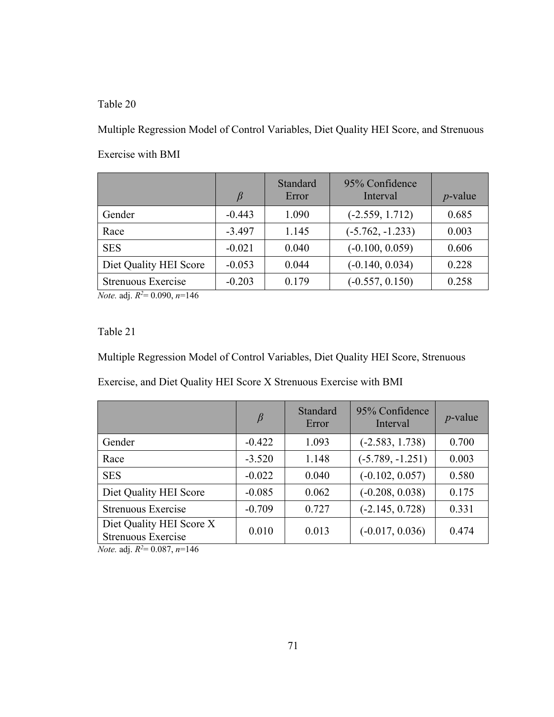Multiple Regression Model of Control Variables, Diet Quality HEI Score, and Strenuous Exercise with BMI

|                                                           |          | Standard<br>Error | 95% Confidence<br>Interval | $p$ -value |
|-----------------------------------------------------------|----------|-------------------|----------------------------|------------|
| Gender                                                    | $-0.443$ | 1.090             | $(-2.559, 1.712)$          | 0.685      |
| Race                                                      | $-3.497$ | 1.145             | $(-5.762, -1.233)$         | 0.003      |
| <b>SES</b>                                                | $-0.021$ | 0.040             | $(-0.100, 0.059)$          | 0.606      |
| Diet Quality HEI Score                                    | $-0.053$ | 0.044             | $(-0.140, 0.034)$          | 0.228      |
| Strenuous Exercise<br>المتحدث المتحدث والمستحدث والمستحدث | $-0.203$ | 0.179             | $(-0.557, 0.150)$          | 0.258      |

*Note.* adj. *R2* = 0.090, *n*=146

Table 21

Multiple Regression Model of Control Variables, Diet Quality HEI Score, Strenuous

Exercise, and Diet Quality HEI Score X Strenuous Exercise with BMI

|                                                | $\beta$  | Standard<br>Error | 95% Confidence<br>Interval | $p$ -value |
|------------------------------------------------|----------|-------------------|----------------------------|------------|
| Gender                                         | $-0.422$ | 1.093             | $(-2.583, 1.738)$          | 0.700      |
| Race                                           | $-3.520$ | 1.148             | $(-5.789, -1.251)$         | 0.003      |
| <b>SES</b>                                     | $-0.022$ | 0.040             | $(-0.102, 0.057)$          | 0.580      |
| Diet Quality HEI Score                         | $-0.085$ | 0.062             | $(-0.208, 0.038)$          | 0.175      |
| <b>Strenuous Exercise</b>                      | $-0.709$ | 0.727             | $(-2.145, 0.728)$          | 0.331      |
| Diet Quality HEI Score X<br>Strenuous Exercise | 0.010    | 0.013             | $(-0.017, 0.036)$          | 0.474      |

*Note.* adj. *R2* = 0.087, *n*=146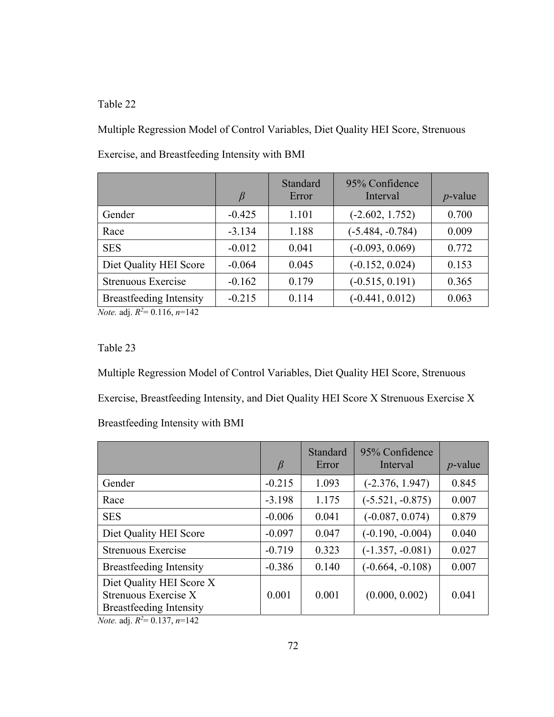Multiple Regression Model of Control Variables, Diet Quality HEI Score, Strenuous

|                                | ß        | Standard<br>Error | 95% Confidence<br>Interval | $p$ -value |
|--------------------------------|----------|-------------------|----------------------------|------------|
| Gender                         | $-0.425$ | 1.101             | $(-2.602, 1.752)$          | 0.700      |
| Race                           | $-3.134$ | 1.188             | $(-5.484, -0.784)$         | 0.009      |
| <b>SES</b>                     | $-0.012$ | 0.041             | $(-0.093, 0.069)$          | 0.772      |
| Diet Quality HEI Score         | $-0.064$ | 0.045             | $(-0.152, 0.024)$          | 0.153      |
| Strenuous Exercise             | $-0.162$ | 0.179             | $(-0.515, 0.191)$          | 0.365      |
| <b>Breastfeeding Intensity</b> | $-0.215$ | 0.114             | $(-0.441, 0.012)$          | 0.063      |

Exercise, and Breastfeeding Intensity with BMI

*Note.* adj. *R2* = 0.116, *n*=142

## Table 23

Multiple Regression Model of Control Variables, Diet Quality HEI Score, Strenuous Exercise, Breastfeeding Intensity, and Diet Quality HEI Score X Strenuous Exercise X Breastfeeding Intensity with BMI

|                                                                                    | $\beta$  | Standard<br>Error | 95% Confidence<br>Interval | $p$ -value |
|------------------------------------------------------------------------------------|----------|-------------------|----------------------------|------------|
| Gender                                                                             | $-0.215$ | 1.093             | $(-2.376, 1.947)$          | 0.845      |
| Race                                                                               | $-3.198$ | 1.175             | $(-5.521, -0.875)$         | 0.007      |
| <b>SES</b>                                                                         | $-0.006$ | 0.041             | $(-0.087, 0.074)$          | 0.879      |
| Diet Quality HEI Score                                                             | $-0.097$ | 0.047             | $(-0.190, -0.004)$         | 0.040      |
| Strenuous Exercise                                                                 | $-0.719$ | 0.323             | $(-1.357, -0.081)$         | 0.027      |
| <b>Breastfeeding Intensity</b>                                                     | $-0.386$ | 0.140             | $(-0.664, -0.108)$         | 0.007      |
| Diet Quality HEI Score X<br>Strenuous Exercise X<br><b>Breastfeeding Intensity</b> | 0.001    | 0.001             | (0.000, 0.002)             | 0.041      |

*Note.* adj. *R2* = 0.137, *n*=142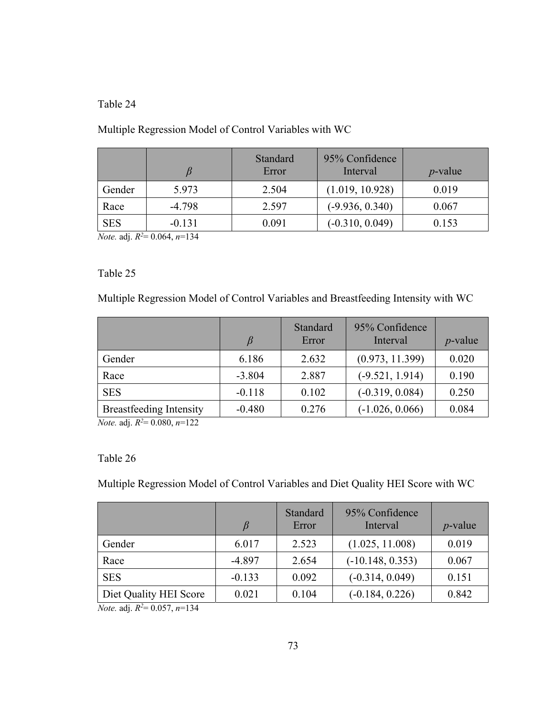# Multiple Regression Model of Control Variables with WC

|            |          | Standard<br>Error | 95% Confidence<br>Interval | $p$ -value |
|------------|----------|-------------------|----------------------------|------------|
| Gender     | 5.973    | 2.504             | (1.019, 10.928)            | 0.019      |
| Race       | $-4.798$ | 2.597             | $(-9.936, 0.340)$          | 0.067      |
| <b>SES</b> | $-0.131$ | 0.091             | $(-0.310, 0.049)$          | 0.153      |

*Note.* adj. *R2* = 0.064, *n*=134

## Table 25

Multiple Regression Model of Control Variables and Breastfeeding Intensity with WC

|                                |          | Standard<br>Error | 95% Confidence<br>Interval | $p$ -value |
|--------------------------------|----------|-------------------|----------------------------|------------|
| Gender                         | 6.186    | 2.632             | (0.973, 11.399)            | 0.020      |
| Race                           | $-3.804$ | 2.887             | $(-9.521, 1.914)$          | 0.190      |
| <b>SES</b>                     | $-0.118$ | 0.102             | $(-0.319, 0.084)$          | 0.250      |
| <b>Breastfeeding Intensity</b> | $-0.480$ | 0.276             | $(-1.026, 0.066)$          | 0.084      |

*Note.* adj. *R2* = 0.080, *n*=122

## Table 26

Multiple Regression Model of Control Variables and Diet Quality HEI Score with WC

|                        | β        | Standard<br>Error | 95% Confidence<br>Interval | $p$ -value |
|------------------------|----------|-------------------|----------------------------|------------|
| Gender                 | 6.017    | 2.523             | (1.025, 11.008)            | 0.019      |
| Race                   | $-4.897$ | 2.654             | $(-10.148, 0.353)$         | 0.067      |
| <b>SES</b>             | $-0.133$ | 0.092             | $(-0.314, 0.049)$          | 0.151      |
| Diet Quality HEI Score | 0.021    | 0.104             | $(-0.184, 0.226)$          | 0.842      |

*Note.* adj. *R2* = 0.057, *n*=134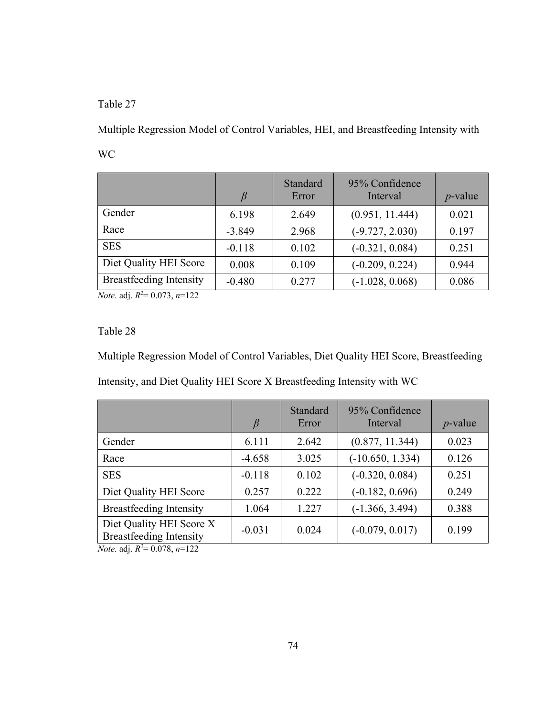Multiple Regression Model of Control Variables, HEI, and Breastfeeding Intensity with WC

|                                | $\beta$  | Standard<br>Error | 95% Confidence<br>Interval | $p$ -value |
|--------------------------------|----------|-------------------|----------------------------|------------|
| Gender                         | 6.198    | 2.649             | (0.951, 11.444)            | 0.021      |
| Race                           | $-3.849$ | 2.968             | $(-9.727, 2.030)$          | 0.197      |
| <b>SES</b>                     | $-0.118$ | 0.102             | $(-0.321, 0.084)$          | 0.251      |
| Diet Quality HEI Score         | 0.008    | 0.109             | $(-0.209, 0.224)$          | 0.944      |
| <b>Breastfeeding Intensity</b> | $-0.480$ | 0.277             | $(-1.028, 0.068)$          | 0.086      |

*Note.* adj. *R2* = 0.073, *n*=122

# Table 28

Multiple Regression Model of Control Variables, Diet Quality HEI Score, Breastfeeding Intensity, and Diet Quality HEI Score X Breastfeeding Intensity with WC

|                                                            | $\beta$  | Standard<br>Error | 95% Confidence<br>Interval | $p$ -value |
|------------------------------------------------------------|----------|-------------------|----------------------------|------------|
| Gender                                                     | 6.111    | 2.642             | (0.877, 11.344)            | 0.023      |
| Race                                                       | $-4.658$ | 3.025             | $(-10.650, 1.334)$         | 0.126      |
| <b>SES</b>                                                 | $-0.118$ | 0.102             | $(-0.320, 0.084)$          | 0.251      |
| Diet Quality HEI Score                                     | 0.257    | 0.222             | $(-0.182, 0.696)$          | 0.249      |
| <b>Breastfeeding Intensity</b>                             | 1.064    | 1.227             | $(-1.366, 3.494)$          | 0.388      |
| Diet Quality HEI Score X<br><b>Breastfeeding Intensity</b> | $-0.031$ | 0.024             | $(-0.079, 0.017)$          | 0.199      |

*Note.* adj. *R2* = 0.078, *n*=122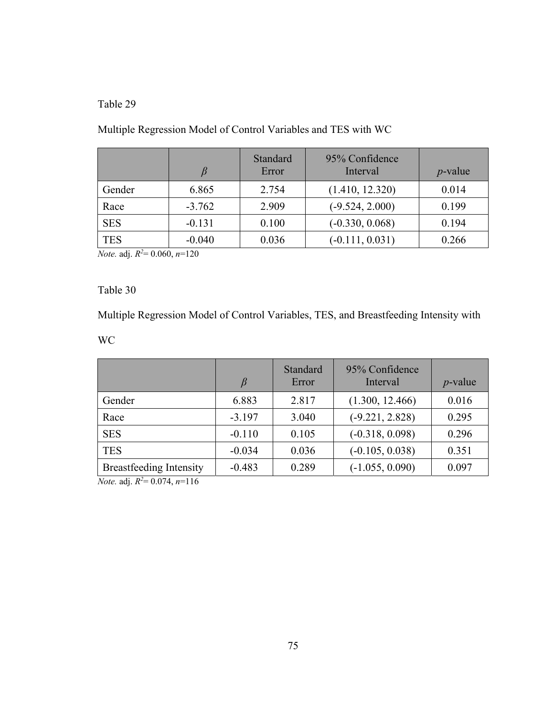# Multiple Regression Model of Control Variables and TES with WC

|            | B        | Standard<br>Error | 95% Confidence<br>Interval | $p$ -value |
|------------|----------|-------------------|----------------------------|------------|
| Gender     | 6.865    | 2.754             | (1.410, 12.320)            | 0.014      |
| Race       | $-3.762$ | 2.909             | $(-9.524, 2.000)$          | 0.199      |
| <b>SES</b> | $-0.131$ | 0.100             | $(-0.330, 0.068)$          | 0.194      |
| <b>TES</b> | $-0.040$ | 0.036             | $(-0.111, 0.031)$          | 0.266      |

*Note.* adj. *R2* = 0.060, *n*=120

# Table 30

Multiple Regression Model of Control Variables, TES, and Breastfeeding Intensity with

WC

|                                                                                                                                          | β        | Standard<br>Error | 95% Confidence<br>Interval | $p$ -value |
|------------------------------------------------------------------------------------------------------------------------------------------|----------|-------------------|----------------------------|------------|
| Gender                                                                                                                                   | 6.883    | 2.817             | (1.300, 12.466)            | 0.016      |
| Race                                                                                                                                     | $-3.197$ | 3.040             | $(-9.221, 2.828)$          | 0.295      |
| <b>SES</b>                                                                                                                               | $-0.110$ | 0.105             | $(-0.318, 0.098)$          | 0.296      |
| <b>TES</b>                                                                                                                               | $-0.034$ | 0.036             | $(-0.105, 0.038)$          | 0.351      |
| <b>Breastfeeding Intensity</b><br>$\mathbf{r} = \mathbf{r} \cdot \mathbf{n}$ $\mathbf{r} \cdot \mathbf{n}$ $\mathbf{r} \cdot \mathbf{n}$ | $-0.483$ | 0.289             | $(-1.055, 0.090)$          | 0.097      |

*Note.* adj. *R2* = 0.074, *n*=116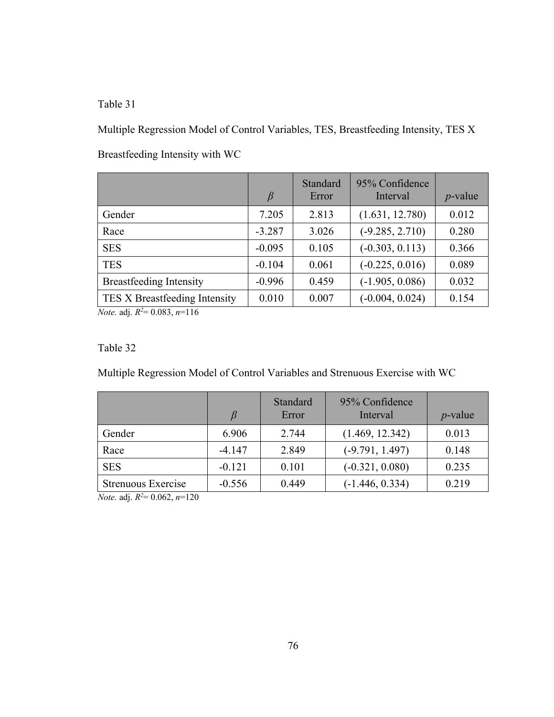Multiple Regression Model of Control Variables, TES, Breastfeeding Intensity, TES X Breastfeeding Intensity with WC

|                                | $\beta$  | Standard<br>Error | 95% Confidence<br>Interval | $p$ -value |
|--------------------------------|----------|-------------------|----------------------------|------------|
| Gender                         | 7.205    | 2.813             | (1.631, 12.780)            | 0.012      |
| Race                           | $-3.287$ | 3.026             | $(-9.285, 2.710)$          | 0.280      |
| <b>SES</b>                     | $-0.095$ | 0.105             | $(-0.303, 0.113)$          | 0.366      |
| <b>TES</b>                     | $-0.104$ | 0.061             | $(-0.225, 0.016)$          | 0.089      |
| <b>Breastfeeding Intensity</b> | $-0.996$ | 0.459             | $(-1.905, 0.086)$          | 0.032      |
| TES X Breastfeeding Intensity  | 0.010    | 0.007             | $(-0.004, 0.024)$          | 0.154      |

*Note.* adj. *R2* = 0.083, *n*=116

#### Table 32

Multiple Regression Model of Control Variables and Strenuous Exercise with WC

|                    |          | Standard<br>Error | 95% Confidence<br>Interval | $p$ -value |
|--------------------|----------|-------------------|----------------------------|------------|
| Gender             | 6.906    | 2.744             | (1.469, 12.342)            | 0.013      |
| Race               | $-4.147$ | 2.849             | $(-9.791, 1.497)$          | 0.148      |
| <b>SES</b>         | $-0.121$ | 0.101             | $(-0.321, 0.080)$          | 0.235      |
| Strenuous Exercise | $-0.556$ | 0.449             | $(-1.446, 0.334)$          | 0.219      |

*Note.* adj. *R2* = 0.062, *n*=120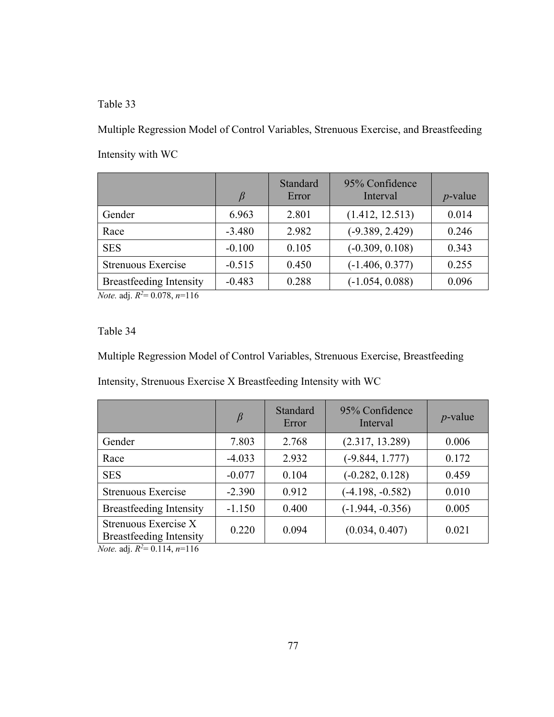Multiple Regression Model of Control Variables, Strenuous Exercise, and Breastfeeding Intensity with WC

|                                | B        | Standard<br>Error | 95% Confidence<br>Interval | $p$ -value |
|--------------------------------|----------|-------------------|----------------------------|------------|
| Gender                         | 6.963    | 2.801             | (1.412, 12.513)            | 0.014      |
| Race                           | $-3.480$ | 2.982             | $(-9.389, 2.429)$          | 0.246      |
| <b>SES</b>                     | $-0.100$ | 0.105             | $(-0.309, 0.108)$          | 0.343      |
| Strenuous Exercise             | $-0.515$ | 0.450             | $(-1.406, 0.377)$          | 0.255      |
| <b>Breastfeeding Intensity</b> | $-0.483$ | 0.288             | $(-1.054, 0.088)$          | 0.096      |

*Note.* adj. *R2* = 0.078, *n*=116

Table 34

Multiple Regression Model of Control Variables, Strenuous Exercise, Breastfeeding

Intensity, Strenuous Exercise X Breastfeeding Intensity with WC

|                                                             | $\beta$  | Standard<br>Error | 95% Confidence<br>Interval | $p$ -value |
|-------------------------------------------------------------|----------|-------------------|----------------------------|------------|
| Gender                                                      | 7.803    | 2.768             | (2.317, 13.289)            | 0.006      |
| Race                                                        | $-4.033$ | 2.932             | $(-9.844, 1.777)$          | 0.172      |
| <b>SES</b>                                                  | $-0.077$ | 0.104             | $(-0.282, 0.128)$          | 0.459      |
| Strenuous Exercise                                          | $-2.390$ | 0.912             | $(-4.198, -0.582)$         | 0.010      |
| <b>Breastfeeding Intensity</b>                              | $-1.150$ | 0.400             | $(-1.944, -0.356)$         | 0.005      |
| Strenuous Exercise X<br><b>Breastfeeding Intensity</b><br>. | 0.220    | 0.094             | (0.034, 0.407)             | 0.021      |

*Note.* adj. *R2* = 0.114, *n*=116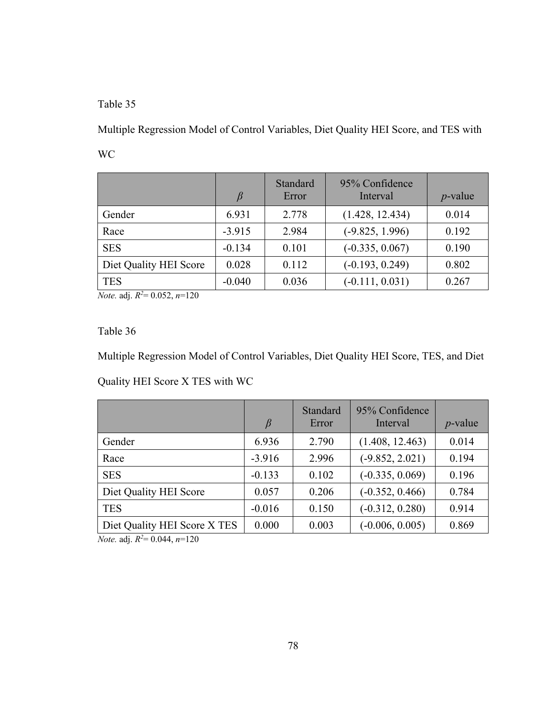Multiple Regression Model of Control Variables, Diet Quality HEI Score, and TES with WC

|                        |          | Standard<br>Error | 95% Confidence<br>Interval | $p$ -value |
|------------------------|----------|-------------------|----------------------------|------------|
| Gender                 | 6.931    | 2.778             | (1.428, 12.434)            | 0.014      |
| Race                   | $-3.915$ | 2.984             | $(-9.825, 1.996)$          | 0.192      |
| <b>SES</b>             | $-0.134$ | 0.101             | $(-0.335, 0.067)$          | 0.190      |
| Diet Quality HEI Score | 0.028    | 0.112             | $(-0.193, 0.249)$          | 0.802      |
| <b>TES</b>             | $-0.040$ | 0.036             | $(-0.111, 0.031)$          | 0.267      |

*Note.* adj. *R2* = 0.052, *n*=120

Table 36

Multiple Regression Model of Control Variables, Diet Quality HEI Score, TES, and Diet Quality HEI Score X TES with WC

|                              | $\beta$  | Standard<br>Error | 95% Confidence<br>Interval | $p$ -value |
|------------------------------|----------|-------------------|----------------------------|------------|
| Gender                       | 6.936    | 2.790             | (1.408, 12.463)            | 0.014      |
| Race                         | $-3.916$ | 2.996             | $(-9.852, 2.021)$          | 0.194      |
| <b>SES</b>                   | $-0.133$ | 0.102             | $(-0.335, 0.069)$          | 0.196      |
| Diet Quality HEI Score       | 0.057    | 0.206             | $(-0.352, 0.466)$          | 0.784      |
| <b>TES</b>                   | $-0.016$ | 0.150             | $(-0.312, 0.280)$          | 0.914      |
| Diet Quality HEI Score X TES | 0.000    | 0.003             | $(-0.006, 0.005)$          | 0.869      |

*Note.* adj. *R2* = 0.044, *n*=120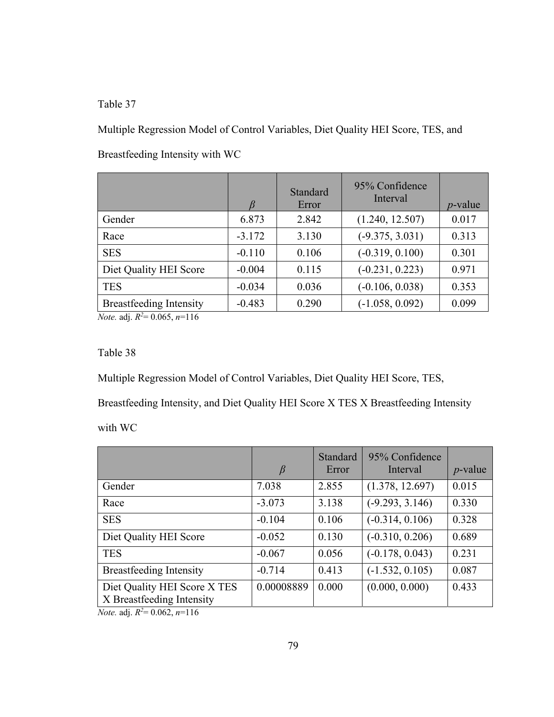Multiple Regression Model of Control Variables, Diet Quality HEI Score, TES, and Breastfeeding Intensity with WC

|                                |          | Standard<br>Error | 95% Confidence<br>Interval | $p$ -value |
|--------------------------------|----------|-------------------|----------------------------|------------|
| Gender                         | 6.873    | 2.842             | (1.240, 12.507)            | 0.017      |
| Race                           | $-3.172$ | 3.130             | $(-9.375, 3.031)$          | 0.313      |
| <b>SES</b>                     | $-0.110$ | 0.106             | $(-0.319, 0.100)$          | 0.301      |
| Diet Quality HEI Score         | $-0.004$ | 0.115             | $(-0.231, 0.223)$          | 0.971      |
| <b>TES</b>                     | $-0.034$ | 0.036             | $(-0.106, 0.038)$          | 0.353      |
| <b>Breastfeeding Intensity</b> | $-0.483$ | 0.290             | $(-1.058, 0.092)$          | 0.099      |

*Note.* adj. *R2* = 0.065, *n*=116

#### Table 38

Multiple Regression Model of Control Variables, Diet Quality HEI Score, TES,

Breastfeeding Intensity, and Diet Quality HEI Score X TES X Breastfeeding Intensity

with WC

|                                                           | $\beta$    | Standard<br>Error | 95% Confidence<br>Interval | $p$ -value |
|-----------------------------------------------------------|------------|-------------------|----------------------------|------------|
| Gender                                                    | 7.038      | 2.855             | (1.378, 12.697)            | 0.015      |
| Race                                                      | $-3.073$   | 3.138             | $(-9.293, 3.146)$          | 0.330      |
| <b>SES</b>                                                | $-0.104$   | 0.106             | $(-0.314, 0.106)$          | 0.328      |
| Diet Quality HEI Score                                    | $-0.052$   | 0.130             | $(-0.310, 0.206)$          | 0.689      |
| <b>TES</b>                                                | $-0.067$   | 0.056             | $(-0.178, 0.043)$          | 0.231      |
| <b>Breastfeeding Intensity</b>                            | $-0.714$   | 0.413             | $(-1.532, 0.105)$          | 0.087      |
| Diet Quality HEI Score X TES<br>X Breastfeeding Intensity | 0.00008889 | 0.000             | (0.000, 0.000)             | 0.433      |

*Note.* adj. *R2* = 0.062, *n*=116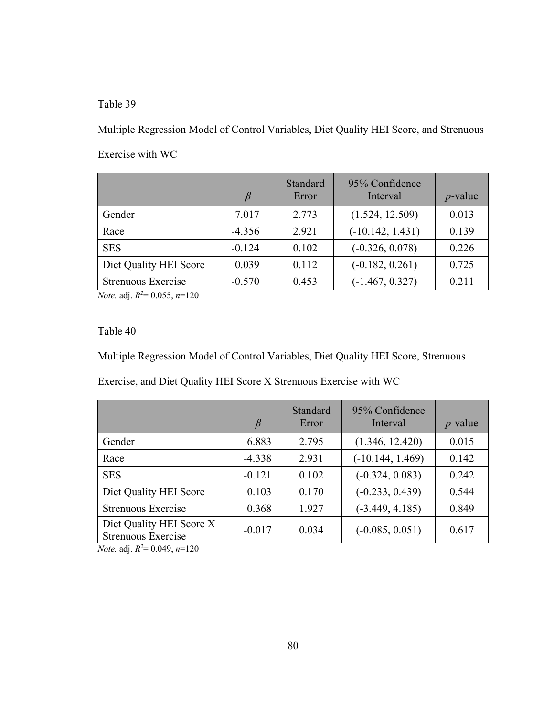Multiple Regression Model of Control Variables, Diet Quality HEI Score, and Strenuous Exercise with WC

|                        | β        | Standard<br>Error | 95% Confidence<br>Interval | $p$ -value |
|------------------------|----------|-------------------|----------------------------|------------|
| Gender                 | 7.017    | 2.773             | (1.524, 12.509)            | 0.013      |
| Race                   | $-4.356$ | 2.921             | $(-10.142, 1.431)$         | 0.139      |
| <b>SES</b>             | $-0.124$ | 0.102             | $(-0.326, 0.078)$          | 0.226      |
| Diet Quality HEI Score | 0.039    | 0.112             | $(-0.182, 0.261)$          | 0.725      |
| Strenuous Exercise     | $-0.570$ | 0.453             | $(-1.467, 0.327)$          | 0.211      |

*Note.* adj. *R2* = 0.055, *n*=120

Table 40

Multiple Regression Model of Control Variables, Diet Quality HEI Score, Strenuous

Exercise, and Diet Quality HEI Score X Strenuous Exercise with WC

|                                                | $\beta$  | Standard<br>Error | 95% Confidence<br>Interval | $p$ -value |
|------------------------------------------------|----------|-------------------|----------------------------|------------|
| Gender                                         | 6.883    | 2.795             | (1.346, 12.420)            | 0.015      |
| Race                                           | $-4.338$ | 2.931             | $(-10.144, 1.469)$         | 0.142      |
| <b>SES</b>                                     | $-0.121$ | 0.102             | $(-0.324, 0.083)$          | 0.242      |
| Diet Quality HEI Score                         | 0.103    | 0.170             | $(-0.233, 0.439)$          | 0.544      |
| Strenuous Exercise                             | 0.368    | 1.927             | $(-3.449, 4.185)$          | 0.849      |
| Diet Quality HEI Score X<br>Strenuous Exercise | $-0.017$ | 0.034             | $(-0.085, 0.051)$          | 0.617      |

*Note.* adj. *R2* = 0.049, *n*=120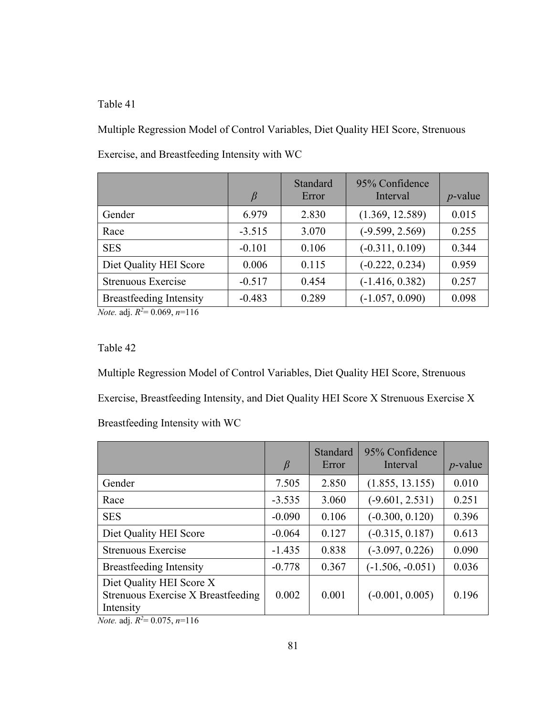Multiple Regression Model of Control Variables, Diet Quality HEI Score, Strenuous Exercise, and Breastfeeding Intensity with WC

|                                | $\beta$  | Standard<br>Error | 95% Confidence<br>Interval | $p$ -value |
|--------------------------------|----------|-------------------|----------------------------|------------|
| Gender                         | 6.979    | 2.830             | (1.369, 12.589)            | 0.015      |
| Race                           | $-3.515$ | 3.070             | $(-9.599, 2.569)$          | 0.255      |
| <b>SES</b>                     | $-0.101$ | 0.106             | $(-0.311, 0.109)$          | 0.344      |
| Diet Quality HEI Score         | 0.006    | 0.115             | $(-0.222, 0.234)$          | 0.959      |
| Strenuous Exercise             | $-0.517$ | 0.454             | $(-1.416, 0.382)$          | 0.257      |
| <b>Breastfeeding Intensity</b> | $-0.483$ | 0.289             | $(-1.057, 0.090)$          | 0.098      |

*Note.* adj. *R2* = 0.069, *n*=116

## Table 42

Multiple Regression Model of Control Variables, Diet Quality HEI Score, Strenuous Exercise, Breastfeeding Intensity, and Diet Quality HEI Score X Strenuous Exercise X Breastfeeding Intensity with WC

|                                                                             | $\beta$  | Standard<br>Error | 95% Confidence<br>Interval | $p$ -value |
|-----------------------------------------------------------------------------|----------|-------------------|----------------------------|------------|
| Gender                                                                      | 7.505    | 2.850             | (1.855, 13.155)            | 0.010      |
| Race                                                                        | $-3.535$ | 3.060             | $(-9.601, 2.531)$          | 0.251      |
| <b>SES</b>                                                                  | $-0.090$ | 0.106             | $(-0.300, 0.120)$          | 0.396      |
| Diet Quality HEI Score                                                      | $-0.064$ | 0.127             | $(-0.315, 0.187)$          | 0.613      |
| Strenuous Exercise                                                          | $-1.435$ | 0.838             | $(-3.097, 0.226)$          | 0.090      |
| <b>Breastfeeding Intensity</b>                                              | $-0.778$ | 0.367             | $(-1.506, -0.051)$         | 0.036      |
| Diet Quality HEI Score X<br>Strenuous Exercise X Breastfeeding<br>Intensity | 0.002    | 0.001             | $(-0.001, 0.005)$          | 0.196      |

*Note.* adj. *R2* = 0.075, *n*=116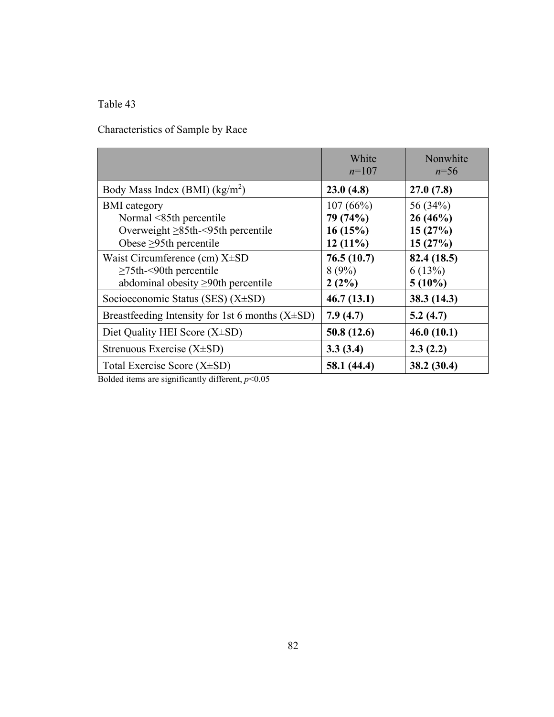Characteristics of Sample by Race

|                                                                                                                                                                 | White<br>$n=107$                                            | Nonwhite<br>$n=56$                                       |
|-----------------------------------------------------------------------------------------------------------------------------------------------------------------|-------------------------------------------------------------|----------------------------------------------------------|
| Body Mass Index (BMI) $(kg/m2)$                                                                                                                                 | 23.0(4.8)                                                   | 27.0(7.8)                                                |
| <b>BMI</b> category<br>Normal <85th percentile<br>Overweight $\geq$ 85th-<95th percentile<br>Obese $\geq$ 95th percentile<br>Waist Circumference (cm) $X\pm SD$ | 107(66%)<br>79 (74%)<br>16(15%)<br>$12(11\%)$<br>76.5(10.7) | 56 (34%)<br>26(46%)<br>15(27%)<br>15(27%)<br>82.4 (18.5) |
| $\geq$ 75th-<90th percentile<br>abdominal obesity $\geq$ 90th percentile                                                                                        | 8(9%)<br>$2(2\%)$                                           | 6(13%)<br>$5(10\%)$                                      |
| Socioeconomic Status (SES) (X±SD)                                                                                                                               | 46.7(13.1)                                                  | 38.3(14.3)                                               |
| Breastfeeding Intensity for 1st 6 months $(X\pm SD)$                                                                                                            | 7.9(4.7)                                                    | 5.2(4.7)                                                 |
| Diet Quality HEI Score $(X\pm SD)$                                                                                                                              | 50.8(12.6)                                                  | 46.0(10.1)                                               |
| Strenuous Exercise $(X\pm SD)$                                                                                                                                  | 3.3(3.4)                                                    | 2.3(2.2)                                                 |
| Total Exercise Score $(X\pm SD)$                                                                                                                                | 58.1 (44.4)                                                 | 38.2 (30.4)                                              |

Bolded items are significantly different, *p*<0.05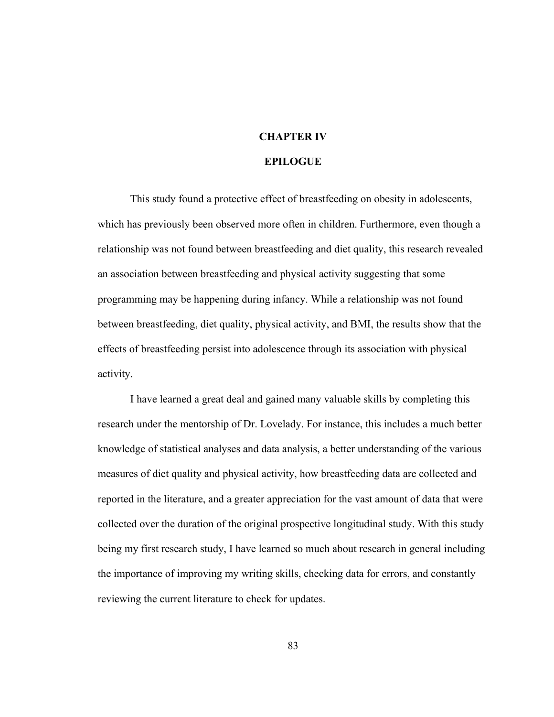## **CHAPTER IV**

#### **EPILOGUE**

This study found a protective effect of breastfeeding on obesity in adolescents, which has previously been observed more often in children. Furthermore, even though a relationship was not found between breastfeeding and diet quality, this research revealed an association between breastfeeding and physical activity suggesting that some programming may be happening during infancy. While a relationship was not found between breastfeeding, diet quality, physical activity, and BMI, the results show that the effects of breastfeeding persist into adolescence through its association with physical activity.

 I have learned a great deal and gained many valuable skills by completing this research under the mentorship of Dr. Lovelady. For instance, this includes a much better knowledge of statistical analyses and data analysis, a better understanding of the various measures of diet quality and physical activity, how breastfeeding data are collected and reported in the literature, and a greater appreciation for the vast amount of data that were collected over the duration of the original prospective longitudinal study. With this study being my first research study, I have learned so much about research in general including the importance of improving my writing skills, checking data for errors, and constantly reviewing the current literature to check for updates.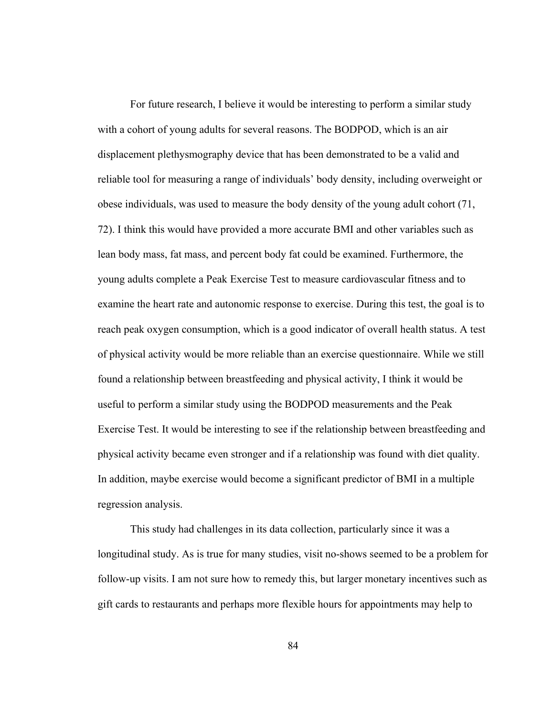For future research, I believe it would be interesting to perform a similar study with a cohort of young adults for several reasons. The BODPOD, which is an air displacement plethysmography device that has been demonstrated to be a valid and reliable tool for measuring a range of individuals' body density, including overweight or obese individuals, was used to measure the body density of the young adult cohort (71, 72). I think this would have provided a more accurate BMI and other variables such as lean body mass, fat mass, and percent body fat could be examined. Furthermore, the young adults complete a Peak Exercise Test to measure cardiovascular fitness and to examine the heart rate and autonomic response to exercise. During this test, the goal is to reach peak oxygen consumption, which is a good indicator of overall health status. A test of physical activity would be more reliable than an exercise questionnaire. While we still found a relationship between breastfeeding and physical activity, I think it would be useful to perform a similar study using the BODPOD measurements and the Peak Exercise Test. It would be interesting to see if the relationship between breastfeeding and physical activity became even stronger and if a relationship was found with diet quality. In addition, maybe exercise would become a significant predictor of BMI in a multiple regression analysis.

 This study had challenges in its data collection, particularly since it was a longitudinal study. As is true for many studies, visit no-shows seemed to be a problem for follow-up visits. I am not sure how to remedy this, but larger monetary incentives such as gift cards to restaurants and perhaps more flexible hours for appointments may help to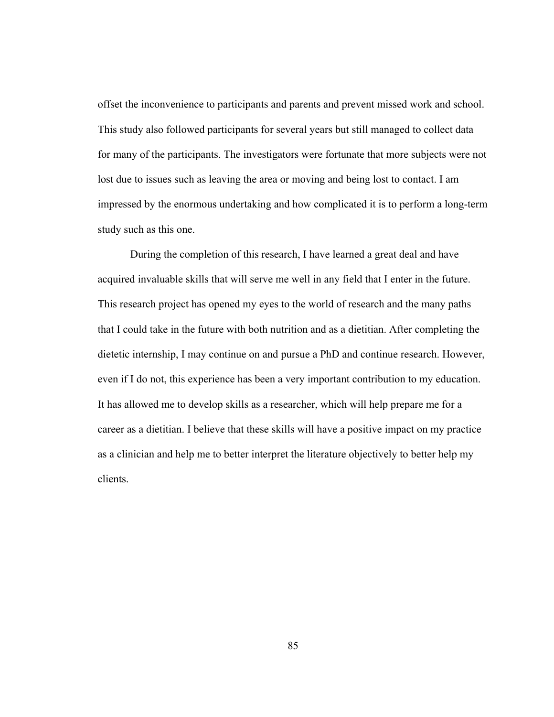offset the inconvenience to participants and parents and prevent missed work and school. This study also followed participants for several years but still managed to collect data for many of the participants. The investigators were fortunate that more subjects were not lost due to issues such as leaving the area or moving and being lost to contact. I am impressed by the enormous undertaking and how complicated it is to perform a long-term study such as this one.

 During the completion of this research, I have learned a great deal and have acquired invaluable skills that will serve me well in any field that I enter in the future. This research project has opened my eyes to the world of research and the many paths that I could take in the future with both nutrition and as a dietitian. After completing the dietetic internship, I may continue on and pursue a PhD and continue research. However, even if I do not, this experience has been a very important contribution to my education. It has allowed me to develop skills as a researcher, which will help prepare me for a career as a dietitian. I believe that these skills will have a positive impact on my practice as a clinician and help me to better interpret the literature objectively to better help my clients.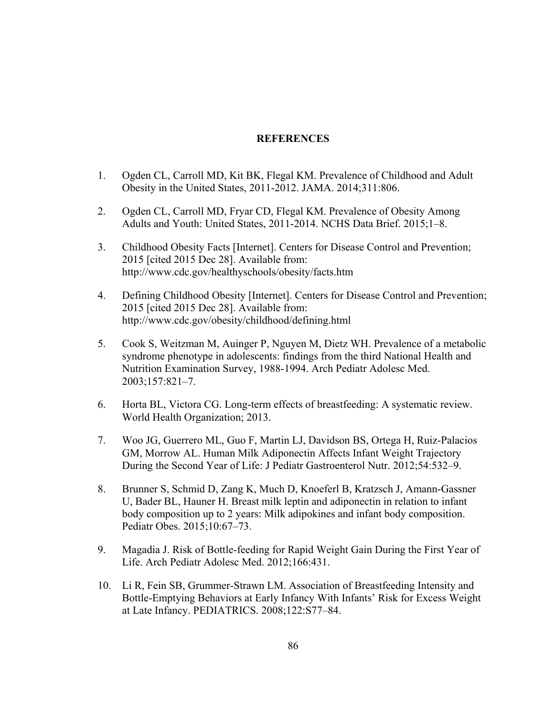## **REFERENCES**

- 1. Ogden CL, Carroll MD, Kit BK, Flegal KM. Prevalence of Childhood and Adult Obesity in the United States, 2011-2012. JAMA. 2014;311:806.
- 2. Ogden CL, Carroll MD, Fryar CD, Flegal KM. Prevalence of Obesity Among Adults and Youth: United States, 2011-2014. NCHS Data Brief. 2015;1–8.
- 3. Childhood Obesity Facts [Internet]. Centers for Disease Control and Prevention; 2015 [cited 2015 Dec 28]. Available from: http://www.cdc.gov/healthyschools/obesity/facts.htm
- 4. Defining Childhood Obesity [Internet]. Centers for Disease Control and Prevention; 2015 [cited 2015 Dec 28]. Available from: http://www.cdc.gov/obesity/childhood/defining.html
- 5. Cook S, Weitzman M, Auinger P, Nguyen M, Dietz WH. Prevalence of a metabolic syndrome phenotype in adolescents: findings from the third National Health and Nutrition Examination Survey, 1988-1994. Arch Pediatr Adolesc Med. 2003;157:821–7.
- 6. Horta BL, Victora CG. Long-term effects of breastfeeding: A systematic review. World Health Organization; 2013.
- 7. Woo JG, Guerrero ML, Guo F, Martin LJ, Davidson BS, Ortega H, Ruiz-Palacios GM, Morrow AL. Human Milk Adiponectin Affects Infant Weight Trajectory During the Second Year of Life: J Pediatr Gastroenterol Nutr. 2012;54:532–9.
- 8. Brunner S, Schmid D, Zang K, Much D, Knoeferl B, Kratzsch J, Amann-Gassner U, Bader BL, Hauner H. Breast milk leptin and adiponectin in relation to infant body composition up to 2 years: Milk adipokines and infant body composition. Pediatr Obes. 2015;10:67–73.
- 9. Magadia J. Risk of Bottle-feeding for Rapid Weight Gain During the First Year of Life. Arch Pediatr Adolesc Med. 2012;166:431.
- 10. Li R, Fein SB, Grummer-Strawn LM. Association of Breastfeeding Intensity and Bottle-Emptying Behaviors at Early Infancy With Infants' Risk for Excess Weight at Late Infancy. PEDIATRICS. 2008;122:S77–84.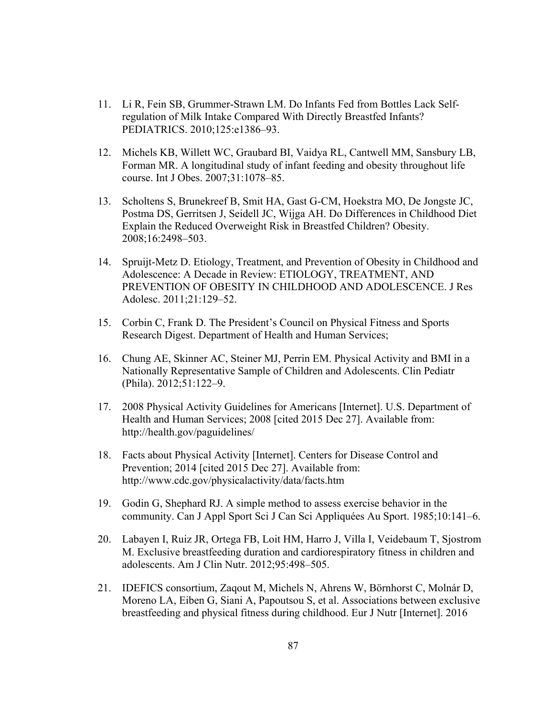- 11. Li R, Fein SB, Grummer-Strawn LM. Do Infants Fed from Bottles Lack Selfregulation of Milk Intake Compared With Directly Breastfed Infants? PEDIATRICS. 2010;125:e1386–93.
- 12. Michels KB, Willett WC, Graubard BI, Vaidya RL, Cantwell MM, Sansbury LB, Forman MR. A longitudinal study of infant feeding and obesity throughout life course. Int J Obes. 2007;31:1078–85.
- 13. Scholtens S, Brunekreef B, Smit HA, Gast G-CM, Hoekstra MO, De Jongste JC, Postma DS, Gerritsen J, Seidell JC, Wijga AH. Do Differences in Childhood Diet Explain the Reduced Overweight Risk in Breastfed Children? Obesity. 2008;16:2498–503.
- 14. Spruijt-Metz D. Etiology, Treatment, and Prevention of Obesity in Childhood and Adolescence: A Decade in Review: ETIOLOGY, TREATMENT, AND PREVENTION OF OBESITY IN CHILDHOOD AND ADOLESCENCE. J Res Adolesc. 2011;21:129–52.
- 15. Corbin C, Frank D. The President's Council on Physical Fitness and Sports Research Digest. Department of Health and Human Services;
- 16. Chung AE, Skinner AC, Steiner MJ, Perrin EM. Physical Activity and BMI in a Nationally Representative Sample of Children and Adolescents. Clin Pediatr (Phila). 2012;51:122–9.
- 17. 2008 Physical Activity Guidelines for Americans [Internet]. U.S. Department of Health and Human Services; 2008 [cited 2015 Dec 27]. Available from: http://health.gov/paguidelines/
- 18. Facts about Physical Activity [Internet]. Centers for Disease Control and Prevention; 2014 [cited 2015 Dec 27]. Available from: http://www.cdc.gov/physicalactivity/data/facts.htm
- 19. Godin G, Shephard RJ. A simple method to assess exercise behavior in the community. Can J Appl Sport Sci J Can Sci Appliquées Au Sport. 1985;10:141–6.
- 20. Labayen I, Ruiz JR, Ortega FB, Loit HM, Harro J, Villa I, Veidebaum T, Sjostrom M. Exclusive breastfeeding duration and cardiorespiratory fitness in children and adolescents. Am J Clin Nutr. 2012;95:498–505.
- 21. IDEFICS consortium, Zaqout M, Michels N, Ahrens W, Börnhorst C, Molnár D, Moreno LA, Eiben G, Siani A, Papoutsou S, et al. Associations between exclusive breastfeeding and physical fitness during childhood. Eur J Nutr [Internet]. 2016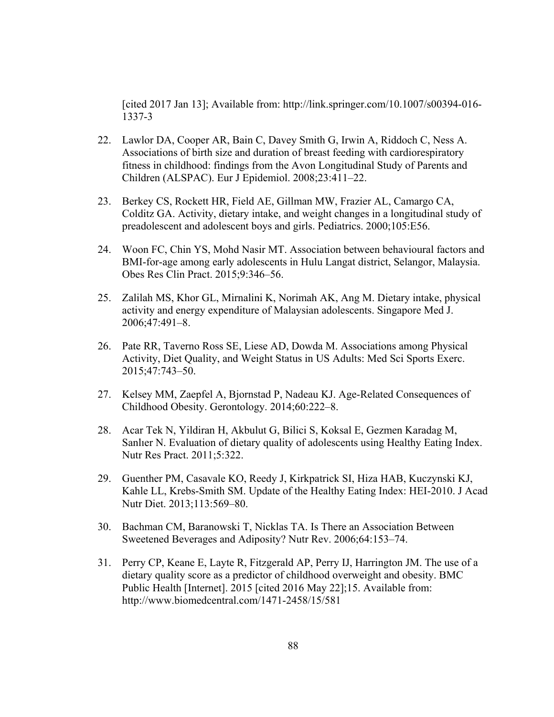[cited 2017 Jan 13]; Available from: http://link.springer.com/10.1007/s00394-016- 1337-3

- 22. Lawlor DA, Cooper AR, Bain C, Davey Smith G, Irwin A, Riddoch C, Ness A. Associations of birth size and duration of breast feeding with cardiorespiratory fitness in childhood: findings from the Avon Longitudinal Study of Parents and Children (ALSPAC). Eur J Epidemiol. 2008;23:411–22.
- 23. Berkey CS, Rockett HR, Field AE, Gillman MW, Frazier AL, Camargo CA, Colditz GA. Activity, dietary intake, and weight changes in a longitudinal study of preadolescent and adolescent boys and girls. Pediatrics. 2000;105:E56.
- 24. Woon FC, Chin YS, Mohd Nasir MT. Association between behavioural factors and BMI-for-age among early adolescents in Hulu Langat district, Selangor, Malaysia. Obes Res Clin Pract. 2015;9:346–56.
- 25. Zalilah MS, Khor GL, Mirnalini K, Norimah AK, Ang M. Dietary intake, physical activity and energy expenditure of Malaysian adolescents. Singapore Med J. 2006;47:491–8.
- 26. Pate RR, Taverno Ross SE, Liese AD, Dowda M. Associations among Physical Activity, Diet Quality, and Weight Status in US Adults: Med Sci Sports Exerc. 2015;47:743–50.
- 27. Kelsey MM, Zaepfel A, Bjornstad P, Nadeau KJ. Age-Related Consequences of Childhood Obesity. Gerontology. 2014;60:222–8.
- 28. Acar Tek N, Yildiran H, Akbulut G, Bilici S, Koksal E, Gezmen Karadag M, Sanlıer N. Evaluation of dietary quality of adolescents using Healthy Eating Index. Nutr Res Pract. 2011;5:322.
- 29. Guenther PM, Casavale KO, Reedy J, Kirkpatrick SI, Hiza HAB, Kuczynski KJ, Kahle LL, Krebs-Smith SM. Update of the Healthy Eating Index: HEI-2010. J Acad Nutr Diet. 2013;113:569–80.
- 30. Bachman CM, Baranowski T, Nicklas TA. Is There an Association Between Sweetened Beverages and Adiposity? Nutr Rev. 2006;64:153–74.
- 31. Perry CP, Keane E, Layte R, Fitzgerald AP, Perry IJ, Harrington JM. The use of a dietary quality score as a predictor of childhood overweight and obesity. BMC Public Health [Internet]. 2015 [cited 2016 May 22];15. Available from: http://www.biomedcentral.com/1471-2458/15/581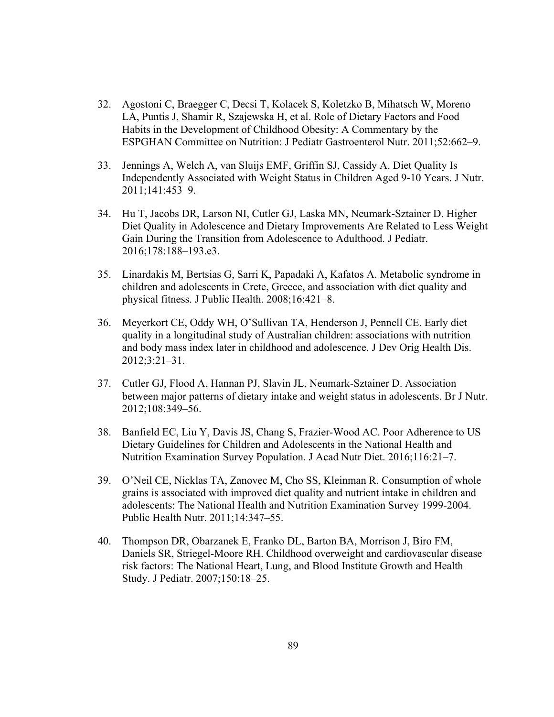- 32. Agostoni C, Braegger C, Decsi T, Kolacek S, Koletzko B, Mihatsch W, Moreno LA, Puntis J, Shamir R, Szajewska H, et al. Role of Dietary Factors and Food Habits in the Development of Childhood Obesity: A Commentary by the ESPGHAN Committee on Nutrition: J Pediatr Gastroenterol Nutr. 2011;52:662–9.
- 33. Jennings A, Welch A, van Sluijs EMF, Griffin SJ, Cassidy A. Diet Quality Is Independently Associated with Weight Status in Children Aged 9-10 Years. J Nutr. 2011;141:453–9.
- 34. Hu T, Jacobs DR, Larson NI, Cutler GJ, Laska MN, Neumark-Sztainer D. Higher Diet Quality in Adolescence and Dietary Improvements Are Related to Less Weight Gain During the Transition from Adolescence to Adulthood. J Pediatr. 2016;178:188–193.e3.
- 35. Linardakis M, Bertsias G, Sarri K, Papadaki A, Kafatos A. Metabolic syndrome in children and adolescents in Crete, Greece, and association with diet quality and physical fitness. J Public Health. 2008;16:421–8.
- 36. Meyerkort CE, Oddy WH, O'Sullivan TA, Henderson J, Pennell CE. Early diet quality in a longitudinal study of Australian children: associations with nutrition and body mass index later in childhood and adolescence. J Dev Orig Health Dis. 2012;3:21–31.
- 37. Cutler GJ, Flood A, Hannan PJ, Slavin JL, Neumark-Sztainer D. Association between major patterns of dietary intake and weight status in adolescents. Br J Nutr. 2012;108:349–56.
- 38. Banfield EC, Liu Y, Davis JS, Chang S, Frazier-Wood AC. Poor Adherence to US Dietary Guidelines for Children and Adolescents in the National Health and Nutrition Examination Survey Population. J Acad Nutr Diet. 2016;116:21–7.
- 39. O'Neil CE, Nicklas TA, Zanovec M, Cho SS, Kleinman R. Consumption of whole grains is associated with improved diet quality and nutrient intake in children and adolescents: The National Health and Nutrition Examination Survey 1999-2004. Public Health Nutr. 2011;14:347–55.
- 40. Thompson DR, Obarzanek E, Franko DL, Barton BA, Morrison J, Biro FM, Daniels SR, Striegel-Moore RH. Childhood overweight and cardiovascular disease risk factors: The National Heart, Lung, and Blood Institute Growth and Health Study. J Pediatr. 2007;150:18–25.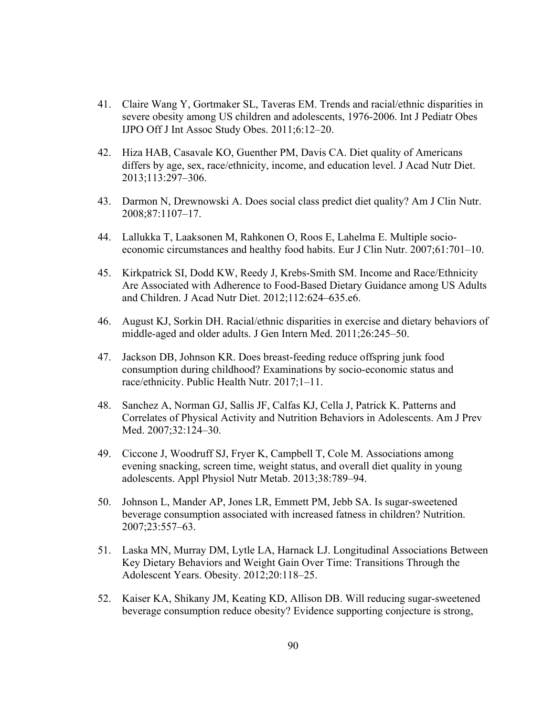- 41. Claire Wang Y, Gortmaker SL, Taveras EM. Trends and racial/ethnic disparities in severe obesity among US children and adolescents, 1976-2006. Int J Pediatr Obes IJPO Off J Int Assoc Study Obes. 2011;6:12–20.
- 42. Hiza HAB, Casavale KO, Guenther PM, Davis CA. Diet quality of Americans differs by age, sex, race/ethnicity, income, and education level. J Acad Nutr Diet. 2013;113:297–306.
- 43. Darmon N, Drewnowski A. Does social class predict diet quality? Am J Clin Nutr. 2008;87:1107–17.
- 44. Lallukka T, Laaksonen M, Rahkonen O, Roos E, Lahelma E. Multiple socioeconomic circumstances and healthy food habits. Eur J Clin Nutr. 2007;61:701–10.
- 45. Kirkpatrick SI, Dodd KW, Reedy J, Krebs-Smith SM. Income and Race/Ethnicity Are Associated with Adherence to Food-Based Dietary Guidance among US Adults and Children. J Acad Nutr Diet. 2012;112:624–635.e6.
- 46. August KJ, Sorkin DH. Racial/ethnic disparities in exercise and dietary behaviors of middle-aged and older adults. J Gen Intern Med. 2011;26:245–50.
- 47. Jackson DB, Johnson KR. Does breast-feeding reduce offspring junk food consumption during childhood? Examinations by socio-economic status and race/ethnicity. Public Health Nutr. 2017;1–11.
- 48. Sanchez A, Norman GJ, Sallis JF, Calfas KJ, Cella J, Patrick K. Patterns and Correlates of Physical Activity and Nutrition Behaviors in Adolescents. Am J Prev Med. 2007;32:124–30.
- 49. Ciccone J, Woodruff SJ, Fryer K, Campbell T, Cole M. Associations among evening snacking, screen time, weight status, and overall diet quality in young adolescents. Appl Physiol Nutr Metab. 2013;38:789–94.
- 50. Johnson L, Mander AP, Jones LR, Emmett PM, Jebb SA. Is sugar-sweetened beverage consumption associated with increased fatness in children? Nutrition. 2007;23:557–63.
- 51. Laska MN, Murray DM, Lytle LA, Harnack LJ. Longitudinal Associations Between Key Dietary Behaviors and Weight Gain Over Time: Transitions Through the Adolescent Years. Obesity. 2012;20:118–25.
- 52. Kaiser KA, Shikany JM, Keating KD, Allison DB. Will reducing sugar-sweetened beverage consumption reduce obesity? Evidence supporting conjecture is strong,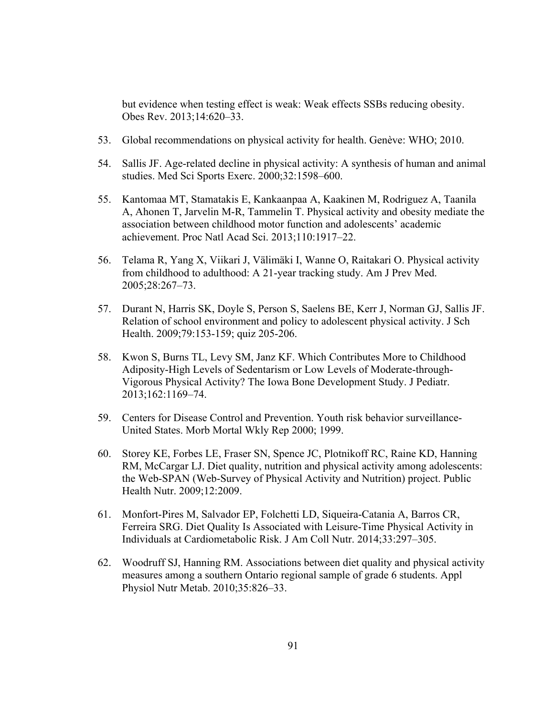but evidence when testing effect is weak: Weak effects SSBs reducing obesity. Obes Rev. 2013;14:620–33.

- 53. Global recommendations on physical activity for health. Genève: WHO; 2010.
- 54. Sallis JF. Age-related decline in physical activity: A synthesis of human and animal studies. Med Sci Sports Exerc. 2000;32:1598–600.
- 55. Kantomaa MT, Stamatakis E, Kankaanpaa A, Kaakinen M, Rodriguez A, Taanila A, Ahonen T, Jarvelin M-R, Tammelin T. Physical activity and obesity mediate the association between childhood motor function and adolescents' academic achievement. Proc Natl Acad Sci. 2013;110:1917–22.
- 56. Telama R, Yang X, Viikari J, Välimäki I, Wanne O, Raitakari O. Physical activity from childhood to adulthood: A 21-year tracking study. Am J Prev Med. 2005;28:267–73.
- 57. Durant N, Harris SK, Doyle S, Person S, Saelens BE, Kerr J, Norman GJ, Sallis JF. Relation of school environment and policy to adolescent physical activity. J Sch Health. 2009;79:153-159; quiz 205-206.
- 58. Kwon S, Burns TL, Levy SM, Janz KF. Which Contributes More to Childhood Adiposity-High Levels of Sedentarism or Low Levels of Moderate-through-Vigorous Physical Activity? The Iowa Bone Development Study. J Pediatr. 2013;162:1169–74.
- 59. Centers for Disease Control and Prevention. Youth risk behavior surveillance-United States. Morb Mortal Wkly Rep 2000; 1999.
- 60. Storey KE, Forbes LE, Fraser SN, Spence JC, Plotnikoff RC, Raine KD, Hanning RM, McCargar LJ. Diet quality, nutrition and physical activity among adolescents: the Web-SPAN (Web-Survey of Physical Activity and Nutrition) project. Public Health Nutr. 2009;12:2009.
- 61. Monfort-Pires M, Salvador EP, Folchetti LD, Siqueira-Catania A, Barros CR, Ferreira SRG. Diet Quality Is Associated with Leisure-Time Physical Activity in Individuals at Cardiometabolic Risk. J Am Coll Nutr. 2014;33:297–305.
- 62. Woodruff SJ, Hanning RM. Associations between diet quality and physical activity measures among a southern Ontario regional sample of grade 6 students. Appl Physiol Nutr Metab. 2010;35:826–33.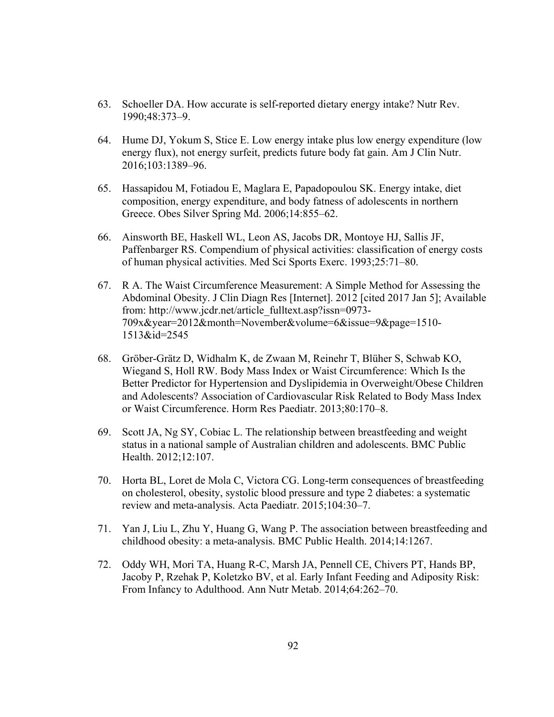- 63. Schoeller DA. How accurate is self-reported dietary energy intake? Nutr Rev. 1990;48:373–9.
- 64. Hume DJ, Yokum S, Stice E. Low energy intake plus low energy expenditure (low energy flux), not energy surfeit, predicts future body fat gain. Am J Clin Nutr. 2016;103:1389–96.
- 65. Hassapidou M, Fotiadou E, Maglara E, Papadopoulou SK. Energy intake, diet composition, energy expenditure, and body fatness of adolescents in northern Greece. Obes Silver Spring Md. 2006;14:855–62.
- 66. Ainsworth BE, Haskell WL, Leon AS, Jacobs DR, Montoye HJ, Sallis JF, Paffenbarger RS. Compendium of physical activities: classification of energy costs of human physical activities. Med Sci Sports Exerc. 1993;25:71–80.
- 67. R A. The Waist Circumference Measurement: A Simple Method for Assessing the Abdominal Obesity. J Clin Diagn Res [Internet]. 2012 [cited 2017 Jan 5]; Available from: http://www.jcdr.net/article\_fulltext.asp?issn=0973- 709x&year=2012&month=November&volume=6&issue=9&page=1510- 1513&id=2545
- 68. Gröber-Grätz D, Widhalm K, de Zwaan M, Reinehr T, Blüher S, Schwab KO, Wiegand S, Holl RW. Body Mass Index or Waist Circumference: Which Is the Better Predictor for Hypertension and Dyslipidemia in Overweight/Obese Children and Adolescents? Association of Cardiovascular Risk Related to Body Mass Index or Waist Circumference. Horm Res Paediatr. 2013;80:170–8.
- 69. Scott JA, Ng SY, Cobiac L. The relationship between breastfeeding and weight status in a national sample of Australian children and adolescents. BMC Public Health. 2012;12:107.
- 70. Horta BL, Loret de Mola C, Victora CG. Long-term consequences of breastfeeding on cholesterol, obesity, systolic blood pressure and type 2 diabetes: a systematic review and meta-analysis. Acta Paediatr. 2015;104:30–7.
- 71. Yan J, Liu L, Zhu Y, Huang G, Wang P. The association between breastfeeding and childhood obesity: a meta-analysis. BMC Public Health. 2014;14:1267.
- 72. Oddy WH, Mori TA, Huang R-C, Marsh JA, Pennell CE, Chivers PT, Hands BP, Jacoby P, Rzehak P, Koletzko BV, et al. Early Infant Feeding and Adiposity Risk: From Infancy to Adulthood. Ann Nutr Metab. 2014;64:262–70.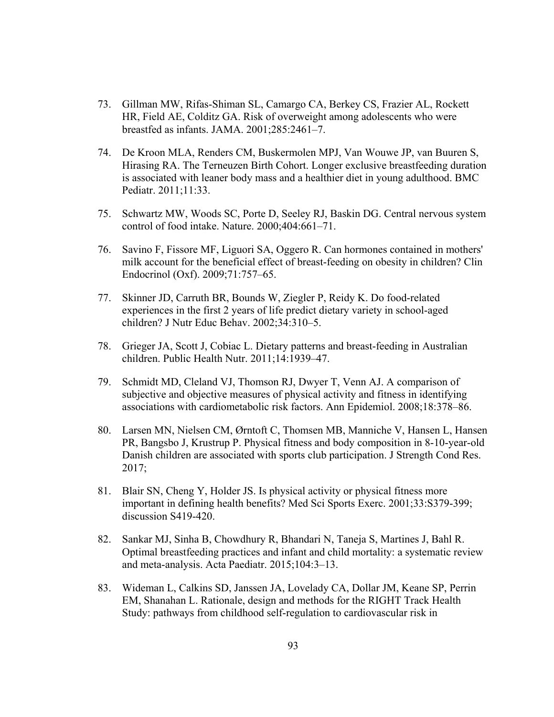- 73. Gillman MW, Rifas-Shiman SL, Camargo CA, Berkey CS, Frazier AL, Rockett HR, Field AE, Colditz GA. Risk of overweight among adolescents who were breastfed as infants. JAMA. 2001;285:2461–7.
- 74. De Kroon MLA, Renders CM, Buskermolen MPJ, Van Wouwe JP, van Buuren S, Hirasing RA. The Terneuzen Birth Cohort. Longer exclusive breastfeeding duration is associated with leaner body mass and a healthier diet in young adulthood. BMC Pediatr. 2011;11:33.
- 75. Schwartz MW, Woods SC, Porte D, Seeley RJ, Baskin DG. Central nervous system control of food intake. Nature. 2000;404:661–71.
- 76. Savino F, Fissore MF, Liguori SA, Oggero R. Can hormones contained in mothers' milk account for the beneficial effect of breast-feeding on obesity in children? Clin Endocrinol (Oxf). 2009;71:757–65.
- 77. Skinner JD, Carruth BR, Bounds W, Ziegler P, Reidy K. Do food-related experiences in the first 2 years of life predict dietary variety in school-aged children? J Nutr Educ Behav. 2002;34:310–5.
- 78. Grieger JA, Scott J, Cobiac L. Dietary patterns and breast-feeding in Australian children. Public Health Nutr. 2011;14:1939–47.
- 79. Schmidt MD, Cleland VJ, Thomson RJ, Dwyer T, Venn AJ. A comparison of subjective and objective measures of physical activity and fitness in identifying associations with cardiometabolic risk factors. Ann Epidemiol. 2008;18:378–86.
- 80. Larsen MN, Nielsen CM, Ørntoft C, Thomsen MB, Manniche V, Hansen L, Hansen PR, Bangsbo J, Krustrup P. Physical fitness and body composition in 8-10-year-old Danish children are associated with sports club participation. J Strength Cond Res. 2017;
- 81. Blair SN, Cheng Y, Holder JS. Is physical activity or physical fitness more important in defining health benefits? Med Sci Sports Exerc. 2001;33:S379-399; discussion S419-420.
- 82. Sankar MJ, Sinha B, Chowdhury R, Bhandari N, Taneja S, Martines J, Bahl R. Optimal breastfeeding practices and infant and child mortality: a systematic review and meta-analysis. Acta Paediatr. 2015;104:3–13.
- 83. Wideman L, Calkins SD, Janssen JA, Lovelady CA, Dollar JM, Keane SP, Perrin EM, Shanahan L. Rationale, design and methods for the RIGHT Track Health Study: pathways from childhood self-regulation to cardiovascular risk in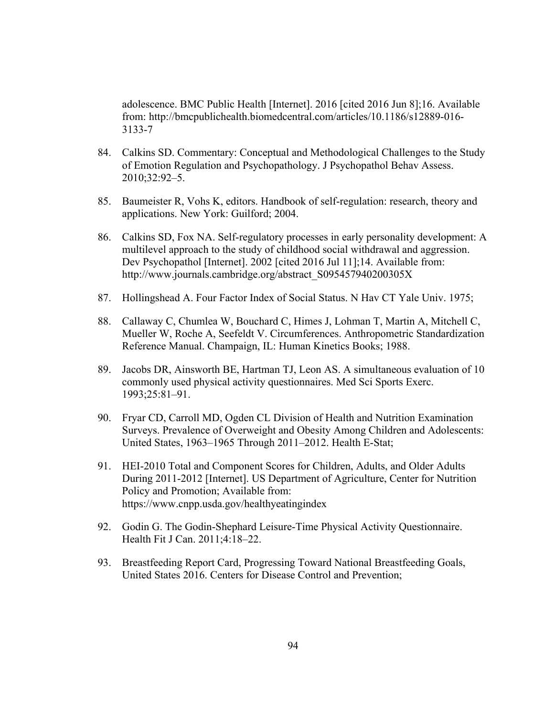adolescence. BMC Public Health [Internet]. 2016 [cited 2016 Jun 8];16. Available from: http://bmcpublichealth.biomedcentral.com/articles/10.1186/s12889-016- 3133-7

- 84. Calkins SD. Commentary: Conceptual and Methodological Challenges to the Study of Emotion Regulation and Psychopathology. J Psychopathol Behav Assess. 2010;32:92–5.
- 85. Baumeister R, Vohs K, editors. Handbook of self-regulation: research, theory and applications. New York: Guilford; 2004.
- 86. Calkins SD, Fox NA. Self-regulatory processes in early personality development: A multilevel approach to the study of childhood social withdrawal and aggression. Dev Psychopathol [Internet]. 2002 [cited 2016 Jul 11];14. Available from: http://www.journals.cambridge.org/abstract\_S095457940200305X
- 87. Hollingshead A. Four Factor Index of Social Status. N Hav CT Yale Univ. 1975;
- 88. Callaway C, Chumlea W, Bouchard C, Himes J, Lohman T, Martin A, Mitchell C, Mueller W, Roche A, Seefeldt V. Circumferences. Anthropometric Standardization Reference Manual. Champaign, IL: Human Kinetics Books; 1988.
- 89. Jacobs DR, Ainsworth BE, Hartman TJ, Leon AS. A simultaneous evaluation of 10 commonly used physical activity questionnaires. Med Sci Sports Exerc. 1993;25:81–91.
- 90. Fryar CD, Carroll MD, Ogden CL Division of Health and Nutrition Examination Surveys. Prevalence of Overweight and Obesity Among Children and Adolescents: United States, 1963–1965 Through 2011–2012. Health E-Stat;
- 91. HEI-2010 Total and Component Scores for Children, Adults, and Older Adults During 2011-2012 [Internet]. US Department of Agriculture, Center for Nutrition Policy and Promotion; Available from: https://www.cnpp.usda.gov/healthyeatingindex
- 92. Godin G. The Godin-Shephard Leisure-Time Physical Activity Questionnaire. Health Fit J Can. 2011;4:18–22.
- 93. Breastfeeding Report Card, Progressing Toward National Breastfeeding Goals, United States 2016. Centers for Disease Control and Prevention;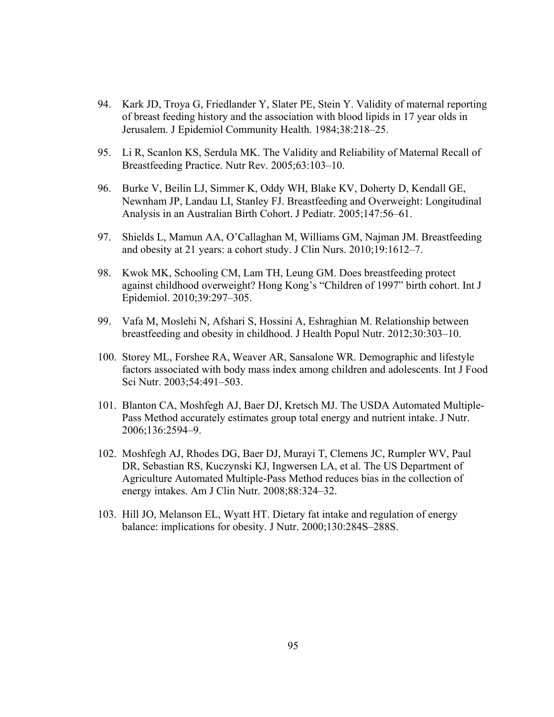- 94. Kark JD, Troya G, Friedlander Y, Slater PE, Stein Y. Validity of maternal reporting of breast feeding history and the association with blood lipids in 17 year olds in Jerusalem. J Epidemiol Community Health. 1984;38:218–25.
- 95. Li R, Scanlon KS, Serdula MK. The Validity and Reliability of Maternal Recall of Breastfeeding Practice. Nutr Rev. 2005;63:103–10.
- 96. Burke V, Beilin LJ, Simmer K, Oddy WH, Blake KV, Doherty D, Kendall GE, Newnham JP, Landau LI, Stanley FJ. Breastfeeding and Overweight: Longitudinal Analysis in an Australian Birth Cohort. J Pediatr. 2005;147:56–61.
- 97. Shields L, Mamun AA, O'Callaghan M, Williams GM, Najman JM. Breastfeeding and obesity at 21 years: a cohort study. J Clin Nurs. 2010;19:1612–7.
- 98. Kwok MK, Schooling CM, Lam TH, Leung GM. Does breastfeeding protect against childhood overweight? Hong Kong's "Children of 1997" birth cohort. Int J Epidemiol. 2010;39:297–305.
- 99. Vafa M, Moslehi N, Afshari S, Hossini A, Eshraghian M. Relationship between breastfeeding and obesity in childhood. J Health Popul Nutr. 2012;30:303–10.
- 100. Storey ML, Forshee RA, Weaver AR, Sansalone WR. Demographic and lifestyle factors associated with body mass index among children and adolescents. Int J Food Sci Nutr. 2003;54:491–503.
- 101. Blanton CA, Moshfegh AJ, Baer DJ, Kretsch MJ. The USDA Automated Multiple-Pass Method accurately estimates group total energy and nutrient intake. J Nutr. 2006;136:2594–9.
- 102. Moshfegh AJ, Rhodes DG, Baer DJ, Murayi T, Clemens JC, Rumpler WV, Paul DR, Sebastian RS, Kuczynski KJ, Ingwersen LA, et al. The US Department of Agriculture Automated Multiple-Pass Method reduces bias in the collection of energy intakes. Am J Clin Nutr. 2008;88:324–32.
- 103. Hill JO, Melanson EL, Wyatt HT. Dietary fat intake and regulation of energy balance: implications for obesity. J Nutr. 2000;130:284S–288S.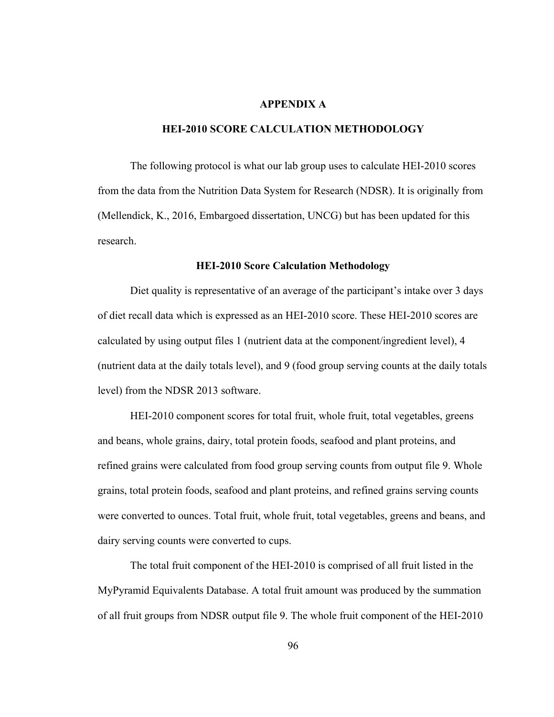#### **APPENDIX A**

#### **HEI-2010 SCORE CALCULATION METHODOLOGY**

 The following protocol is what our lab group uses to calculate HEI-2010 scores from the data from the Nutrition Data System for Research (NDSR). It is originally from (Mellendick, K., 2016, Embargoed dissertation, UNCG) but has been updated for this research.

#### **HEI-2010 Score Calculation Methodology**

Diet quality is representative of an average of the participant's intake over 3 days of diet recall data which is expressed as an HEI-2010 score. These HEI-2010 scores are calculated by using output files 1 (nutrient data at the component/ingredient level), 4 (nutrient data at the daily totals level), and 9 (food group serving counts at the daily totals level) from the NDSR 2013 software.

HEI-2010 component scores for total fruit, whole fruit, total vegetables, greens and beans, whole grains, dairy, total protein foods, seafood and plant proteins, and refined grains were calculated from food group serving counts from output file 9. Whole grains, total protein foods, seafood and plant proteins, and refined grains serving counts were converted to ounces. Total fruit, whole fruit, total vegetables, greens and beans, and dairy serving counts were converted to cups.

The total fruit component of the HEI-2010 is comprised of all fruit listed in the MyPyramid Equivalents Database. A total fruit amount was produced by the summation of all fruit groups from NDSR output file 9. The whole fruit component of the HEI-2010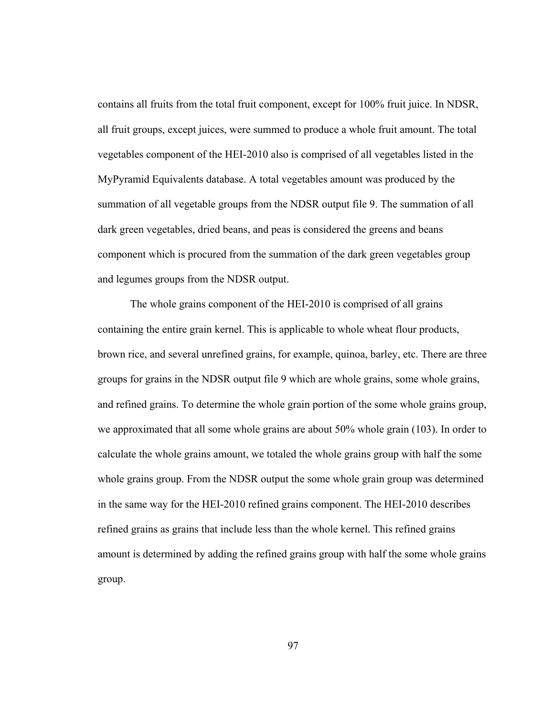contains all fruits from the total fruit component, except for 100% fruit juice. In NDSR, all fruit groups, except juices, were summed to produce a whole fruit amount. The total vegetables component of the HEI-2010 also is comprised of all vegetables listed in the MyPyramid Equivalents database. A total vegetables amount was produced by the summation of all vegetable groups from the NDSR output file 9. The summation of all dark green vegetables, dried beans, and peas is considered the greens and beans component which is procured from the summation of the dark green vegetables group and legumes groups from the NDSR output.

The whole grains component of the HEI-2010 is comprised of all grains containing the entire grain kernel. This is applicable to whole wheat flour products, brown rice, and several unrefined grains, for example, quinoa, barley, etc. There are three groups for grains in the NDSR output file 9 which are whole grains, some whole grains, and refined grains. To determine the whole grain portion of the some whole grains group, we approximated that all some whole grains are about 50% whole grain (103). In order to calculate the whole grains amount, we totaled the whole grains group with half the some whole grains group. From the NDSR output the some whole grain group was determined in the same way for the HEI-2010 refined grains component. The HEI-2010 describes refined grains as grains that include less than the whole kernel. This refined grains amount is determined by adding the refined grains group with half the some whole grains group.

97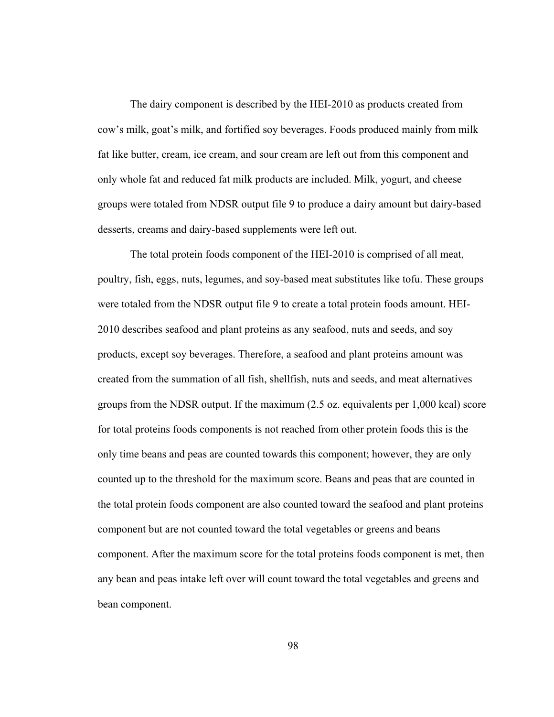The dairy component is described by the HEI-2010 as products created from cow's milk, goat's milk, and fortified soy beverages. Foods produced mainly from milk fat like butter, cream, ice cream, and sour cream are left out from this component and only whole fat and reduced fat milk products are included. Milk, yogurt, and cheese groups were totaled from NDSR output file 9 to produce a dairy amount but dairy-based desserts, creams and dairy-based supplements were left out.

The total protein foods component of the HEI-2010 is comprised of all meat, poultry, fish, eggs, nuts, legumes, and soy-based meat substitutes like tofu. These groups were totaled from the NDSR output file 9 to create a total protein foods amount. HEI-2010 describes seafood and plant proteins as any seafood, nuts and seeds, and soy products, except soy beverages. Therefore, a seafood and plant proteins amount was created from the summation of all fish, shellfish, nuts and seeds, and meat alternatives groups from the NDSR output. If the maximum (2.5 oz. equivalents per 1,000 kcal) score for total proteins foods components is not reached from other protein foods this is the only time beans and peas are counted towards this component; however, they are only counted up to the threshold for the maximum score. Beans and peas that are counted in the total protein foods component are also counted toward the seafood and plant proteins component but are not counted toward the total vegetables or greens and beans component. After the maximum score for the total proteins foods component is met, then any bean and peas intake left over will count toward the total vegetables and greens and bean component.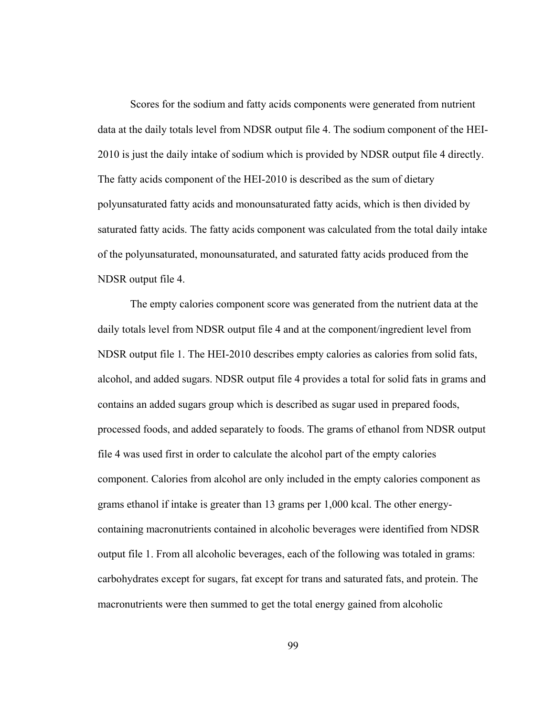Scores for the sodium and fatty acids components were generated from nutrient data at the daily totals level from NDSR output file 4. The sodium component of the HEI-2010 is just the daily intake of sodium which is provided by NDSR output file 4 directly. The fatty acids component of the HEI-2010 is described as the sum of dietary polyunsaturated fatty acids and monounsaturated fatty acids, which is then divided by saturated fatty acids. The fatty acids component was calculated from the total daily intake of the polyunsaturated, monounsaturated, and saturated fatty acids produced from the NDSR output file 4.

The empty calories component score was generated from the nutrient data at the daily totals level from NDSR output file 4 and at the component/ingredient level from NDSR output file 1. The HEI-2010 describes empty calories as calories from solid fats, alcohol, and added sugars. NDSR output file 4 provides a total for solid fats in grams and contains an added sugars group which is described as sugar used in prepared foods, processed foods, and added separately to foods. The grams of ethanol from NDSR output file 4 was used first in order to calculate the alcohol part of the empty calories component. Calories from alcohol are only included in the empty calories component as grams ethanol if intake is greater than 13 grams per 1,000 kcal. The other energycontaining macronutrients contained in alcoholic beverages were identified from NDSR output file 1. From all alcoholic beverages, each of the following was totaled in grams: carbohydrates except for sugars, fat except for trans and saturated fats, and protein. The macronutrients were then summed to get the total energy gained from alcoholic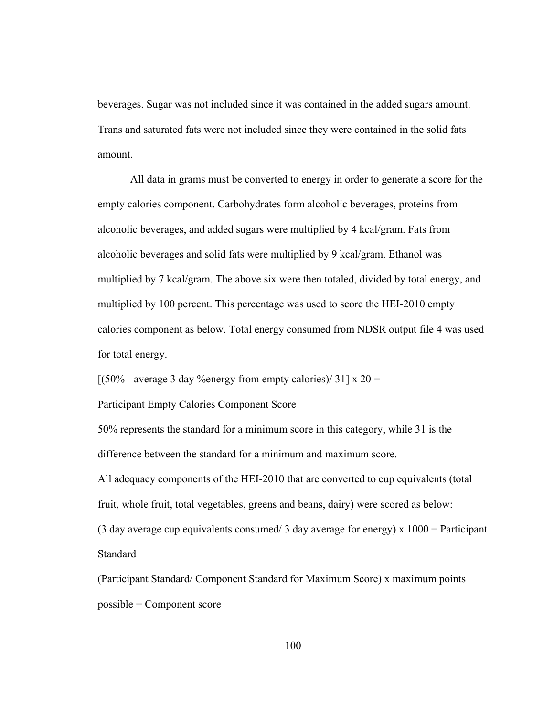beverages. Sugar was not included since it was contained in the added sugars amount. Trans and saturated fats were not included since they were contained in the solid fats amount.

All data in grams must be converted to energy in order to generate a score for the empty calories component. Carbohydrates form alcoholic beverages, proteins from alcoholic beverages, and added sugars were multiplied by 4 kcal/gram. Fats from alcoholic beverages and solid fats were multiplied by 9 kcal/gram. Ethanol was multiplied by 7 kcal/gram. The above six were then totaled, divided by total energy, and multiplied by 100 percent. This percentage was used to score the HEI-2010 empty calories component as below. Total energy consumed from NDSR output file 4 was used for total energy.

 $[(50\% - \text{average } 3 \text{ day } \% \text{energy from empty calories}) / 31] \times 20 =$ 

Participant Empty Calories Component Score

50% represents the standard for a minimum score in this category, while 31 is the difference between the standard for a minimum and maximum score.

All adequacy components of the HEI-2010 that are converted to cup equivalents (total fruit, whole fruit, total vegetables, greens and beans, dairy) were scored as below: (3 day average cup equivalents consumed/ 3 day average for energy)  $x 1000$  = Participant **Standard** 

(Participant Standard/ Component Standard for Maximum Score) x maximum points possible = Component score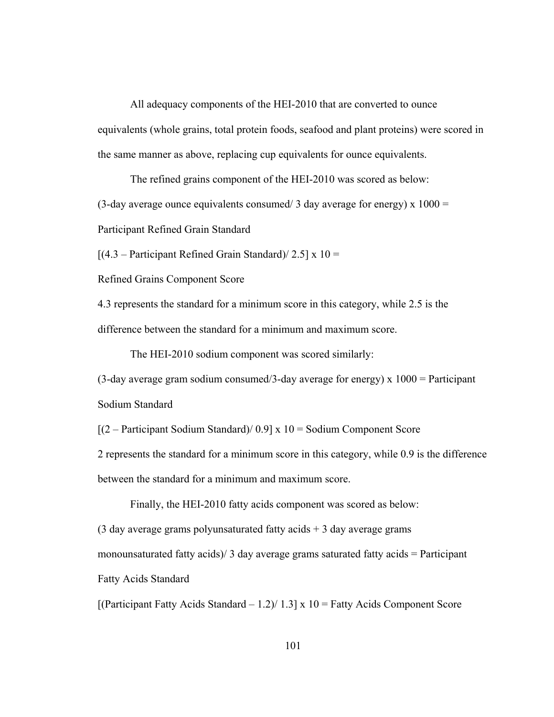All adequacy components of the HEI-2010 that are converted to ounce equivalents (whole grains, total protein foods, seafood and plant proteins) were scored in the same manner as above, replacing cup equivalents for ounce equivalents.

The refined grains component of the HEI-2010 was scored as below:

(3-day average ounce equivalents consumed/ 3 day average for energy)  $x 1000 =$ 

Participant Refined Grain Standard

 $[(4.3 - Participant Refined Grain Standard)/ 2.5] \times 10 =$ 

Refined Grains Component Score

4.3 represents the standard for a minimum score in this category, while 2.5 is the difference between the standard for a minimum and maximum score.

The HEI-2010 sodium component was scored similarly:

 $(3$ -day average gram sodium consumed/3-day average for energy) x  $1000 =$  Participant Sodium Standard

 $[(2 - Participant Solution Standard) / 0.9] \times 10 = Solution Component Score$ 

2 represents the standard for a minimum score in this category, while 0.9 is the difference between the standard for a minimum and maximum score.

Finally, the HEI-2010 fatty acids component was scored as below: (3 day average grams polyunsaturated fatty acids  $+$  3 day average grams monounsaturated fatty acids)  $\frac{3}{4}$  day average grams saturated fatty acids = Participant Fatty Acids Standard

 $[(Participation)$  Fatty Acids Standard – 1.2)/ 1.3] x 10 = Fatty Acids Component Score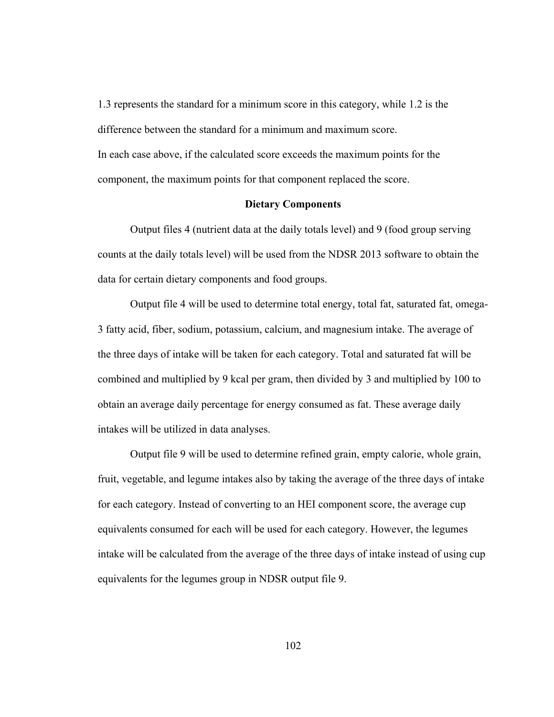1.3 represents the standard for a minimum score in this category, while 1.2 is the difference between the standard for a minimum and maximum score. In each case above, if the calculated score exceeds the maximum points for the component, the maximum points for that component replaced the score.

# **Dietary Components**

 Output files 4 (nutrient data at the daily totals level) and 9 (food group serving counts at the daily totals level) will be used from the NDSR 2013 software to obtain the data for certain dietary components and food groups.

 Output file 4 will be used to determine total energy, total fat, saturated fat, omega-3 fatty acid, fiber, sodium, potassium, calcium, and magnesium intake. The average of the three days of intake will be taken for each category. Total and saturated fat will be combined and multiplied by 9 kcal per gram, then divided by 3 and multiplied by 100 to obtain an average daily percentage for energy consumed as fat. These average daily intakes will be utilized in data analyses.

 Output file 9 will be used to determine refined grain, empty calorie, whole grain, fruit, vegetable, and legume intakes also by taking the average of the three days of intake for each category. Instead of converting to an HEI component score, the average cup equivalents consumed for each will be used for each category. However, the legumes intake will be calculated from the average of the three days of intake instead of using cup equivalents for the legumes group in NDSR output file 9.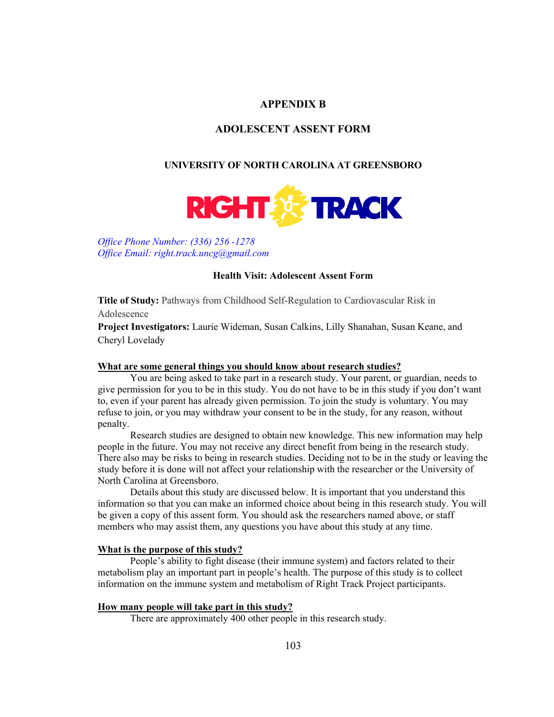# **APPENDIX B**

# **ADOLESCENT ASSENT FORM**

#### **UNIVERSITY OF NORTH CAROLINA AT GREENSBORO**



*Office Phone Number: (336) 256 -1278 Office Email: right.track.uncg@gmail.com* 

### **Health Visit: Adolescent Assent Form**

**Title of Study:** Pathways from Childhood Self-Regulation to Cardiovascular Risk in Adolescence

**Project Investigators:** Laurie Wideman, Susan Calkins, Lilly Shanahan, Susan Keane, and Cheryl Lovelady

#### **What are some general things you should know about research studies?**

You are being asked to take part in a research study. Your parent, or guardian, needs to give permission for you to be in this study. You do not have to be in this study if you don't want to, even if your parent has already given permission. To join the study is voluntary. You may refuse to join, or you may withdraw your consent to be in the study, for any reason, without penalty.

Research studies are designed to obtain new knowledge. This new information may help people in the future. You may not receive any direct benefit from being in the research study. There also may be risks to being in research studies. Deciding not to be in the study or leaving the study before it is done will not affect your relationship with the researcher or the University of North Carolina at Greensboro.

Details about this study are discussed below. It is important that you understand this information so that you can make an informed choice about being in this research study. You will be given a copy of this assent form. You should ask the researchers named above, or staff members who may assist them, any questions you have about this study at any time.

### **What is the purpose of this study?**

People's ability to fight disease (their immune system) and factors related to their metabolism play an important part in people's health. The purpose of this study is to collect information on the immune system and metabolism of Right Track Project participants.

### **How many people will take part in this study?**

There are approximately 400 other people in this research study.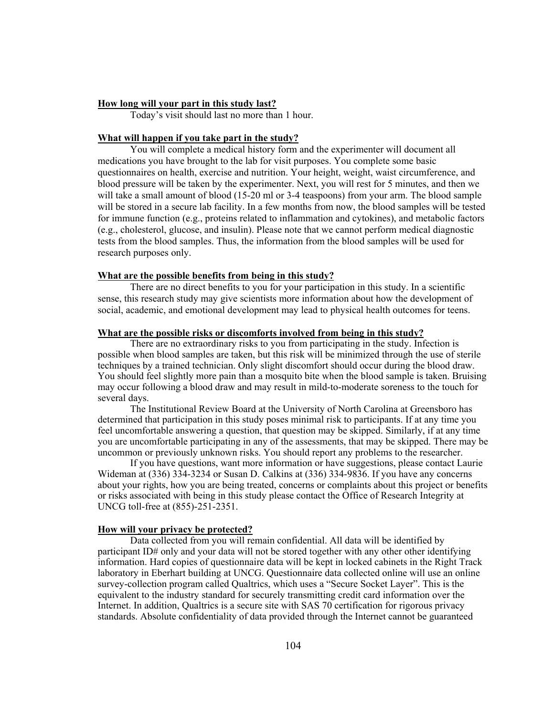#### **How long will your part in this study last?**

Today's visit should last no more than 1 hour.

### **What will happen if you take part in the study?**

You will complete a medical history form and the experimenter will document all medications you have brought to the lab for visit purposes. You complete some basic questionnaires on health, exercise and nutrition. Your height, weight, waist circumference, and blood pressure will be taken by the experimenter. Next, you will rest for 5 minutes, and then we will take a small amount of blood (15-20 ml or 3-4 teaspoons) from your arm. The blood sample will be stored in a secure lab facility. In a few months from now, the blood samples will be tested for immune function (e.g., proteins related to inflammation and cytokines), and metabolic factors (e.g., cholesterol, glucose, and insulin). Please note that we cannot perform medical diagnostic tests from the blood samples. Thus, the information from the blood samples will be used for research purposes only.

#### **What are the possible benefits from being in this study?**

There are no direct benefits to you for your participation in this study. In a scientific sense, this research study may give scientists more information about how the development of social, academic, and emotional development may lead to physical health outcomes for teens.

## **What are the possible risks or discomforts involved from being in this study?**

There are no extraordinary risks to you from participating in the study. Infection is possible when blood samples are taken, but this risk will be minimized through the use of sterile techniques by a trained technician. Only slight discomfort should occur during the blood draw. You should feel slightly more pain than a mosquito bite when the blood sample is taken. Bruising may occur following a blood draw and may result in mild-to-moderate soreness to the touch for several days.

The Institutional Review Board at the University of North Carolina at Greensboro has determined that participation in this study poses minimal risk to participants. If at any time you feel uncomfortable answering a question, that question may be skipped. Similarly, if at any time you are uncomfortable participating in any of the assessments, that may be skipped. There may be uncommon or previously unknown risks. You should report any problems to the researcher.

If you have questions, want more information or have suggestions, please contact Laurie Wideman at (336) 334-3234 or Susan D. Calkins at (336) 334-9836. If you have any concerns about your rights, how you are being treated, concerns or complaints about this project or benefits or risks associated with being in this study please contact the Office of Research Integrity at UNCG toll-free at (855)-251-2351.

#### **How will your privacy be protected?**

Data collected from you will remain confidential. All data will be identified by participant ID# only and your data will not be stored together with any other other identifying information. Hard copies of questionnaire data will be kept in locked cabinets in the Right Track laboratory in Eberhart building at UNCG. Questionnaire data collected online will use an online survey-collection program called Qualtrics, which uses a "Secure Socket Layer". This is the equivalent to the industry standard for securely transmitting credit card information over the Internet. In addition, Qualtrics is a secure site with SAS 70 certification for rigorous privacy standards. Absolute confidentiality of data provided through the Internet cannot be guaranteed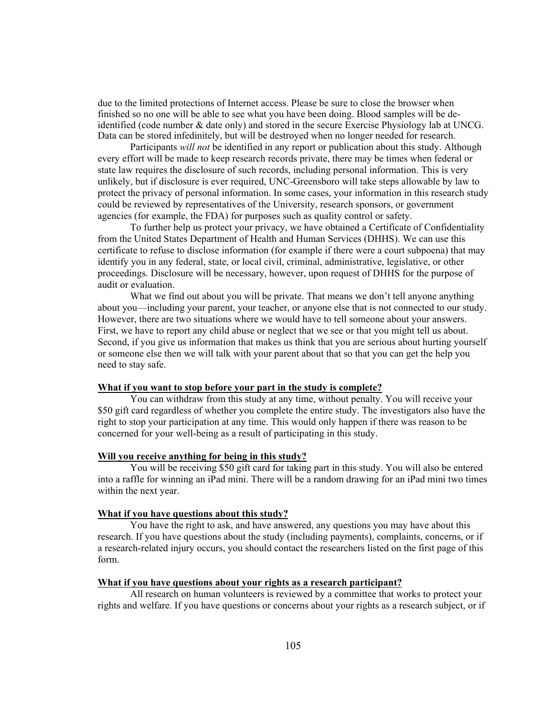due to the limited protections of Internet access. Please be sure to close the browser when finished so no one will be able to see what you have been doing. Blood samples will be deidentified (code number & date only) and stored in the secure Exercise Physiology lab at UNCG. Data can be stored infedinitely, but will be destroyed when no longer needed for research.

Participants *will not* be identified in any report or publication about this study. Although every effort will be made to keep research records private, there may be times when federal or state law requires the disclosure of such records, including personal information. This is very unlikely, but if disclosure is ever required, UNC-Greensboro will take steps allowable by law to protect the privacy of personal information. In some cases, your information in this research study could be reviewed by representatives of the University, research sponsors, or government agencies (for example, the FDA) for purposes such as quality control or safety.

To further help us protect your privacy, we have obtained a Certificate of Confidentiality from the United States Department of Health and Human Services (DHHS). We can use this certificate to refuse to disclose information (for example if there were a court subpoena) that may identify you in any federal, state, or local civil, criminal, administrative, legislative, or other proceedings. Disclosure will be necessary, however, upon request of DHHS for the purpose of audit or evaluation.

What we find out about you will be private. That means we don't tell anyone anything about you—including your parent, your teacher, or anyone else that is not connected to our study. However, there are two situations where we would have to tell someone about your answers. First, we have to report any child abuse or neglect that we see or that you might tell us about. Second, if you give us information that makes us think that you are serious about hurting yourself or someone else then we will talk with your parent about that so that you can get the help you need to stay safe.

# **What if you want to stop before your part in the study is complete?**

You can withdraw from this study at any time, without penalty. You will receive your \$50 gift card regardless of whether you complete the entire study. The investigators also have the right to stop your participation at any time. This would only happen if there was reason to be concerned for your well-being as a result of participating in this study.

#### **Will you receive anything for being in this study?**

You will be receiving \$50 gift card for taking part in this study. You will also be entered into a raffle for winning an iPad mini. There will be a random drawing for an iPad mini two times within the next year.

#### **What if you have questions about this study?**

You have the right to ask, and have answered, any questions you may have about this research. If you have questions about the study (including payments), complaints, concerns, or if a research-related injury occurs, you should contact the researchers listed on the first page of this form.

### **What if you have questions about your rights as a research participant?**

All research on human volunteers is reviewed by a committee that works to protect your rights and welfare. If you have questions or concerns about your rights as a research subject, or if